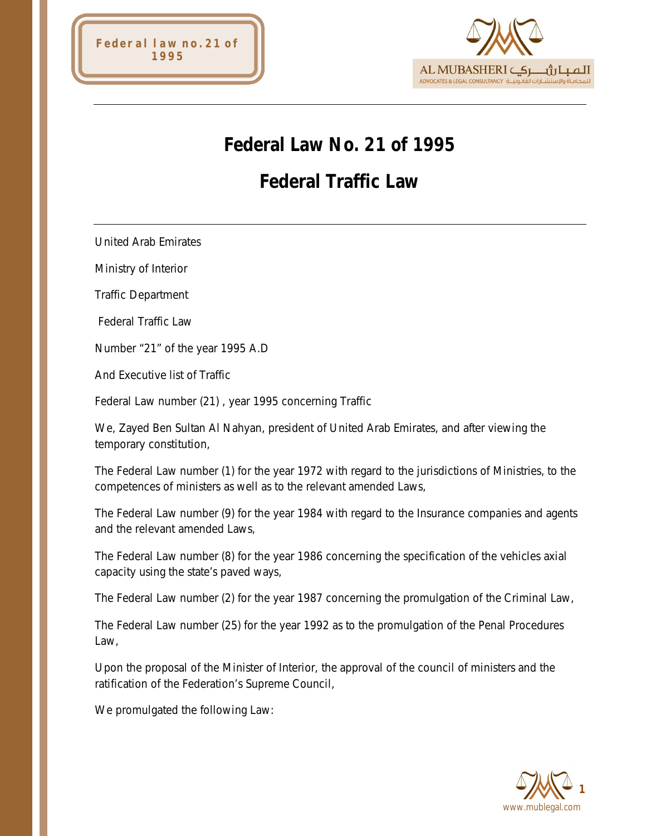



# **Federal Law No. 21 of 1995**

# **Federal Traffic Law**

United Arab Emirates

Ministry of Interior

Traffic Department

Federal Traffic Law

Number "21" of the year 1995 A.D

And Executive list of Traffic

Federal Law number (21) , year 1995 concerning Traffic

We, Zayed Ben Sultan Al Nahyan, president of United Arab Emirates, and after viewing the temporary constitution,

The Federal Law number (1) for the year 1972 with regard to the jurisdictions of Ministries, to the competences of ministers as well as to the relevant amended Laws,

The Federal Law number (9) for the year 1984 with regard to the Insurance companies and agents and the relevant amended Laws,

The Federal Law number (8) for the year 1986 concerning the specification of the vehicles axial capacity using the state's paved ways,

The Federal Law number (2) for the year 1987 concerning the promulgation of the Criminal Law,

The Federal Law number (25) for the year 1992 as to the promulgation of the Penal Procedures Law,

Upon the proposal of the Minister of Interior, the approval of the council of ministers and the ratification of the Federation's Supreme Council,

We promulgated the following Law:

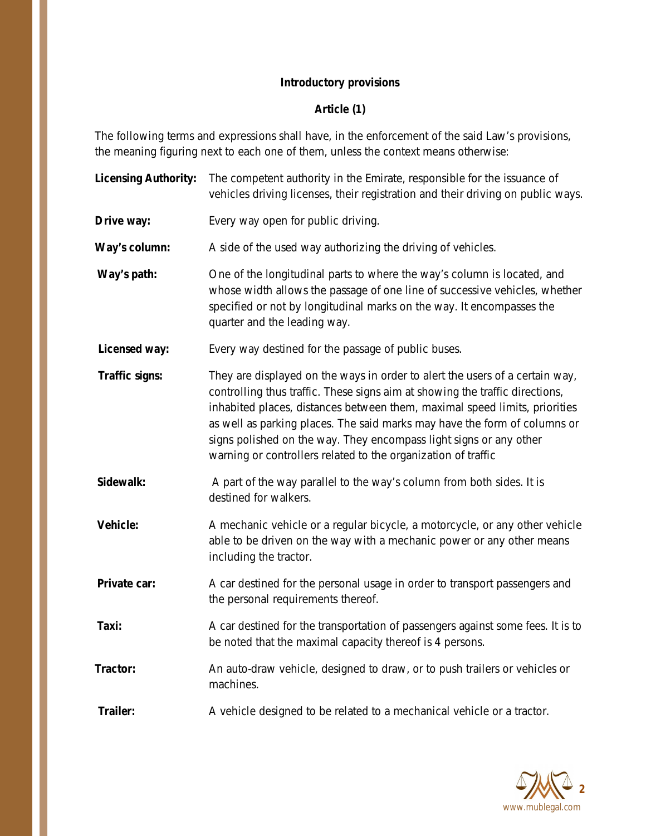### **Introductory provisions**

# **Article (1)**

The following terms and expressions shall have, in the enforcement of the said Law's provisions, the meaning figuring next to each one of them, unless the context means otherwise:

**Licensing Authority:** The competent authority in the Emirate, responsible for the issuance of vehicles driving licenses, their registration and their driving on public ways. **Drive way:** Every way open for public driving. **Way's column:** A side of the used way authorizing the driving of vehicles. **Way's path:** One of the longitudinal parts to where the way's column is located, and whose width allows the passage of one line of successive vehicles, whether specified or not by longitudinal marks on the way. It encompasses the quarter and the leading way. **Licensed way:** Every way destined for the passage of public buses. **Traffic signs:** They are displayed on the ways in order to alert the users of a certain way, controlling thus traffic. These signs aim at showing the traffic directions, inhabited places, distances between them, maximal speed limits, priorities as well as parking places. The said marks may have the form of columns or signs polished on the way. They encompass light signs or any other warning or controllers related to the organization of traffic **Sidewalk:** A part of the way parallel to the way's column from both sides. It is destined for walkers. **Vehicle:** A mechanic vehicle or a regular bicycle, a motorcycle, or any other vehicle able to be driven on the way with a mechanic power or any other means including the tractor. **Private car:** A car destined for the personal usage in order to transport passengers and the personal requirements thereof. **Taxi:** A car destined for the transportation of passengers against some fees. It is to be noted that the maximal capacity thereof is 4 persons. **Tractor:** An auto-draw vehicle, designed to draw, or to push trailers or vehicles or machines. **Trailer:** A vehicle designed to be related to a mechanical vehicle or a tractor.

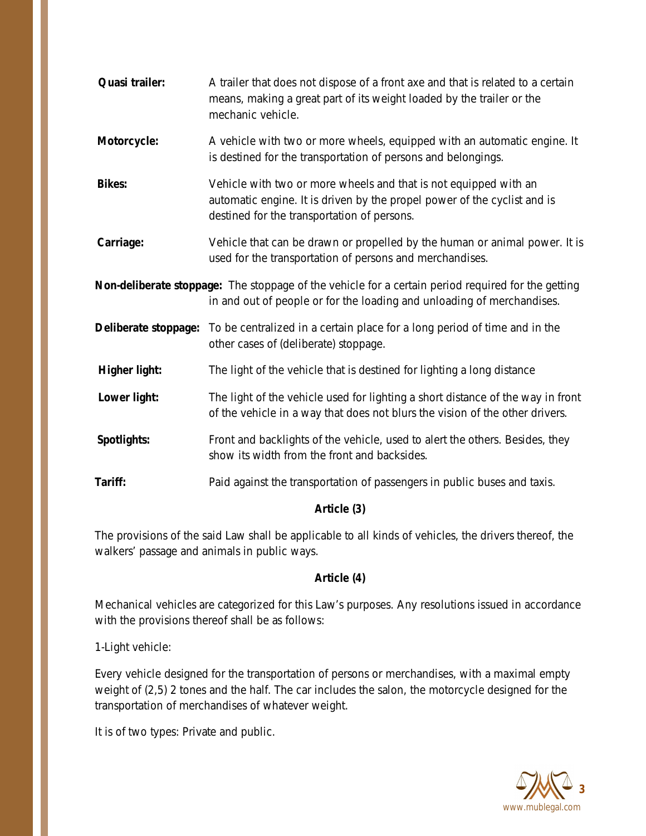| Quasi trailer:       | A trailer that does not dispose of a front axe and that is related to a certain<br>means, making a great part of its weight loaded by the trailer or the<br>mechanic vehicle.               |
|----------------------|---------------------------------------------------------------------------------------------------------------------------------------------------------------------------------------------|
| Motorcycle:          | A vehicle with two or more wheels, equipped with an automatic engine. It<br>is destined for the transportation of persons and belongings.                                                   |
| <b>Bikes:</b>        | Vehicle with two or more wheels and that is not equipped with an<br>automatic engine. It is driven by the propel power of the cyclist and is<br>destined for the transportation of persons. |
| Carriage:            | Vehicle that can be drawn or propelled by the human or animal power. It is<br>used for the transportation of persons and merchandises.                                                      |
|                      | Non-deliberate stoppage: The stoppage of the vehicle for a certain period required for the getting<br>in and out of people or for the loading and unloading of merchandises.                |
| Deliberate stoppage: | To be centralized in a certain place for a long period of time and in the<br>other cases of (deliberate) stoppage.                                                                          |
| <b>Higher light:</b> | The light of the vehicle that is destined for lighting a long distance                                                                                                                      |
| Lower light:         | The light of the vehicle used for lighting a short distance of the way in front<br>of the vehicle in a way that does not blurs the vision of the other drivers.                             |
| Spotlights:          | Front and backlights of the vehicle, used to alert the others. Besides, they<br>show its width from the front and backsides.                                                                |
| Tariff:              | Paid against the transportation of passengers in public buses and taxis.                                                                                                                    |

# **Article (3)**

The provisions of the said Law shall be applicable to all kinds of vehicles, the drivers thereof, the walkers' passage and animals in public ways.

# **Article (4)**

Mechanical vehicles are categorized for this Law's purposes. Any resolutions issued in accordance with the provisions thereof shall be as follows:

1-Light vehicle:

Every vehicle designed for the transportation of persons or merchandises, with a maximal empty weight of (2,5) 2 tones and the half. The car includes the salon, the motorcycle designed for the transportation of merchandises of whatever weight.

It is of two types: Private and public.

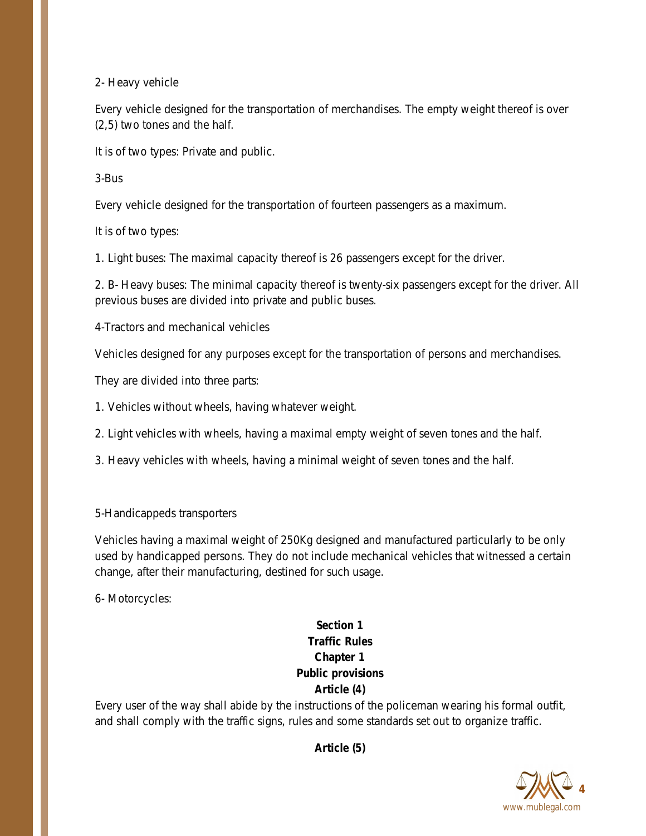2- Heavy vehicle

Every vehicle designed for the transportation of merchandises. The empty weight thereof is over (2,5) two tones and the half.

It is of two types: Private and public.

3-Bus

Every vehicle designed for the transportation of fourteen passengers as a maximum.

It is of two types:

1. Light buses: The maximal capacity thereof is 26 passengers except for the driver.

2. B- Heavy buses: The minimal capacity thereof is twenty-six passengers except for the driver. All previous buses are divided into private and public buses.

4-Tractors and mechanical vehicles

Vehicles designed for any purposes except for the transportation of persons and merchandises.

They are divided into three parts:

1. Vehicles without wheels, having whatever weight.

2. Light vehicles with wheels, having a maximal empty weight of seven tones and the half.

3. Heavy vehicles with wheels, having a minimal weight of seven tones and the half.

# 5-Handicappeds transporters

Vehicles having a maximal weight of 250Kg designed and manufactured particularly to be only used by handicapped persons. They do not include mechanical vehicles that witnessed a certain change, after their manufacturing, destined for such usage.

6- Motorcycles:

# **Section 1 Traffic Rules Chapter 1 Public provisions Article (4)**

Every user of the way shall abide by the instructions of the policeman wearing his formal outfit, and shall comply with the traffic signs, rules and some standards set out to organize traffic.

**Article (5)**

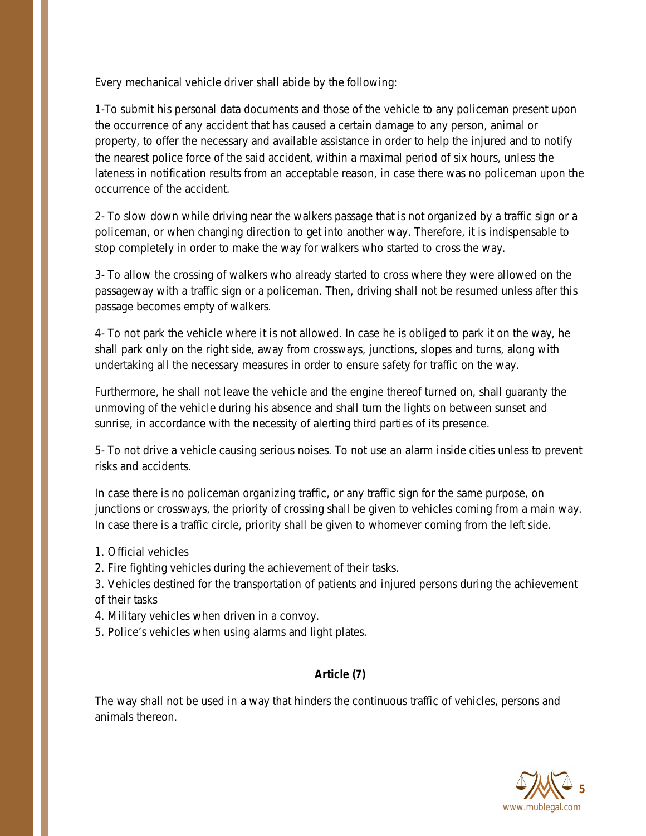Every mechanical vehicle driver shall abide by the following:

1-To submit his personal data documents and those of the vehicle to any policeman present upon the occurrence of any accident that has caused a certain damage to any person, animal or property, to offer the necessary and available assistance in order to help the injured and to notify the nearest police force of the said accident, within a maximal period of six hours, unless the lateness in notification results from an acceptable reason, in case there was no policeman upon the occurrence of the accident.

2- To slow down while driving near the walkers passage that is not organized by a traffic sign or a policeman, or when changing direction to get into another way. Therefore, it is indispensable to stop completely in order to make the way for walkers who started to cross the way.

3- To allow the crossing of walkers who already started to cross where they were allowed on the passageway with a traffic sign or a policeman. Then, driving shall not be resumed unless after this passage becomes empty of walkers.

4- To not park the vehicle where it is not allowed. In case he is obliged to park it on the way, he shall park only on the right side, away from crossways, junctions, slopes and turns, along with undertaking all the necessary measures in order to ensure safety for traffic on the way.

Furthermore, he shall not leave the vehicle and the engine thereof turned on, shall guaranty the unmoving of the vehicle during his absence and shall turn the lights on between sunset and sunrise, in accordance with the necessity of alerting third parties of its presence.

5- To not drive a vehicle causing serious noises. To not use an alarm inside cities unless to prevent risks and accidents.

In case there is no policeman organizing traffic, or any traffic sign for the same purpose, on junctions or crossways, the priority of crossing shall be given to vehicles coming from a main way. In case there is a traffic circle, priority shall be given to whomever coming from the left side.

1. Official vehicles

2. Fire fighting vehicles during the achievement of their tasks.

3. Vehicles destined for the transportation of patients and injured persons during the achievement of their tasks

- 4. Military vehicles when driven in a convoy.
- 5. Police's vehicles when using alarms and light plates.

# **Article (7)**

The way shall not be used in a way that hinders the continuous traffic of vehicles, persons and animals thereon.

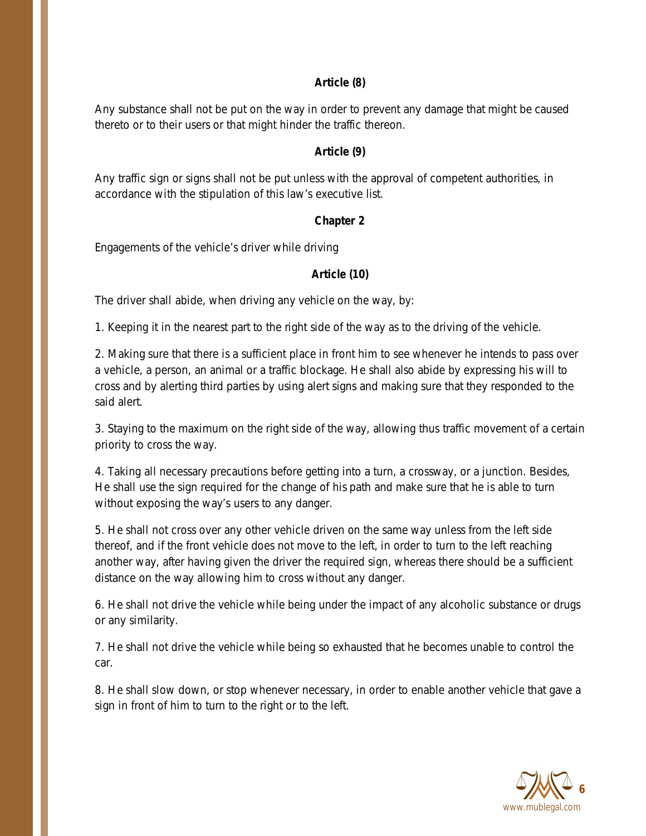### **Article (8)**

Any substance shall not be put on the way in order to prevent any damage that might be caused thereto or to their users or that might hinder the traffic thereon.

# **Article (9)**

Any traffic sign or signs shall not be put unless with the approval of competent authorities, in accordance with the stipulation of this law's executive list.

### **Chapter 2**

Engagements of the vehicle's driver while driving

### **Article (10)**

The driver shall abide, when driving any vehicle on the way, by:

1. Keeping it in the nearest part to the right side of the way as to the driving of the vehicle.

2. Making sure that there is a sufficient place in front him to see whenever he intends to pass over a vehicle, a person, an animal or a traffic blockage. He shall also abide by expressing his will to cross and by alerting third parties by using alert signs and making sure that they responded to the said alert.

3. Staying to the maximum on the right side of the way, allowing thus traffic movement of a certain priority to cross the way.

4. Taking all necessary precautions before getting into a turn, a crossway, or a junction. Besides, He shall use the sign required for the change of his path and make sure that he is able to turn without exposing the way's users to any danger.

5. He shall not cross over any other vehicle driven on the same way unless from the left side thereof, and if the front vehicle does not move to the left, in order to turn to the left reaching another way, after having given the driver the required sign, whereas there should be a sufficient distance on the way allowing him to cross without any danger.

6. He shall not drive the vehicle while being under the impact of any alcoholic substance or drugs or any similarity.

7. He shall not drive the vehicle while being so exhausted that he becomes unable to control the car.

8. He shall slow down, or stop whenever necessary, in order to enable another vehicle that gave a sign in front of him to turn to the right or to the left.

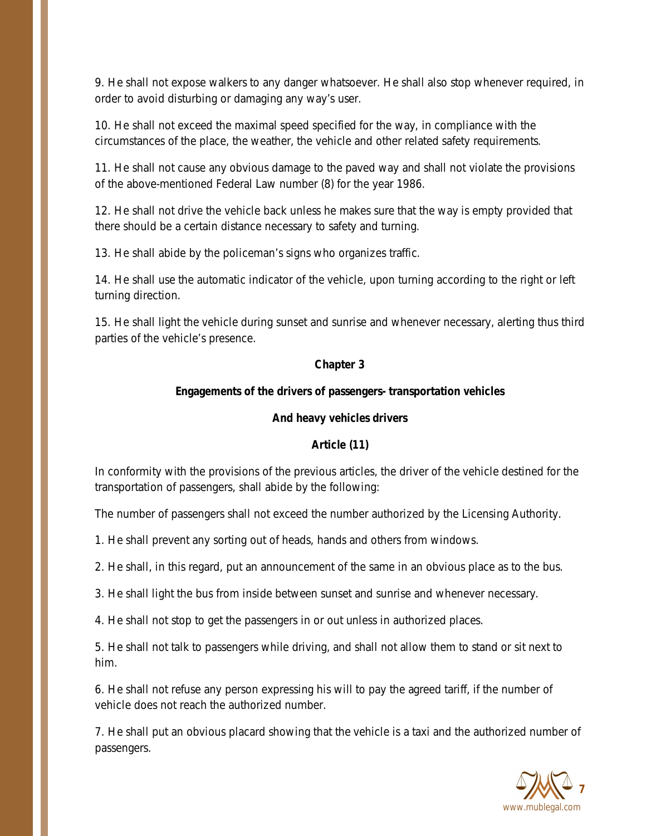9. He shall not expose walkers to any danger whatsoever. He shall also stop whenever required, in order to avoid disturbing or damaging any way's user.

10. He shall not exceed the maximal speed specified for the way, in compliance with the circumstances of the place, the weather, the vehicle and other related safety requirements.

11. He shall not cause any obvious damage to the paved way and shall not violate the provisions of the above-mentioned Federal Law number (8) for the year 1986.

12. He shall not drive the vehicle back unless he makes sure that the way is empty provided that there should be a certain distance necessary to safety and turning.

13. He shall abide by the policeman's signs who organizes traffic.

14. He shall use the automatic indicator of the vehicle, upon turning according to the right or left turning direction.

15. He shall light the vehicle during sunset and sunrise and whenever necessary, alerting thus third parties of the vehicle's presence.

#### **Chapter 3**

#### **Engagements of the drivers of passengers- transportation vehicles**

#### **And heavy vehicles drivers**

#### **Article (11)**

In conformity with the provisions of the previous articles, the driver of the vehicle destined for the transportation of passengers, shall abide by the following:

The number of passengers shall not exceed the number authorized by the Licensing Authority.

1. He shall prevent any sorting out of heads, hands and others from windows.

2. He shall, in this regard, put an announcement of the same in an obvious place as to the bus.

3. He shall light the bus from inside between sunset and sunrise and whenever necessary.

4. He shall not stop to get the passengers in or out unless in authorized places.

5. He shall not talk to passengers while driving, and shall not allow them to stand or sit next to him.

6. He shall not refuse any person expressing his will to pay the agreed tariff, if the number of vehicle does not reach the authorized number.

7. He shall put an obvious placard showing that the vehicle is a taxi and the authorized number of passengers.

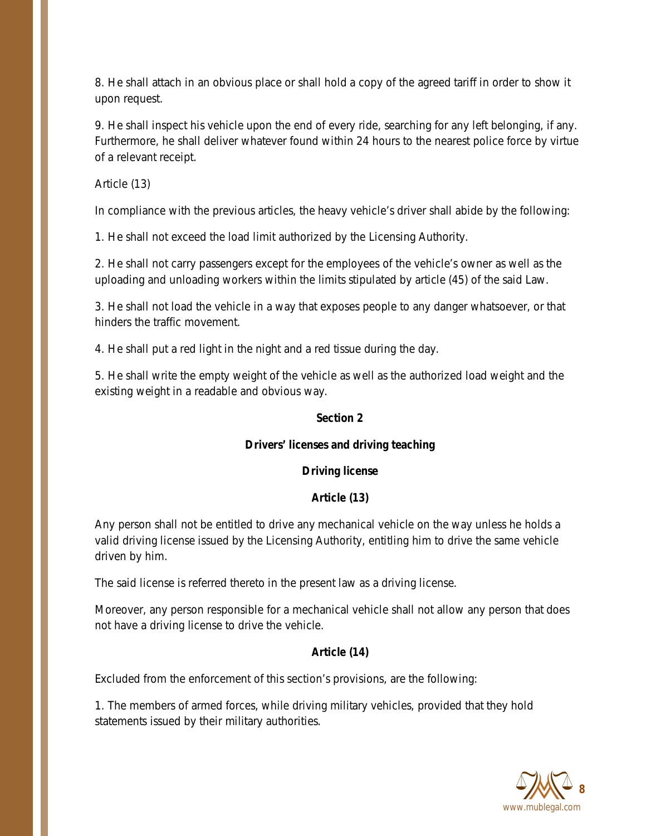8. He shall attach in an obvious place or shall hold a copy of the agreed tariff in order to show it upon request.

9. He shall inspect his vehicle upon the end of every ride, searching for any left belonging, if any. Furthermore, he shall deliver whatever found within 24 hours to the nearest police force by virtue of a relevant receipt.

Article (13)

In compliance with the previous articles, the heavy vehicle's driver shall abide by the following:

1. He shall not exceed the load limit authorized by the Licensing Authority.

2. He shall not carry passengers except for the employees of the vehicle's owner as well as the uploading and unloading workers within the limits stipulated by article (45) of the said Law.

3. He shall not load the vehicle in a way that exposes people to any danger whatsoever, or that hinders the traffic movement.

4. He shall put a red light in the night and a red tissue during the day.

5. He shall write the empty weight of the vehicle as well as the authorized load weight and the existing weight in a readable and obvious way.

### **Section 2**

# **Drivers' licenses and driving teaching**

#### **Driving license**

# **Article (13)**

Any person shall not be entitled to drive any mechanical vehicle on the way unless he holds a valid driving license issued by the Licensing Authority, entitling him to drive the same vehicle driven by him.

The said license is referred thereto in the present law as a driving license.

Moreover, any person responsible for a mechanical vehicle shall not allow any person that does not have a driving license to drive the vehicle.

# **Article (14)**

Excluded from the enforcement of this section's provisions, are the following:

1. The members of armed forces, while driving military vehicles, provided that they hold statements issued by their military authorities.

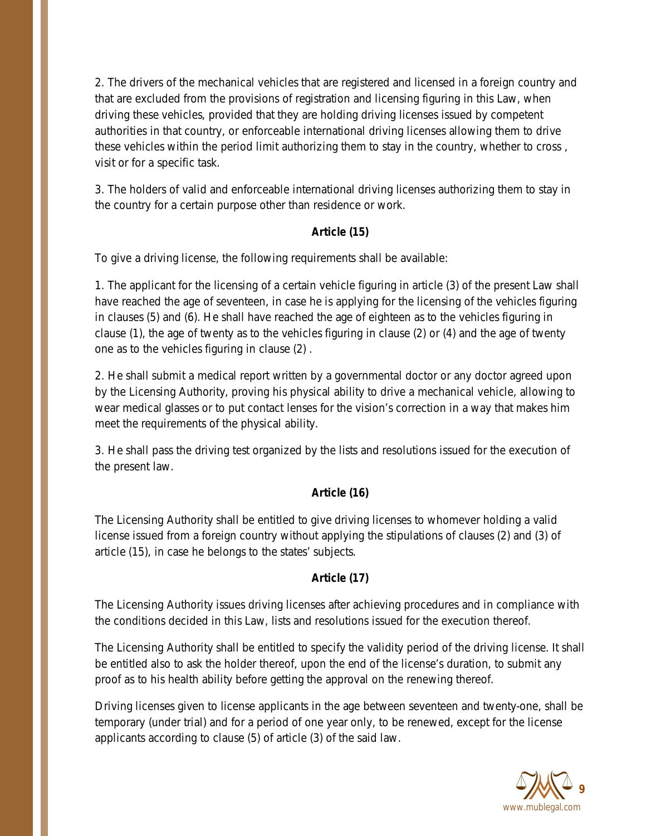2. The drivers of the mechanical vehicles that are registered and licensed in a foreign country and that are excluded from the provisions of registration and licensing figuring in this Law, when driving these vehicles, provided that they are holding driving licenses issued by competent authorities in that country, or enforceable international driving licenses allowing them to drive these vehicles within the period limit authorizing them to stay in the country, whether to cross , visit or for a specific task.

3. The holders of valid and enforceable international driving licenses authorizing them to stay in the country for a certain purpose other than residence or work.

# **Article (15)**

To give a driving license, the following requirements shall be available:

1. The applicant for the licensing of a certain vehicle figuring in article (3) of the present Law shall have reached the age of seventeen, in case he is applying for the licensing of the vehicles figuring in clauses (5) and (6). He shall have reached the age of eighteen as to the vehicles figuring in clause (1), the age of twenty as to the vehicles figuring in clause (2) or (4) and the age of twenty one as to the vehicles figuring in clause (2) .

2. He shall submit a medical report written by a governmental doctor or any doctor agreed upon by the Licensing Authority, proving his physical ability to drive a mechanical vehicle, allowing to wear medical glasses or to put contact lenses for the vision's correction in a way that makes him meet the requirements of the physical ability.

3. He shall pass the driving test organized by the lists and resolutions issued for the execution of the present law.

# **Article (16)**

The Licensing Authority shall be entitled to give driving licenses to whomever holding a valid license issued from a foreign country without applying the stipulations of clauses (2) and (3) of article (15), in case he belongs to the states' subjects.

# **Article (17)**

The Licensing Authority issues driving licenses after achieving procedures and in compliance with the conditions decided in this Law, lists and resolutions issued for the execution thereof.

The Licensing Authority shall be entitled to specify the validity period of the driving license. It shall be entitled also to ask the holder thereof, upon the end of the license's duration, to submit any proof as to his health ability before getting the approval on the renewing thereof.

Driving licenses given to license applicants in the age between seventeen and twenty-one, shall be temporary (under trial) and for a period of one year only, to be renewed, except for the license applicants according to clause (5) of article (3) of the said law.

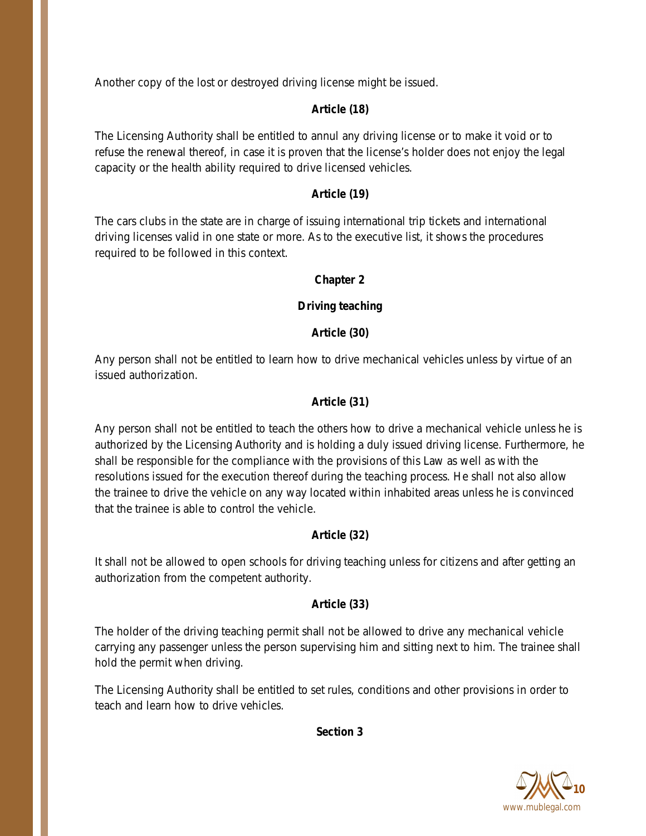Another copy of the lost or destroyed driving license might be issued.

# **Article (18)**

The Licensing Authority shall be entitled to annul any driving license or to make it void or to refuse the renewal thereof, in case it is proven that the license's holder does not enjoy the legal capacity or the health ability required to drive licensed vehicles.

# **Article (19)**

The cars clubs in the state are in charge of issuing international trip tickets and international driving licenses valid in one state or more. As to the executive list, it shows the procedures required to be followed in this context.

# **Chapter 2**

# **Driving teaching**

# **Article (30)**

Any person shall not be entitled to learn how to drive mechanical vehicles unless by virtue of an issued authorization.

# **Article (31)**

Any person shall not be entitled to teach the others how to drive a mechanical vehicle unless he is authorized by the Licensing Authority and is holding a duly issued driving license. Furthermore, he shall be responsible for the compliance with the provisions of this Law as well as with the resolutions issued for the execution thereof during the teaching process. He shall not also allow the trainee to drive the vehicle on any way located within inhabited areas unless he is convinced that the trainee is able to control the vehicle.

# **Article (32)**

It shall not be allowed to open schools for driving teaching unless for citizens and after getting an authorization from the competent authority.

# **Article (33)**

The holder of the driving teaching permit shall not be allowed to drive any mechanical vehicle carrying any passenger unless the person supervising him and sitting next to him. The trainee shall hold the permit when driving.

The Licensing Authority shall be entitled to set rules, conditions and other provisions in order to teach and learn how to drive vehicles.

**Section 3**

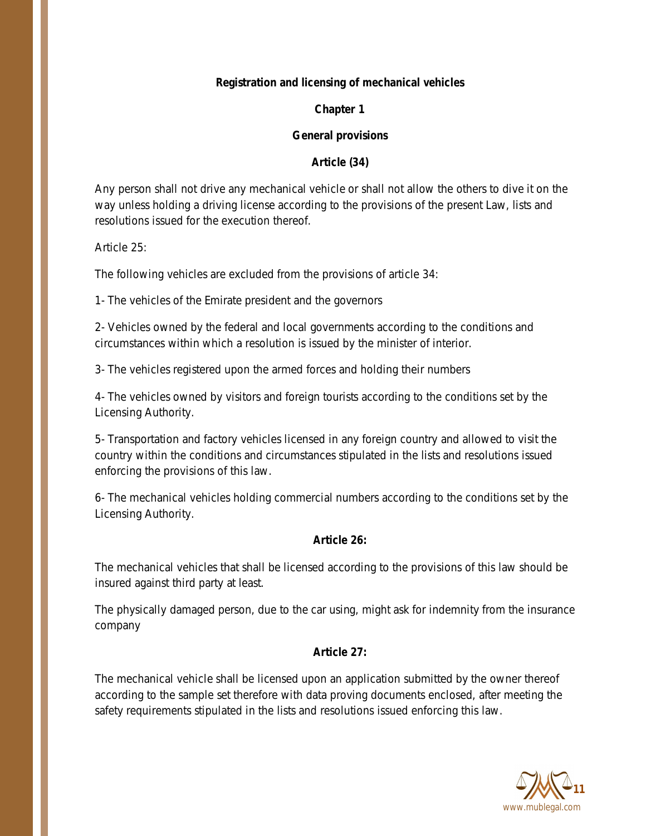#### **Registration and licensing of mechanical vehicles**

#### **Chapter 1**

### **General provisions**

# **Article (34)**

Any person shall not drive any mechanical vehicle or shall not allow the others to dive it on the way unless holding a driving license according to the provisions of the present Law, lists and resolutions issued for the execution thereof.

Article 25:

The following vehicles are excluded from the provisions of article 34:

1- The vehicles of the Emirate president and the governors

2- Vehicles owned by the federal and local governments according to the conditions and circumstances within which a resolution is issued by the minister of interior.

3- The vehicles registered upon the armed forces and holding their numbers

4- The vehicles owned by visitors and foreign tourists according to the conditions set by the Licensing Authority.

5- Transportation and factory vehicles licensed in any foreign country and allowed to visit the country within the conditions and circumstances stipulated in the lists and resolutions issued enforcing the provisions of this law.

6- The mechanical vehicles holding commercial numbers according to the conditions set by the Licensing Authority.

# **Article 26:**

The mechanical vehicles that shall be licensed according to the provisions of this law should be insured against third party at least.

The physically damaged person, due to the car using, might ask for indemnity from the insurance company

# **Article 27:**

The mechanical vehicle shall be licensed upon an application submitted by the owner thereof according to the sample set therefore with data proving documents enclosed, after meeting the safety requirements stipulated in the lists and resolutions issued enforcing this law.

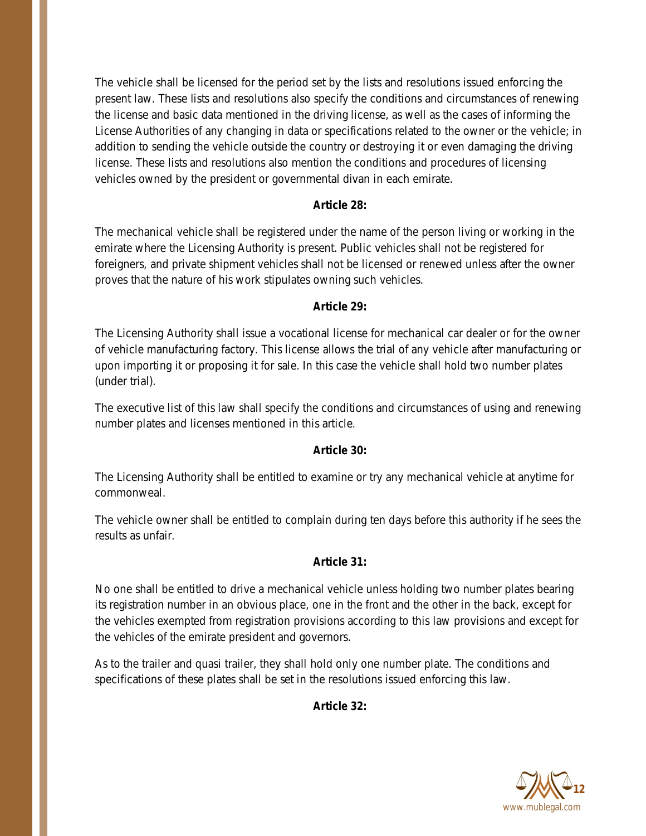The vehicle shall be licensed for the period set by the lists and resolutions issued enforcing the present law. These lists and resolutions also specify the conditions and circumstances of renewing the license and basic data mentioned in the driving license, as well as the cases of informing the License Authorities of any changing in data or specifications related to the owner or the vehicle; in addition to sending the vehicle outside the country or destroying it or even damaging the driving license. These lists and resolutions also mention the conditions and procedures of licensing vehicles owned by the president or governmental divan in each emirate.

# **Article 28:**

The mechanical vehicle shall be registered under the name of the person living or working in the emirate where the Licensing Authority is present. Public vehicles shall not be registered for foreigners, and private shipment vehicles shall not be licensed or renewed unless after the owner proves that the nature of his work stipulates owning such vehicles.

#### **Article 29:**

The Licensing Authority shall issue a vocational license for mechanical car dealer or for the owner of vehicle manufacturing factory. This license allows the trial of any vehicle after manufacturing or upon importing it or proposing it for sale. In this case the vehicle shall hold two number plates (under trial).

The executive list of this law shall specify the conditions and circumstances of using and renewing number plates and licenses mentioned in this article.

#### **Article 30:**

The Licensing Authority shall be entitled to examine or try any mechanical vehicle at anytime for commonweal.

The vehicle owner shall be entitled to complain during ten days before this authority if he sees the results as unfair.

#### **Article 31:**

No one shall be entitled to drive a mechanical vehicle unless holding two number plates bearing its registration number in an obvious place, one in the front and the other in the back, except for the vehicles exempted from registration provisions according to this law provisions and except for the vehicles of the emirate president and governors.

As to the trailer and quasi trailer, they shall hold only one number plate. The conditions and specifications of these plates shall be set in the resolutions issued enforcing this law.

**Article 32:**

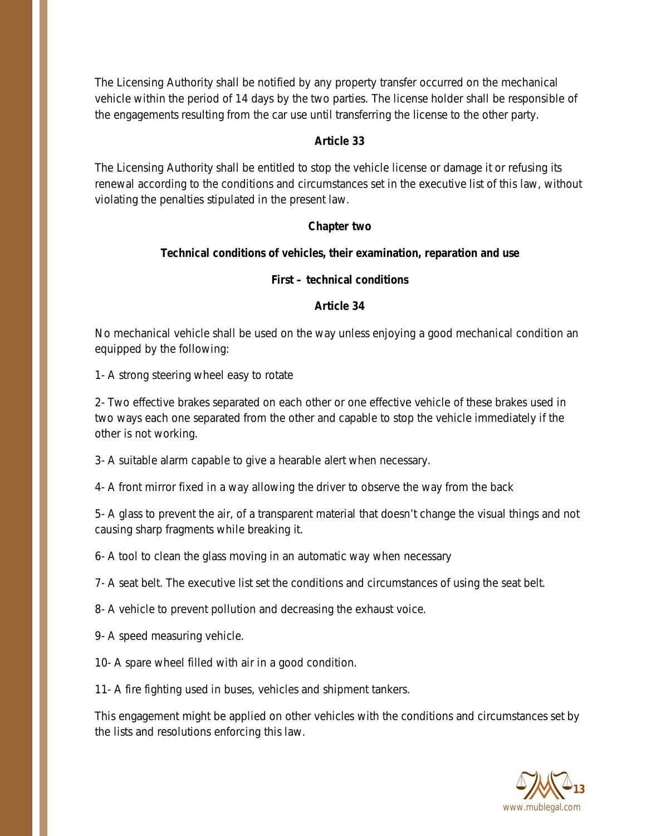The Licensing Authority shall be notified by any property transfer occurred on the mechanical vehicle within the period of 14 days by the two parties. The license holder shall be responsible of the engagements resulting from the car use until transferring the license to the other party.

### **Article 33**

The Licensing Authority shall be entitled to stop the vehicle license or damage it or refusing its renewal according to the conditions and circumstances set in the executive list of this law, without violating the penalties stipulated in the present law.

### **Chapter two**

### **Technical conditions of vehicles, their examination, reparation and use**

#### **First – technical conditions**

#### **Article 34**

No mechanical vehicle shall be used on the way unless enjoying a good mechanical condition an equipped by the following:

1- A strong steering wheel easy to rotate

2- Two effective brakes separated on each other or one effective vehicle of these brakes used in two ways each one separated from the other and capable to stop the vehicle immediately if the other is not working.

3- A suitable alarm capable to give a hearable alert when necessary.

4- A front mirror fixed in a way allowing the driver to observe the way from the back

5- A glass to prevent the air, of a transparent material that doesn't change the visual things and not causing sharp fragments while breaking it.

6- A tool to clean the glass moving in an automatic way when necessary

7- A seat belt. The executive list set the conditions and circumstances of using the seat belt.

8- A vehicle to prevent pollution and decreasing the exhaust voice.

9- A speed measuring vehicle.

10- A spare wheel filled with air in a good condition.

11- A fire fighting used in buses, vehicles and shipment tankers.

This engagement might be applied on other vehicles with the conditions and circumstances set by the lists and resolutions enforcing this law.

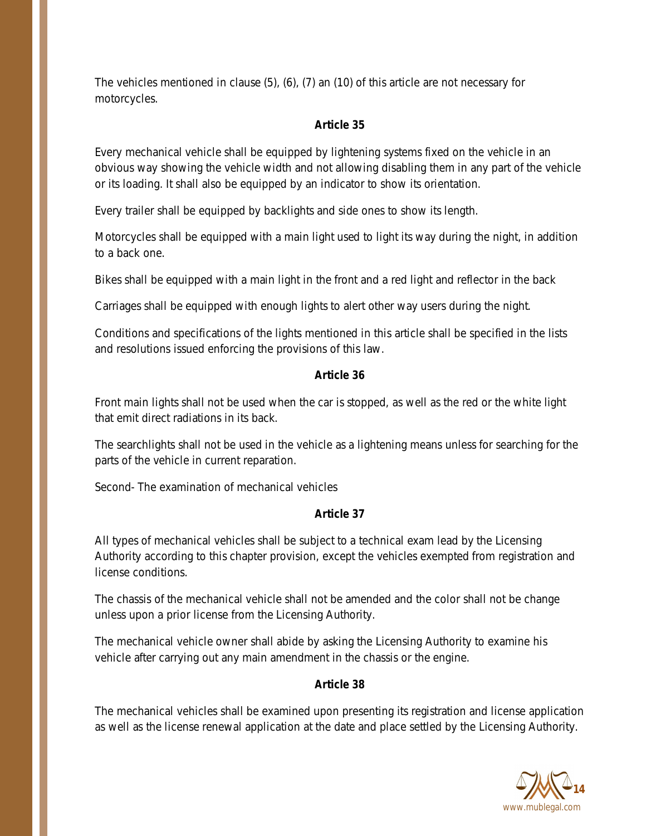The vehicles mentioned in clause (5), (6), (7) an (10) of this article are not necessary for motorcycles.

# **Article 35**

Every mechanical vehicle shall be equipped by lightening systems fixed on the vehicle in an obvious way showing the vehicle width and not allowing disabling them in any part of the vehicle or its loading. It shall also be equipped by an indicator to show its orientation.

Every trailer shall be equipped by backlights and side ones to show its length.

Motorcycles shall be equipped with a main light used to light its way during the night, in addition to a back one.

Bikes shall be equipped with a main light in the front and a red light and reflector in the back

Carriages shall be equipped with enough lights to alert other way users during the night.

Conditions and specifications of the lights mentioned in this article shall be specified in the lists and resolutions issued enforcing the provisions of this law.

# **Article 36**

Front main lights shall not be used when the car is stopped, as well as the red or the white light that emit direct radiations in its back.

The searchlights shall not be used in the vehicle as a lightening means unless for searching for the parts of the vehicle in current reparation.

Second- The examination of mechanical vehicles

# **Article 37**

All types of mechanical vehicles shall be subject to a technical exam lead by the Licensing Authority according to this chapter provision, except the vehicles exempted from registration and license conditions.

The chassis of the mechanical vehicle shall not be amended and the color shall not be change unless upon a prior license from the Licensing Authority.

The mechanical vehicle owner shall abide by asking the Licensing Authority to examine his vehicle after carrying out any main amendment in the chassis or the engine.

# **Article 38**

The mechanical vehicles shall be examined upon presenting its registration and license application as well as the license renewal application at the date and place settled by the Licensing Authority.

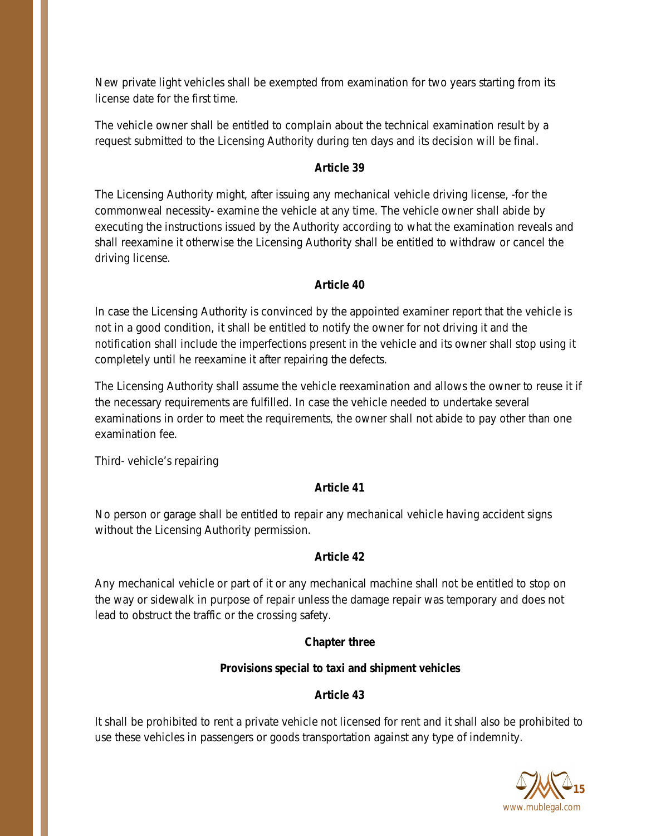New private light vehicles shall be exempted from examination for two years starting from its license date for the first time.

The vehicle owner shall be entitled to complain about the technical examination result by a request submitted to the Licensing Authority during ten days and its decision will be final.

# **Article 39**

The Licensing Authority might, after issuing any mechanical vehicle driving license, -for the commonweal necessity- examine the vehicle at any time. The vehicle owner shall abide by executing the instructions issued by the Authority according to what the examination reveals and shall reexamine it otherwise the Licensing Authority shall be entitled to withdraw or cancel the driving license.

# **Article 40**

In case the Licensing Authority is convinced by the appointed examiner report that the vehicle is not in a good condition, it shall be entitled to notify the owner for not driving it and the notification shall include the imperfections present in the vehicle and its owner shall stop using it completely until he reexamine it after repairing the defects.

The Licensing Authority shall assume the vehicle reexamination and allows the owner to reuse it if the necessary requirements are fulfilled. In case the vehicle needed to undertake several examinations in order to meet the requirements, the owner shall not abide to pay other than one examination fee.

Third- vehicle's repairing

# **Article 41**

No person or garage shall be entitled to repair any mechanical vehicle having accident signs without the Licensing Authority permission.

# **Article 42**

Any mechanical vehicle or part of it or any mechanical machine shall not be entitled to stop on the way or sidewalk in purpose of repair unless the damage repair was temporary and does not lead to obstruct the traffic or the crossing safety.

# **Chapter three**

# **Provisions special to taxi and shipment vehicles**

# **Article 43**

It shall be prohibited to rent a private vehicle not licensed for rent and it shall also be prohibited to use these vehicles in passengers or goods transportation against any type of indemnity.

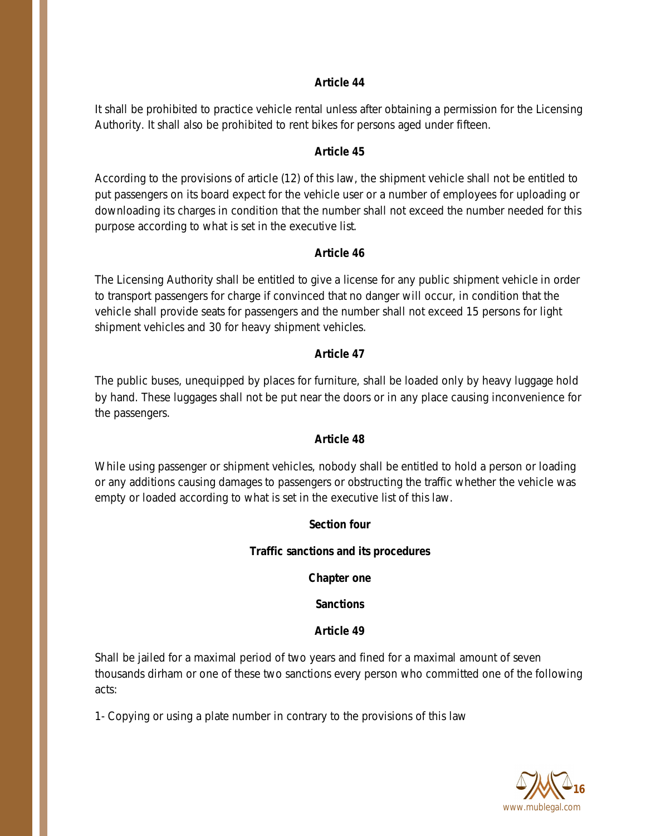It shall be prohibited to practice vehicle rental unless after obtaining a permission for the Licensing Authority. It shall also be prohibited to rent bikes for persons aged under fifteen.

# **Article 45**

According to the provisions of article (12) of this law, the shipment vehicle shall not be entitled to put passengers on its board expect for the vehicle user or a number of employees for uploading or downloading its charges in condition that the number shall not exceed the number needed for this purpose according to what is set in the executive list.

# **Article 46**

The Licensing Authority shall be entitled to give a license for any public shipment vehicle in order to transport passengers for charge if convinced that no danger will occur, in condition that the vehicle shall provide seats for passengers and the number shall not exceed 15 persons for light shipment vehicles and 30 for heavy shipment vehicles.

# **Article 47**

The public buses, unequipped by places for furniture, shall be loaded only by heavy luggage hold by hand. These luggages shall not be put near the doors or in any place causing inconvenience for the passengers.

# **Article 48**

While using passenger or shipment vehicles, nobody shall be entitled to hold a person or loading or any additions causing damages to passengers or obstructing the traffic whether the vehicle was empty or loaded according to what is set in the executive list of this law.

# **Section four**

# **Traffic sanctions and its procedures**

# **Chapter one**

# **Sanctions**

# **Article 49**

Shall be jailed for a maximal period of two years and fined for a maximal amount of seven thousands dirham or one of these two sanctions every person who committed one of the following acts:

1- Copying or using a plate number in contrary to the provisions of this law

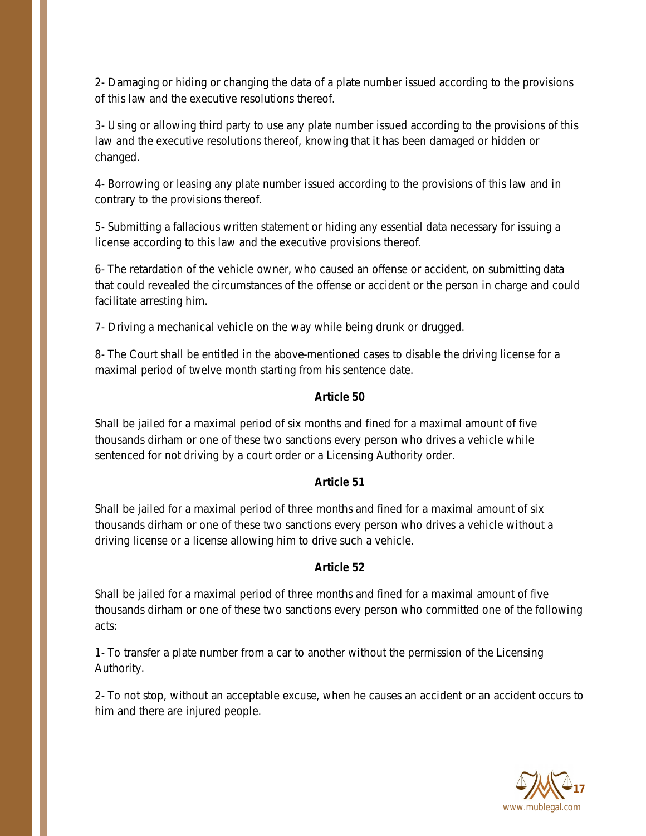2- Damaging or hiding or changing the data of a plate number issued according to the provisions of this law and the executive resolutions thereof.

3- Using or allowing third party to use any plate number issued according to the provisions of this law and the executive resolutions thereof, knowing that it has been damaged or hidden or changed.

4- Borrowing or leasing any plate number issued according to the provisions of this law and in contrary to the provisions thereof.

5- Submitting a fallacious written statement or hiding any essential data necessary for issuing a license according to this law and the executive provisions thereof.

6- The retardation of the vehicle owner, who caused an offense or accident, on submitting data that could revealed the circumstances of the offense or accident or the person in charge and could facilitate arresting him.

7- Driving a mechanical vehicle on the way while being drunk or drugged.

8- The Court shall be entitled in the above-mentioned cases to disable the driving license for a maximal period of twelve month starting from his sentence date.

# **Article 50**

Shall be jailed for a maximal period of six months and fined for a maximal amount of five thousands dirham or one of these two sanctions every person who drives a vehicle while sentenced for not driving by a court order or a Licensing Authority order.

# **Article 51**

Shall be jailed for a maximal period of three months and fined for a maximal amount of six thousands dirham or one of these two sanctions every person who drives a vehicle without a driving license or a license allowing him to drive such a vehicle.

# **Article 52**

Shall be jailed for a maximal period of three months and fined for a maximal amount of five thousands dirham or one of these two sanctions every person who committed one of the following acts:

1- To transfer a plate number from a car to another without the permission of the Licensing Authority.

2- To not stop, without an acceptable excuse, when he causes an accident or an accident occurs to him and there are injured people.

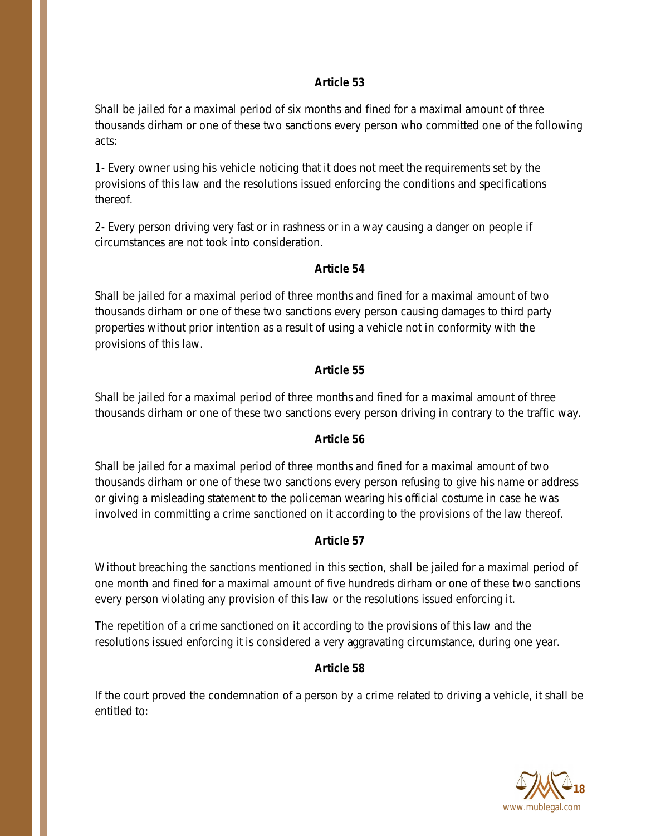Shall be jailed for a maximal period of six months and fined for a maximal amount of three thousands dirham or one of these two sanctions every person who committed one of the following acts:

1- Every owner using his vehicle noticing that it does not meet the requirements set by the provisions of this law and the resolutions issued enforcing the conditions and specifications thereof.

2- Every person driving very fast or in rashness or in a way causing a danger on people if circumstances are not took into consideration.

# **Article 54**

Shall be jailed for a maximal period of three months and fined for a maximal amount of two thousands dirham or one of these two sanctions every person causing damages to third party properties without prior intention as a result of using a vehicle not in conformity with the provisions of this law.

# **Article 55**

Shall be jailed for a maximal period of three months and fined for a maximal amount of three thousands dirham or one of these two sanctions every person driving in contrary to the traffic way.

# **Article 56**

Shall be jailed for a maximal period of three months and fined for a maximal amount of two thousands dirham or one of these two sanctions every person refusing to give his name or address or giving a misleading statement to the policeman wearing his official costume in case he was involved in committing a crime sanctioned on it according to the provisions of the law thereof.

# **Article 57**

Without breaching the sanctions mentioned in this section, shall be jailed for a maximal period of one month and fined for a maximal amount of five hundreds dirham or one of these two sanctions every person violating any provision of this law or the resolutions issued enforcing it.

The repetition of a crime sanctioned on it according to the provisions of this law and the resolutions issued enforcing it is considered a very aggravating circumstance, during one year.

# **Article 58**

If the court proved the condemnation of a person by a crime related to driving a vehicle, it shall be entitled to:

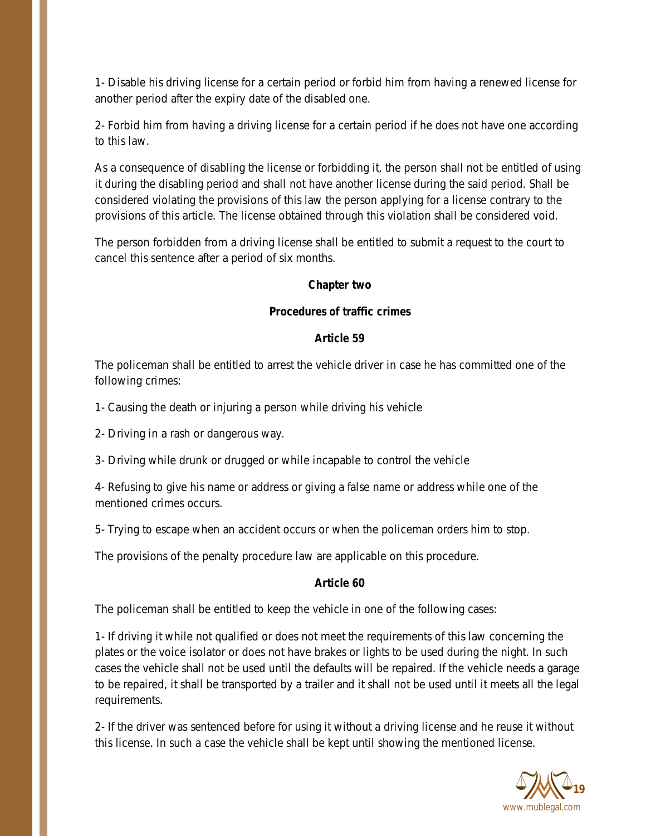1- Disable his driving license for a certain period or forbid him from having a renewed license for another period after the expiry date of the disabled one.

2- Forbid him from having a driving license for a certain period if he does not have one according to this law.

As a consequence of disabling the license or forbidding it, the person shall not be entitled of using it during the disabling period and shall not have another license during the said period. Shall be considered violating the provisions of this law the person applying for a license contrary to the provisions of this article. The license obtained through this violation shall be considered void.

The person forbidden from a driving license shall be entitled to submit a request to the court to cancel this sentence after a period of six months.

#### **Chapter two**

### **Procedures of traffic crimes**

### **Article 59**

The policeman shall be entitled to arrest the vehicle driver in case he has committed one of the following crimes:

1- Causing the death or injuring a person while driving his vehicle

2- Driving in a rash or dangerous way.

3- Driving while drunk or drugged or while incapable to control the vehicle

4- Refusing to give his name or address or giving a false name or address while one of the mentioned crimes occurs.

5- Trying to escape when an accident occurs or when the policeman orders him to stop.

The provisions of the penalty procedure law are applicable on this procedure.

# **Article 60**

The policeman shall be entitled to keep the vehicle in one of the following cases:

1- If driving it while not qualified or does not meet the requirements of this law concerning the plates or the voice isolator or does not have brakes or lights to be used during the night. In such cases the vehicle shall not be used until the defaults will be repaired. If the vehicle needs a garage to be repaired, it shall be transported by a trailer and it shall not be used until it meets all the legal requirements.

2- If the driver was sentenced before for using it without a driving license and he reuse it without this license. In such a case the vehicle shall be kept until showing the mentioned license.

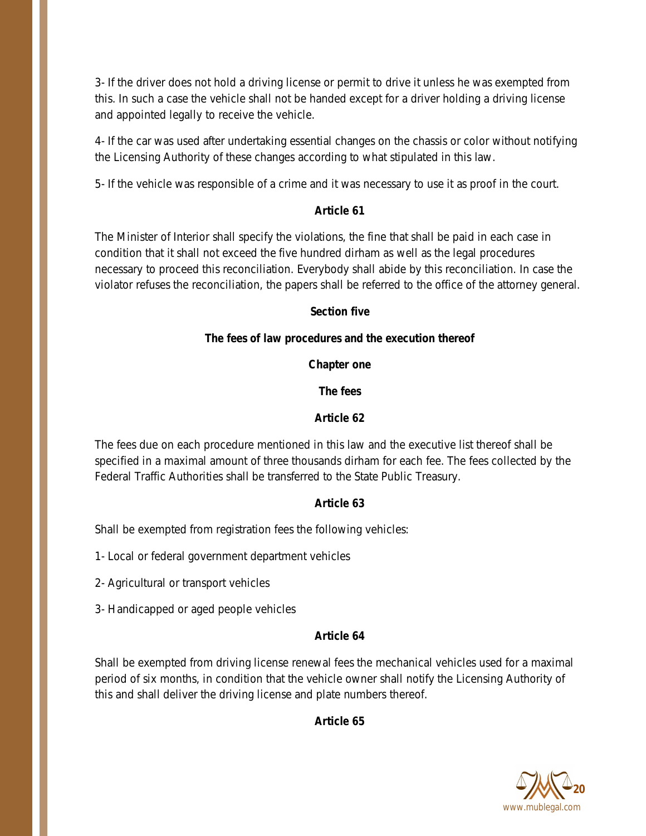3- If the driver does not hold a driving license or permit to drive it unless he was exempted from this. In such a case the vehicle shall not be handed except for a driver holding a driving license and appointed legally to receive the vehicle.

4- If the car was used after undertaking essential changes on the chassis or color without notifying the Licensing Authority of these changes according to what stipulated in this law.

5- If the vehicle was responsible of a crime and it was necessary to use it as proof in the court.

# **Article 61**

The Minister of Interior shall specify the violations, the fine that shall be paid in each case in condition that it shall not exceed the five hundred dirham as well as the legal procedures necessary to proceed this reconciliation. Everybody shall abide by this reconciliation. In case the violator refuses the reconciliation, the papers shall be referred to the office of the attorney general.

# **Section five**

# **The fees of law procedures and the execution thereof**

**Chapter one**

**The fees**

# **Article 62**

The fees due on each procedure mentioned in this law and the executive list thereof shall be specified in a maximal amount of three thousands dirham for each fee. The fees collected by the Federal Traffic Authorities shall be transferred to the State Public Treasury.

# **Article 63**

Shall be exempted from registration fees the following vehicles:

1- Local or federal government department vehicles

2- Agricultural or transport vehicles

3- Handicapped or aged people vehicles

# **Article 64**

Shall be exempted from driving license renewal fees the mechanical vehicles used for a maximal period of six months, in condition that the vehicle owner shall notify the Licensing Authority of this and shall deliver the driving license and plate numbers thereof.

# **Article 65**

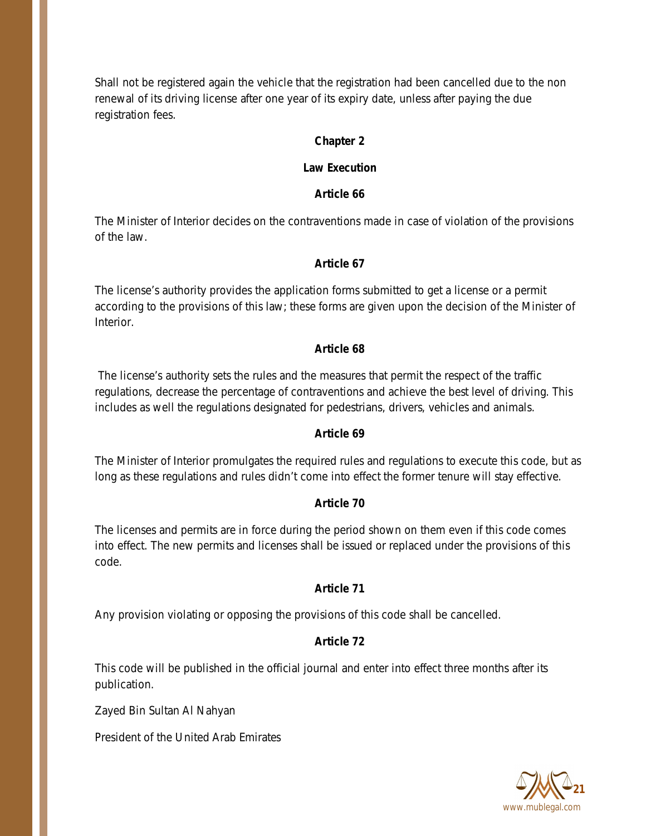Shall not be registered again the vehicle that the registration had been cancelled due to the non renewal of its driving license after one year of its expiry date, unless after paying the due registration fees.

### **Chapter 2**

### **Law Execution**

### **Article 66**

The Minister of Interior decides on the contraventions made in case of violation of the provisions of the law.

# **Article 67**

The license's authority provides the application forms submitted to get a license or a permit according to the provisions of this law; these forms are given upon the decision of the Minister of Interior.

# **Article 68**

The license's authority sets the rules and the measures that permit the respect of the traffic regulations, decrease the percentage of contraventions and achieve the best level of driving. This includes as well the regulations designated for pedestrians, drivers, vehicles and animals.

# **Article 69**

The Minister of Interior promulgates the required rules and regulations to execute this code, but as long as these regulations and rules didn't come into effect the former tenure will stay effective.

# **Article 70**

The licenses and permits are in force during the period shown on them even if this code comes into effect. The new permits and licenses shall be issued or replaced under the provisions of this code.

# **Article 71**

Any provision violating or opposing the provisions of this code shall be cancelled.

# **Article 72**

This code will be published in the official journal and enter into effect three months after its publication.

Zayed Bin Sultan Al Nahyan

President of the United Arab Emirates

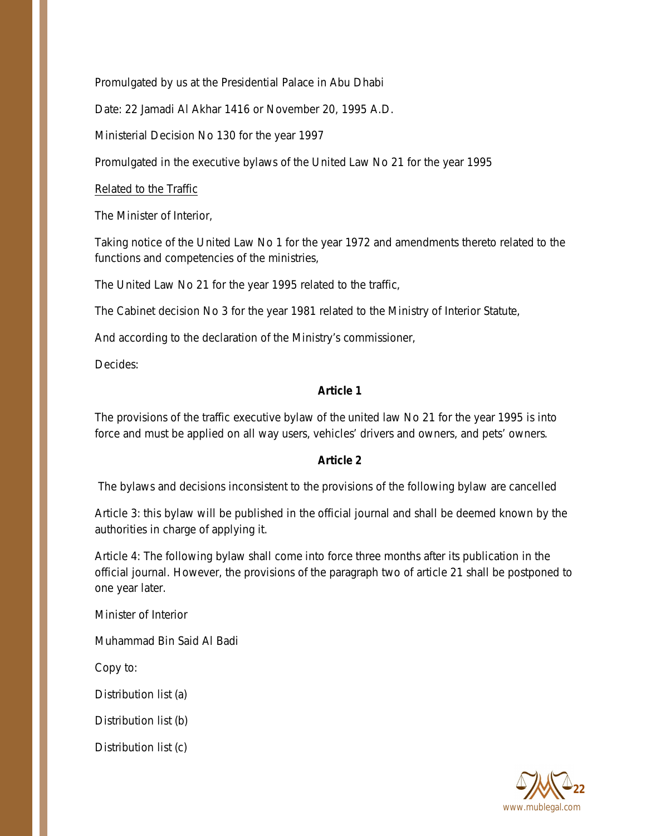Promulgated by us at the Presidential Palace in Abu Dhabi

Date: 22 Jamadi Al Akhar 1416 or November 20, 1995 A.D.

Ministerial Decision No 130 for the year 1997

Promulgated in the executive bylaws of the United Law No 21 for the year 1995

Related to the Traffic

The Minister of Interior,

Taking notice of the United Law No 1 for the year 1972 and amendments thereto related to the functions and competencies of the ministries,

The United Law No 21 for the year 1995 related to the traffic,

The Cabinet decision No 3 for the year 1981 related to the Ministry of Interior Statute,

And according to the declaration of the Ministry's commissioner,

Decides:

#### **Article 1**

The provisions of the traffic executive bylaw of the united law No 21 for the year 1995 is into force and must be applied on all way users, vehicles' drivers and owners, and pets' owners.

#### **Article 2**

The bylaws and decisions inconsistent to the provisions of the following bylaw are cancelled

Article 3: this bylaw will be published in the official journal and shall be deemed known by the authorities in charge of applying it.

Article 4: The following bylaw shall come into force three months after its publication in the official journal. However, the provisions of the paragraph two of article 21 shall be postponed to one year later.

Minister of Interior

Muhammad Bin Said Al Badi

Copy to:

Distribution list (a)

Distribution list (b)

Distribution list (c)

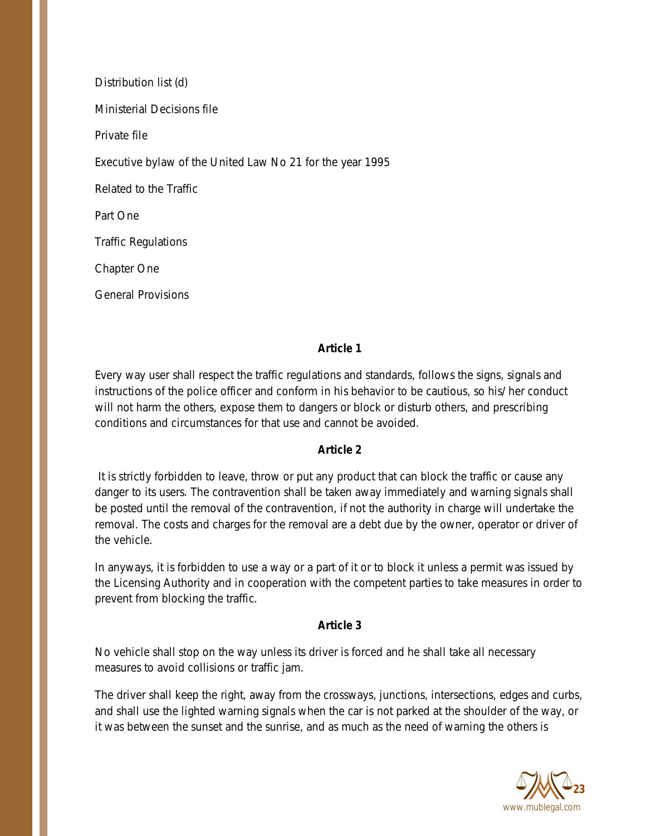Distribution list (d) Ministerial Decisions file Private file Executive bylaw of the United Law No 21 for the year 1995 Related to the Traffic Part One Traffic Regulations Chapter One General Provisions

### **Article 1**

Every way user shall respect the traffic regulations and standards, follows the signs, signals and instructions of the police officer and conform in his behavior to be cautious, so his/ her conduct will not harm the others, expose them to dangers or block or disturb others, and prescribing conditions and circumstances for that use and cannot be avoided.

#### **Article 2**

It is strictly forbidden to leave, throw or put any product that can block the traffic or cause any danger to its users. The contravention shall be taken away immediately and warning signals shall be posted until the removal of the contravention, if not the authority in charge will undertake the removal. The costs and charges for the removal are a debt due by the owner, operator or driver of the vehicle.

In anyways, it is forbidden to use a way or a part of it or to block it unless a permit was issued by the Licensing Authority and in cooperation with the competent parties to take measures in order to prevent from blocking the traffic.

#### **Article 3**

No vehicle shall stop on the way unless its driver is forced and he shall take all necessary measures to avoid collisions or traffic jam.

The driver shall keep the right, away from the crossways, junctions, intersections, edges and curbs, and shall use the lighted warning signals when the car is not parked at the shoulder of the way, or it was between the sunset and the sunrise, and as much as the need of warning the others is

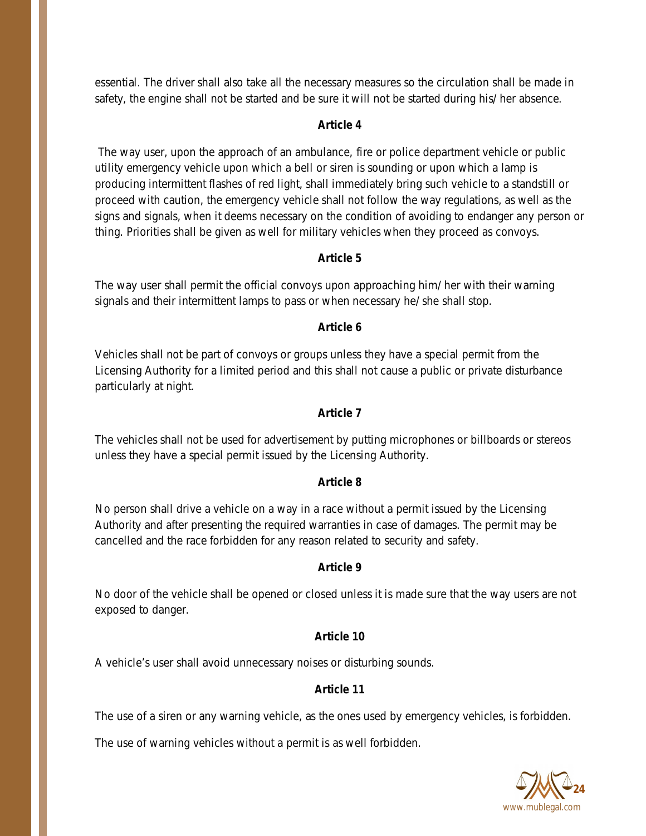essential. The driver shall also take all the necessary measures so the circulation shall be made in safety, the engine shall not be started and be sure it will not be started during his/ her absence.

# **Article 4**

The way user, upon the approach of an ambulance, fire or police department vehicle or public utility emergency vehicle upon which a bell or siren is sounding or upon which a lamp is producing intermittent flashes of red light, shall immediately bring such vehicle to a standstill or proceed with caution, the emergency vehicle shall not follow the way regulations, as well as the signs and signals, when it deems necessary on the condition of avoiding to endanger any person or thing. Priorities shall be given as well for military vehicles when they proceed as convoys.

# **Article 5**

The way user shall permit the official convoys upon approaching him/ her with their warning signals and their intermittent lamps to pass or when necessary he/ she shall stop.

# **Article 6**

Vehicles shall not be part of convoys or groups unless they have a special permit from the Licensing Authority for a limited period and this shall not cause a public or private disturbance particularly at night.

# **Article 7**

The vehicles shall not be used for advertisement by putting microphones or billboards or stereos unless they have a special permit issued by the Licensing Authority.

# **Article 8**

No person shall drive a vehicle on a way in a race without a permit issued by the Licensing Authority and after presenting the required warranties in case of damages. The permit may be cancelled and the race forbidden for any reason related to security and safety.

# **Article 9**

No door of the vehicle shall be opened or closed unless it is made sure that the way users are not exposed to danger.

# **Article 10**

A vehicle's user shall avoid unnecessary noises or disturbing sounds.

# **Article 11**

The use of a siren or any warning vehicle, as the ones used by emergency vehicles, is forbidden.

The use of warning vehicles without a permit is as well forbidden.

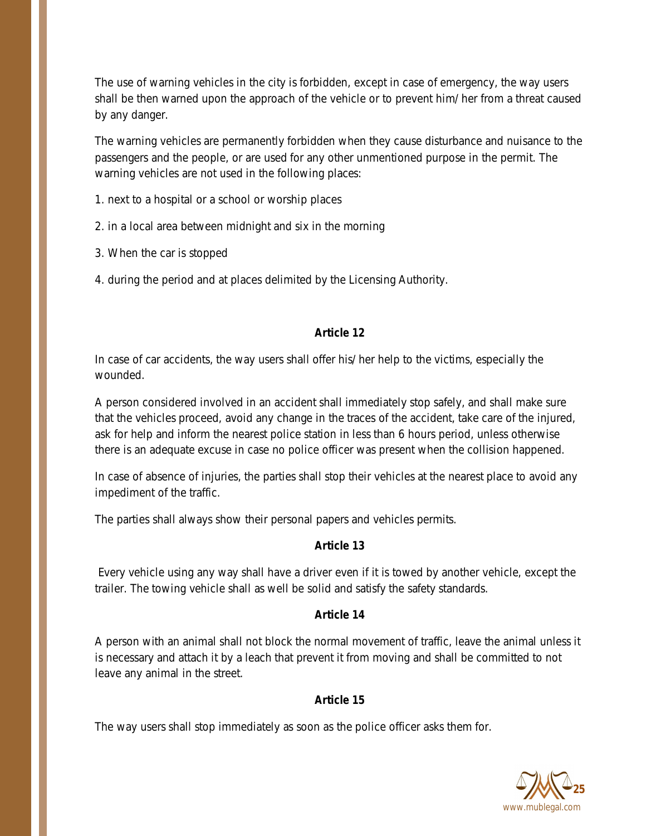The use of warning vehicles in the city is forbidden, except in case of emergency, the way users shall be then warned upon the approach of the vehicle or to prevent him/ her from a threat caused by any danger.

The warning vehicles are permanently forbidden when they cause disturbance and nuisance to the passengers and the people, or are used for any other unmentioned purpose in the permit. The warning vehicles are not used in the following places:

1. next to a hospital or a school or worship places

2. in a local area between midnight and six in the morning

3. When the car is stopped

4. during the period and at places delimited by the Licensing Authority.

# **Article 12**

In case of car accidents, the way users shall offer his/ her help to the victims, especially the wounded.

A person considered involved in an accident shall immediately stop safely, and shall make sure that the vehicles proceed, avoid any change in the traces of the accident, take care of the injured, ask for help and inform the nearest police station in less than 6 hours period, unless otherwise there is an adequate excuse in case no police officer was present when the collision happened.

In case of absence of injuries, the parties shall stop their vehicles at the nearest place to avoid any impediment of the traffic.

The parties shall always show their personal papers and vehicles permits.

# **Article 13**

Every vehicle using any way shall have a driver even if it is towed by another vehicle, except the trailer. The towing vehicle shall as well be solid and satisfy the safety standards.

# **Article 14**

A person with an animal shall not block the normal movement of traffic, leave the animal unless it is necessary and attach it by a leach that prevent it from moving and shall be committed to not leave any animal in the street.

# **Article 15**

The way users shall stop immediately as soon as the police officer asks them for.

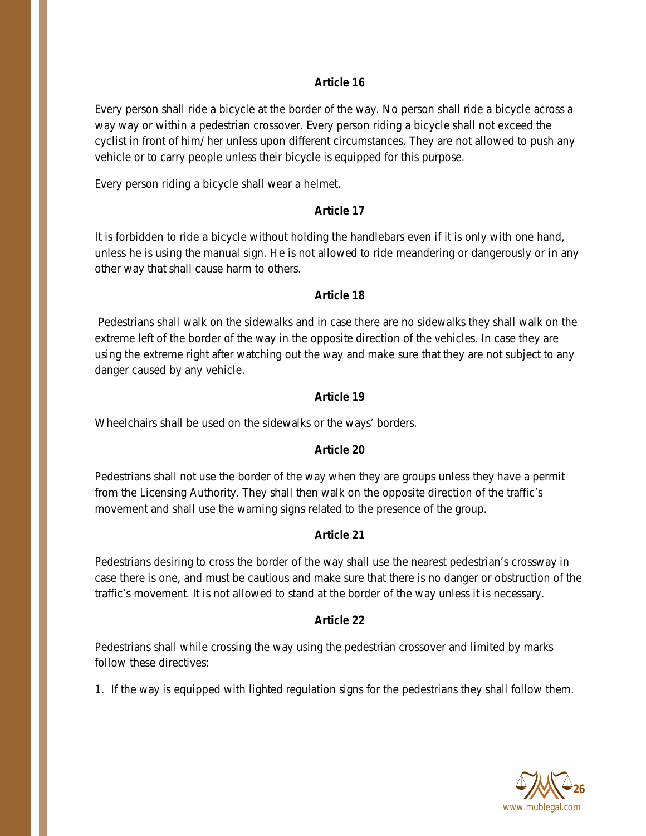Every person shall ride a bicycle at the border of the way. No person shall ride a bicycle across a way way or within a pedestrian crossover. Every person riding a bicycle shall not exceed the cyclist in front of him/ her unless upon different circumstances. They are not allowed to push any vehicle or to carry people unless their bicycle is equipped for this purpose.

Every person riding a bicycle shall wear a helmet.

### **Article 17**

It is forbidden to ride a bicycle without holding the handlebars even if it is only with one hand, unless he is using the manual sign. He is not allowed to ride meandering or dangerously or in any other way that shall cause harm to others.

# **Article 18**

Pedestrians shall walk on the sidewalks and in case there are no sidewalks they shall walk on the extreme left of the border of the way in the opposite direction of the vehicles. In case they are using the extreme right after watching out the way and make sure that they are not subject to any danger caused by any vehicle.

# **Article 19**

Wheelchairs shall be used on the sidewalks or the ways' borders.

# **Article 20**

Pedestrians shall not use the border of the way when they are groups unless they have a permit from the Licensing Authority. They shall then walk on the opposite direction of the traffic's movement and shall use the warning signs related to the presence of the group.

# **Article 21**

Pedestrians desiring to cross the border of the way shall use the nearest pedestrian's crossway in case there is one, and must be cautious and make sure that there is no danger or obstruction of the traffic's movement. It is not allowed to stand at the border of the way unless it is necessary.

# **Article 22**

Pedestrians shall while crossing the way using the pedestrian crossover and limited by marks follow these directives:

1. If the way is equipped with lighted regulation signs for the pedestrians they shall follow them.

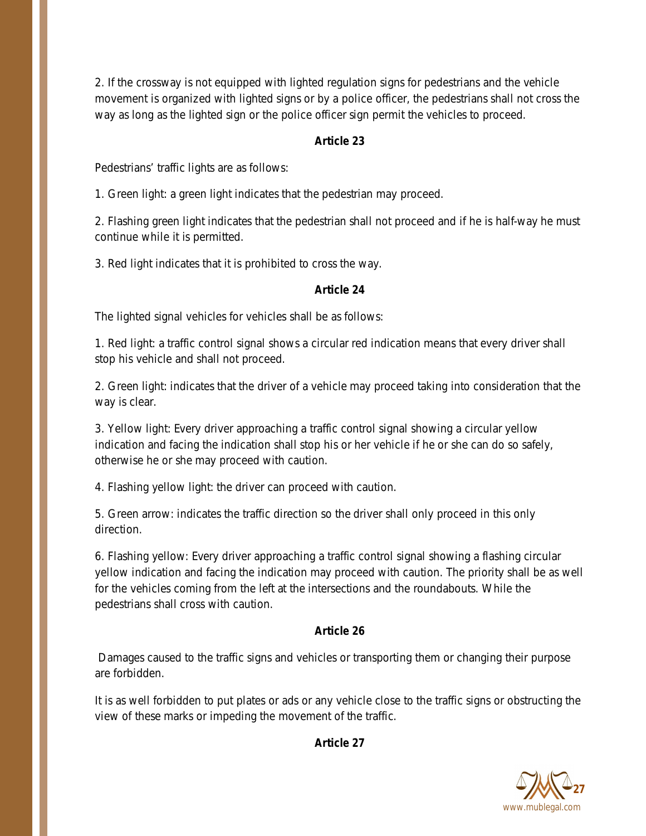2. If the crossway is not equipped with lighted regulation signs for pedestrians and the vehicle movement is organized with lighted signs or by a police officer, the pedestrians shall not cross the way as long as the lighted sign or the police officer sign permit the vehicles to proceed.

### **Article 23**

Pedestrians' traffic lights are as follows:

1. Green light: a green light indicates that the pedestrian may proceed.

2. Flashing green light indicates that the pedestrian shall not proceed and if he is half-way he must continue while it is permitted.

3. Red light indicates that it is prohibited to cross the way.

### **Article 24**

The lighted signal vehicles for vehicles shall be as follows:

1. Red light: a traffic control signal shows a circular red indication means that every driver shall stop his vehicle and shall not proceed.

2. Green light: indicates that the driver of a vehicle may proceed taking into consideration that the way is clear.

3. Yellow light: Every driver approaching a traffic control signal showing a circular yellow indication and facing the indication shall stop his or her vehicle if he or she can do so safely, otherwise he or she may proceed with caution.

4. Flashing yellow light: the driver can proceed with caution.

5. Green arrow: indicates the traffic direction so the driver shall only proceed in this only direction.

6. Flashing yellow: Every driver approaching a traffic control signal showing a flashing circular yellow indication and facing the indication may proceed with caution. The priority shall be as well for the vehicles coming from the left at the intersections and the roundabouts. While the pedestrians shall cross with caution.

# **Article 26**

Damages caused to the traffic signs and vehicles or transporting them or changing their purpose are forbidden.

It is as well forbidden to put plates or ads or any vehicle close to the traffic signs or obstructing the view of these marks or impeding the movement of the traffic.

**Article 27**

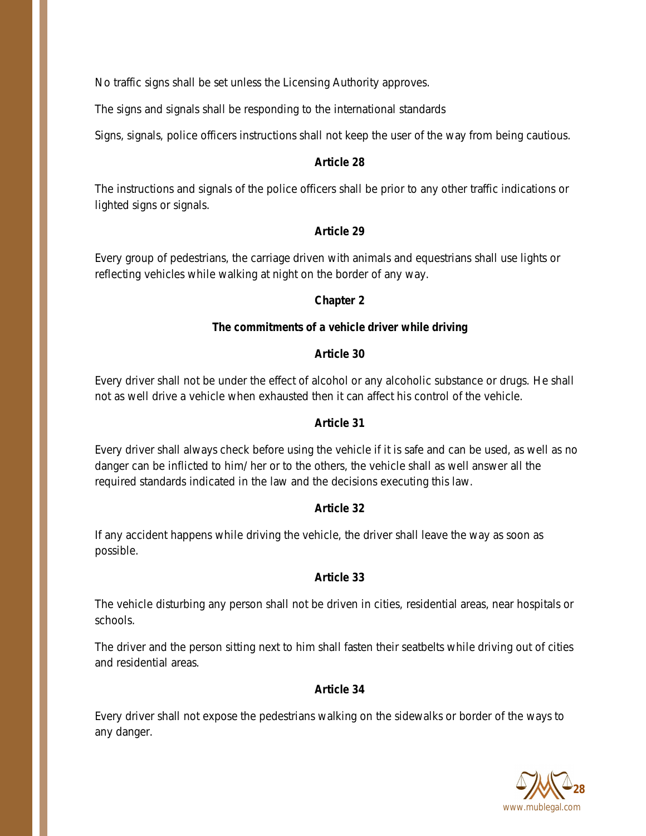No traffic signs shall be set unless the Licensing Authority approves.

The signs and signals shall be responding to the international standards

Signs, signals, police officers instructions shall not keep the user of the way from being cautious.

#### **Article 28**

The instructions and signals of the police officers shall be prior to any other traffic indications or lighted signs or signals.

### **Article 29**

Every group of pedestrians, the carriage driven with animals and equestrians shall use lights or reflecting vehicles while walking at night on the border of any way.

### **Chapter 2**

### **The commitments of a vehicle driver while driving**

# **Article 30**

Every driver shall not be under the effect of alcohol or any alcoholic substance or drugs. He shall not as well drive a vehicle when exhausted then it can affect his control of the vehicle.

### **Article 31**

Every driver shall always check before using the vehicle if it is safe and can be used, as well as no danger can be inflicted to him/ her or to the others, the vehicle shall as well answer all the required standards indicated in the law and the decisions executing this law.

# **Article 32**

If any accident happens while driving the vehicle, the driver shall leave the way as soon as possible.

# **Article 33**

The vehicle disturbing any person shall not be driven in cities, residential areas, near hospitals or schools.

The driver and the person sitting next to him shall fasten their seatbelts while driving out of cities and residential areas.

#### **Article 34**

Every driver shall not expose the pedestrians walking on the sidewalks or border of the ways to any danger.

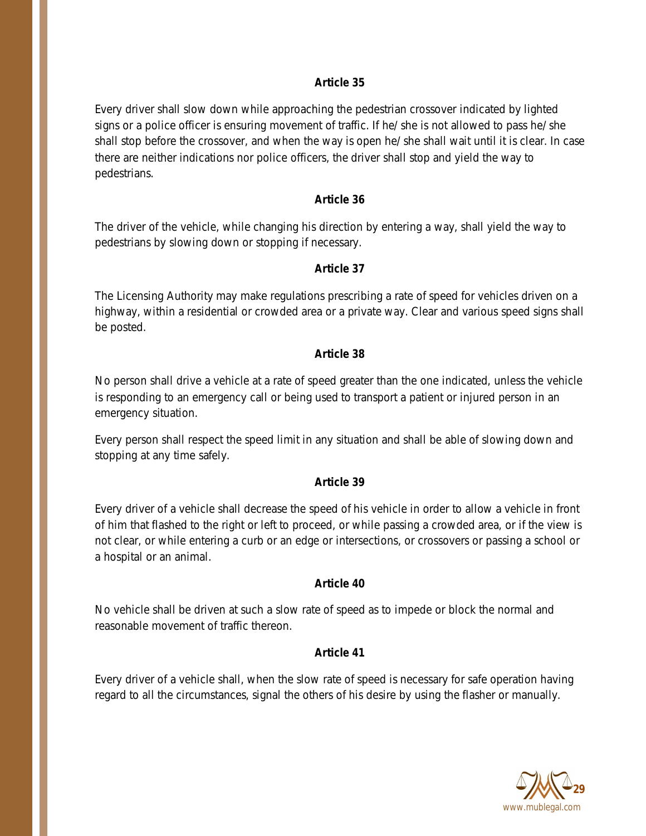Every driver shall slow down while approaching the pedestrian crossover indicated by lighted signs or a police officer is ensuring movement of traffic. If he/ she is not allowed to pass he/ she shall stop before the crossover, and when the way is open he/ she shall wait until it is clear. In case there are neither indications nor police officers, the driver shall stop and yield the way to pedestrians.

### **Article 36**

The driver of the vehicle, while changing his direction by entering a way, shall yield the way to pedestrians by slowing down or stopping if necessary.

### **Article 37**

The Licensing Authority may make regulations prescribing a rate of speed for vehicles driven on a highway, within a residential or crowded area or a private way. Clear and various speed signs shall be posted.

### **Article 38**

No person shall drive a vehicle at a rate of speed greater than the one indicated, unless the vehicle is responding to an emergency call or being used to transport a patient or injured person in an emergency situation.

Every person shall respect the speed limit in any situation and shall be able of slowing down and stopping at any time safely.

# **Article 39**

Every driver of a vehicle shall decrease the speed of his vehicle in order to allow a vehicle in front of him that flashed to the right or left to proceed, or while passing a crowded area, or if the view is not clear, or while entering a curb or an edge or intersections, or crossovers or passing a school or a hospital or an animal.

# **Article 40**

No vehicle shall be driven at such a slow rate of speed as to impede or block the normal and reasonable movement of traffic thereon.

# **Article 41**

Every driver of a vehicle shall, when the slow rate of speed is necessary for safe operation having regard to all the circumstances, signal the others of his desire by using the flasher or manually.

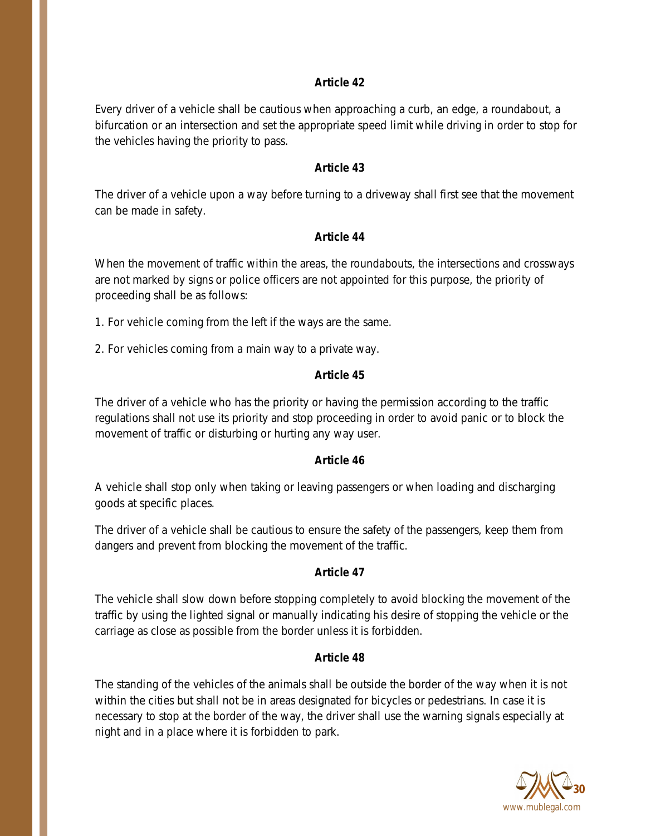Every driver of a vehicle shall be cautious when approaching a curb, an edge, a roundabout, a bifurcation or an intersection and set the appropriate speed limit while driving in order to stop for the vehicles having the priority to pass.

# **Article 43**

The driver of a vehicle upon a way before turning to a driveway shall first see that the movement can be made in safety.

### **Article 44**

When the movement of traffic within the areas, the roundabouts, the intersections and crossways are not marked by signs or police officers are not appointed for this purpose, the priority of proceeding shall be as follows:

1. For vehicle coming from the left if the ways are the same.

2. For vehicles coming from a main way to a private way.

# **Article 45**

The driver of a vehicle who has the priority or having the permission according to the traffic regulations shall not use its priority and stop proceeding in order to avoid panic or to block the movement of traffic or disturbing or hurting any way user.

# **Article 46**

A vehicle shall stop only when taking or leaving passengers or when loading and discharging goods at specific places.

The driver of a vehicle shall be cautious to ensure the safety of the passengers, keep them from dangers and prevent from blocking the movement of the traffic.

# **Article 47**

The vehicle shall slow down before stopping completely to avoid blocking the movement of the traffic by using the lighted signal or manually indicating his desire of stopping the vehicle or the carriage as close as possible from the border unless it is forbidden.

# **Article 48**

The standing of the vehicles of the animals shall be outside the border of the way when it is not within the cities but shall not be in areas designated for bicycles or pedestrians. In case it is necessary to stop at the border of the way, the driver shall use the warning signals especially at night and in a place where it is forbidden to park.

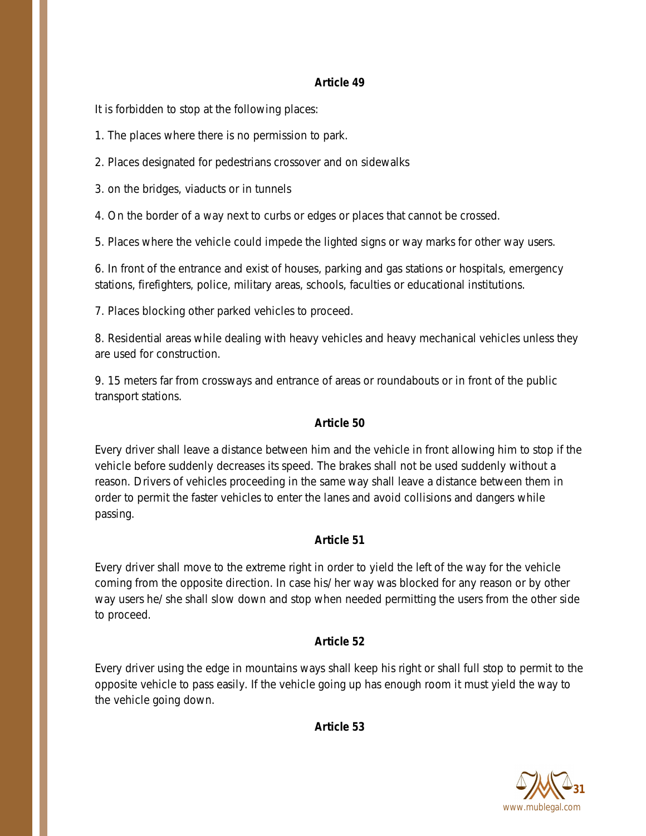It is forbidden to stop at the following places:

1. The places where there is no permission to park.

2. Places designated for pedestrians crossover and on sidewalks

3. on the bridges, viaducts or in tunnels

4. On the border of a way next to curbs or edges or places that cannot be crossed.

5. Places where the vehicle could impede the lighted signs or way marks for other way users.

6. In front of the entrance and exist of houses, parking and gas stations or hospitals, emergency stations, firefighters, police, military areas, schools, faculties or educational institutions.

7. Places blocking other parked vehicles to proceed.

8. Residential areas while dealing with heavy vehicles and heavy mechanical vehicles unless they are used for construction.

9. 15 meters far from crossways and entrance of areas or roundabouts or in front of the public transport stations.

# **Article 50**

Every driver shall leave a distance between him and the vehicle in front allowing him to stop if the vehicle before suddenly decreases its speed. The brakes shall not be used suddenly without a reason. Drivers of vehicles proceeding in the same way shall leave a distance between them in order to permit the faster vehicles to enter the lanes and avoid collisions and dangers while passing.

# **Article 51**

Every driver shall move to the extreme right in order to yield the left of the way for the vehicle coming from the opposite direction. In case his/ her way was blocked for any reason or by other way users he/ she shall slow down and stop when needed permitting the users from the other side to proceed.

# **Article 52**

Every driver using the edge in mountains ways shall keep his right or shall full stop to permit to the opposite vehicle to pass easily. If the vehicle going up has enough room it must yield the way to the vehicle going down.

**Article 53**

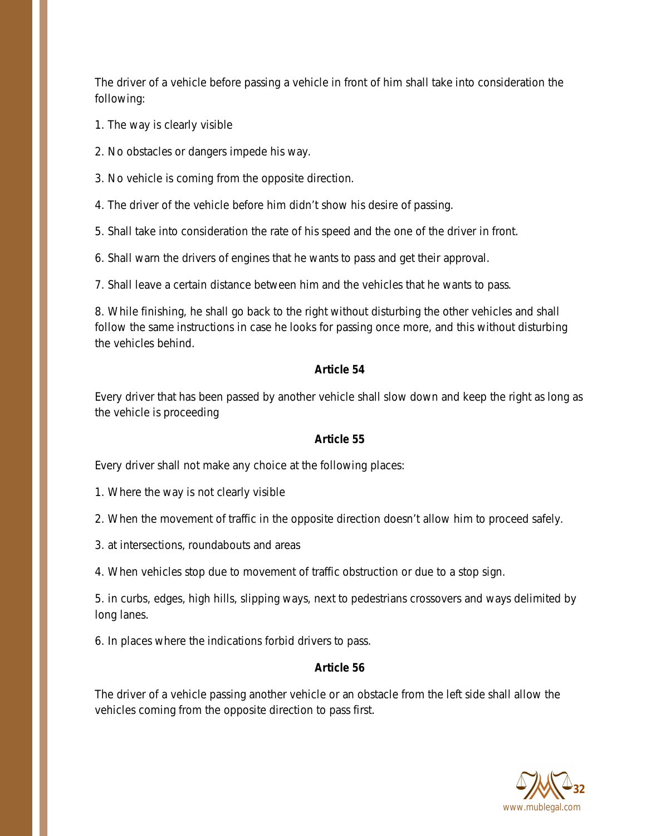The driver of a vehicle before passing a vehicle in front of him shall take into consideration the following:

1. The way is clearly visible

2. No obstacles or dangers impede his way.

3. No vehicle is coming from the opposite direction.

4. The driver of the vehicle before him didn't show his desire of passing.

5. Shall take into consideration the rate of his speed and the one of the driver in front.

6. Shall warn the drivers of engines that he wants to pass and get their approval.

7. Shall leave a certain distance between him and the vehicles that he wants to pass.

8. While finishing, he shall go back to the right without disturbing the other vehicles and shall follow the same instructions in case he looks for passing once more, and this without disturbing the vehicles behind.

### **Article 54**

Every driver that has been passed by another vehicle shall slow down and keep the right as long as the vehicle is proceeding

#### **Article 55**

Every driver shall not make any choice at the following places:

- 1. Where the way is not clearly visible
- 2. When the movement of traffic in the opposite direction doesn't allow him to proceed safely.
- 3. at intersections, roundabouts and areas
- 4. When vehicles stop due to movement of traffic obstruction or due to a stop sign.

5. in curbs, edges, high hills, slipping ways, next to pedestrians crossovers and ways delimited by long lanes.

6. In places where the indications forbid drivers to pass.

# **Article 56**

The driver of a vehicle passing another vehicle or an obstacle from the left side shall allow the vehicles coming from the opposite direction to pass first.

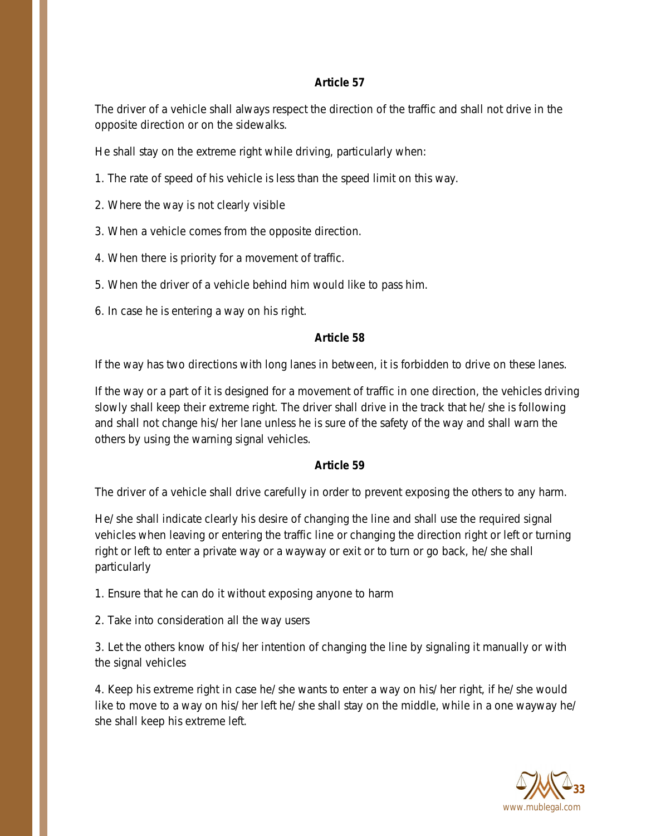The driver of a vehicle shall always respect the direction of the traffic and shall not drive in the opposite direction or on the sidewalks.

He shall stay on the extreme right while driving, particularly when:

1. The rate of speed of his vehicle is less than the speed limit on this way.

- 2. Where the way is not clearly visible
- 3. When a vehicle comes from the opposite direction.
- 4. When there is priority for a movement of traffic.
- 5. When the driver of a vehicle behind him would like to pass him.
- 6. In case he is entering a way on his right.

#### **Article 58**

If the way has two directions with long lanes in between, it is forbidden to drive on these lanes.

If the way or a part of it is designed for a movement of traffic in one direction, the vehicles driving slowly shall keep their extreme right. The driver shall drive in the track that he/ she is following and shall not change his/ her lane unless he is sure of the safety of the way and shall warn the others by using the warning signal vehicles.

#### **Article 59**

The driver of a vehicle shall drive carefully in order to prevent exposing the others to any harm.

He/ she shall indicate clearly his desire of changing the line and shall use the required signal vehicles when leaving or entering the traffic line or changing the direction right or left or turning right or left to enter a private way or a wayway or exit or to turn or go back, he/ she shall particularly

1. Ensure that he can do it without exposing anyone to harm

2. Take into consideration all the way users

3. Let the others know of his/ her intention of changing the line by signaling it manually or with the signal vehicles

4. Keep his extreme right in case he/ she wants to enter a way on his/ her right, if he/ she would like to move to a way on his/ her left he/ she shall stay on the middle, while in a one wayway he/ she shall keep his extreme left.

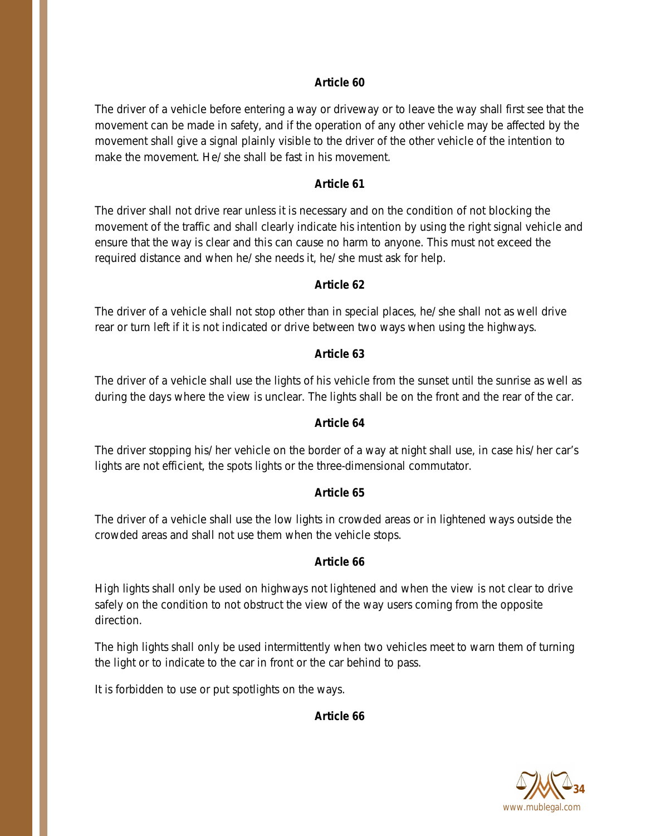The driver of a vehicle before entering a way or driveway or to leave the way shall first see that the movement can be made in safety, and if the operation of any other vehicle may be affected by the movement shall give a signal plainly visible to the driver of the other vehicle of the intention to make the movement. He/ she shall be fast in his movement.

# **Article 61**

The driver shall not drive rear unless it is necessary and on the condition of not blocking the movement of the traffic and shall clearly indicate his intention by using the right signal vehicle and ensure that the way is clear and this can cause no harm to anyone. This must not exceed the required distance and when he/ she needs it, he/ she must ask for help.

# **Article 62**

The driver of a vehicle shall not stop other than in special places, he/ she shall not as well drive rear or turn left if it is not indicated or drive between two ways when using the highways.

# **Article 63**

The driver of a vehicle shall use the lights of his vehicle from the sunset until the sunrise as well as during the days where the view is unclear. The lights shall be on the front and the rear of the car.

# **Article 64**

The driver stopping his/ her vehicle on the border of a way at night shall use, in case his/ her car's lights are not efficient, the spots lights or the three-dimensional commutator.

# **Article 65**

The driver of a vehicle shall use the low lights in crowded areas or in lightened ways outside the crowded areas and shall not use them when the vehicle stops.

# **Article 66**

High lights shall only be used on highways not lightened and when the view is not clear to drive safely on the condition to not obstruct the view of the way users coming from the opposite direction.

The high lights shall only be used intermittently when two vehicles meet to warn them of turning the light or to indicate to the car in front or the car behind to pass.

It is forbidden to use or put spotlights on the ways.

# **Article 66**

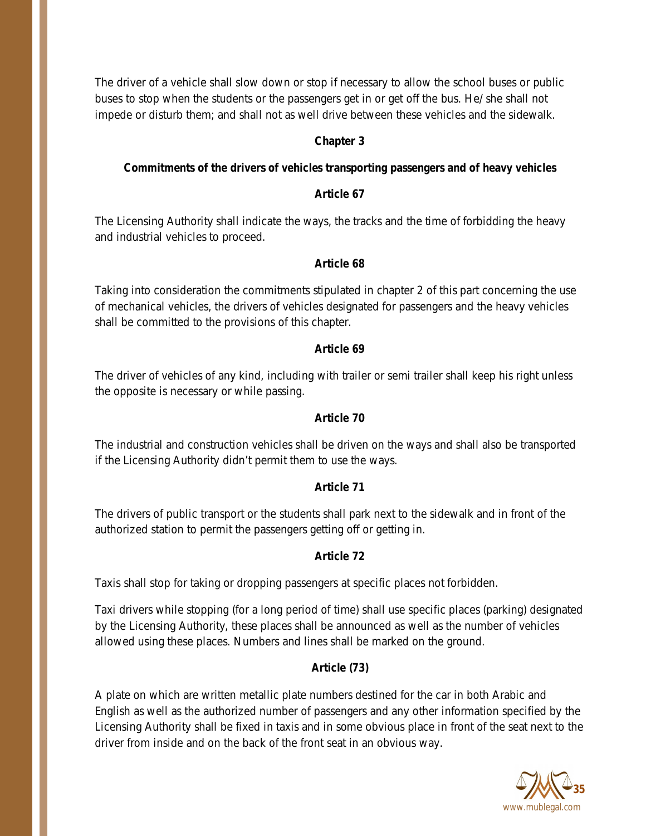The driver of a vehicle shall slow down or stop if necessary to allow the school buses or public buses to stop when the students or the passengers get in or get off the bus. He/ she shall not impede or disturb them; and shall not as well drive between these vehicles and the sidewalk.

### **Chapter 3**

# **Commitments of the drivers of vehicles transporting passengers and of heavy vehicles**

### **Article 67**

The Licensing Authority shall indicate the ways, the tracks and the time of forbidding the heavy and industrial vehicles to proceed.

### **Article 68**

Taking into consideration the commitments stipulated in chapter 2 of this part concerning the use of mechanical vehicles, the drivers of vehicles designated for passengers and the heavy vehicles shall be committed to the provisions of this chapter.

# **Article 69**

The driver of vehicles of any kind, including with trailer or semi trailer shall keep his right unless the opposite is necessary or while passing.

# **Article 70**

The industrial and construction vehicles shall be driven on the ways and shall also be transported if the Licensing Authority didn't permit them to use the ways.

# **Article 71**

The drivers of public transport or the students shall park next to the sidewalk and in front of the authorized station to permit the passengers getting off or getting in.

# **Article 72**

Taxis shall stop for taking or dropping passengers at specific places not forbidden.

Taxi drivers while stopping (for a long period of time) shall use specific places (parking) designated by the Licensing Authority, these places shall be announced as well as the number of vehicles allowed using these places. Numbers and lines shall be marked on the ground.

# **Article (73)**

A plate on which are written metallic plate numbers destined for the car in both Arabic and English as well as the authorized number of passengers and any other information specified by the Licensing Authority shall be fixed in taxis and in some obvious place in front of the seat next to the driver from inside and on the back of the front seat in an obvious way.

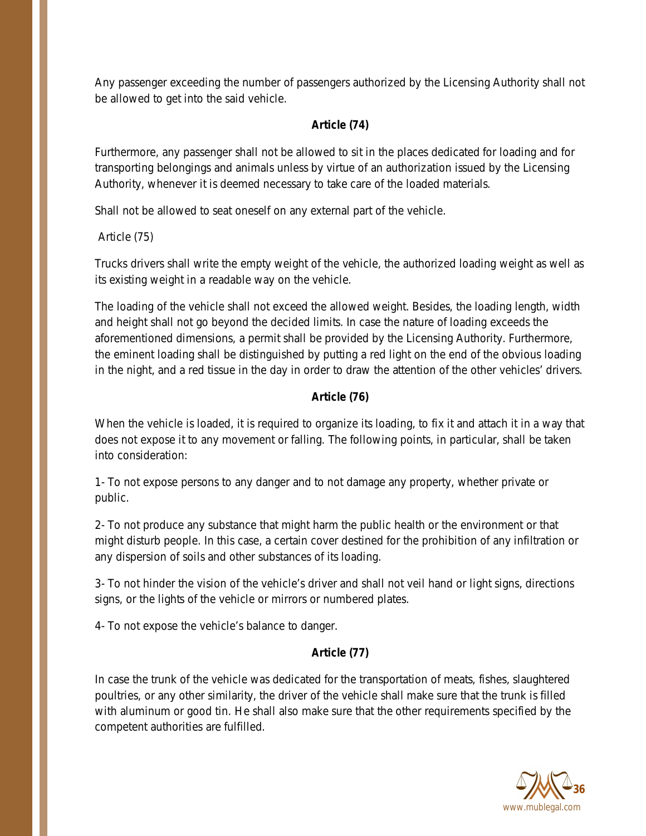Any passenger exceeding the number of passengers authorized by the Licensing Authority shall not be allowed to get into the said vehicle.

# **Article (74)**

Furthermore, any passenger shall not be allowed to sit in the places dedicated for loading and for transporting belongings and animals unless by virtue of an authorization issued by the Licensing Authority, whenever it is deemed necessary to take care of the loaded materials.

Shall not be allowed to seat oneself on any external part of the vehicle.

Article (75)

Trucks drivers shall write the empty weight of the vehicle, the authorized loading weight as well as its existing weight in a readable way on the vehicle.

The loading of the vehicle shall not exceed the allowed weight. Besides, the loading length, width and height shall not go beyond the decided limits. In case the nature of loading exceeds the aforementioned dimensions, a permit shall be provided by the Licensing Authority. Furthermore, the eminent loading shall be distinguished by putting a red light on the end of the obvious loading in the night, and a red tissue in the day in order to draw the attention of the other vehicles' drivers.

# **Article (76)**

When the vehicle is loaded, it is required to organize its loading, to fix it and attach it in a way that does not expose it to any movement or falling. The following points, in particular, shall be taken into consideration:

1- To not expose persons to any danger and to not damage any property, whether private or public.

2- To not produce any substance that might harm the public health or the environment or that might disturb people. In this case, a certain cover destined for the prohibition of any infiltration or any dispersion of soils and other substances of its loading.

3- To not hinder the vision of the vehicle's driver and shall not veil hand or light signs, directions signs, or the lights of the vehicle or mirrors or numbered plates.

4- To not expose the vehicle's balance to danger.

# **Article (77)**

In case the trunk of the vehicle was dedicated for the transportation of meats, fishes, slaughtered poultries, or any other similarity, the driver of the vehicle shall make sure that the trunk is filled with aluminum or good tin. He shall also make sure that the other requirements specified by the competent authorities are fulfilled.

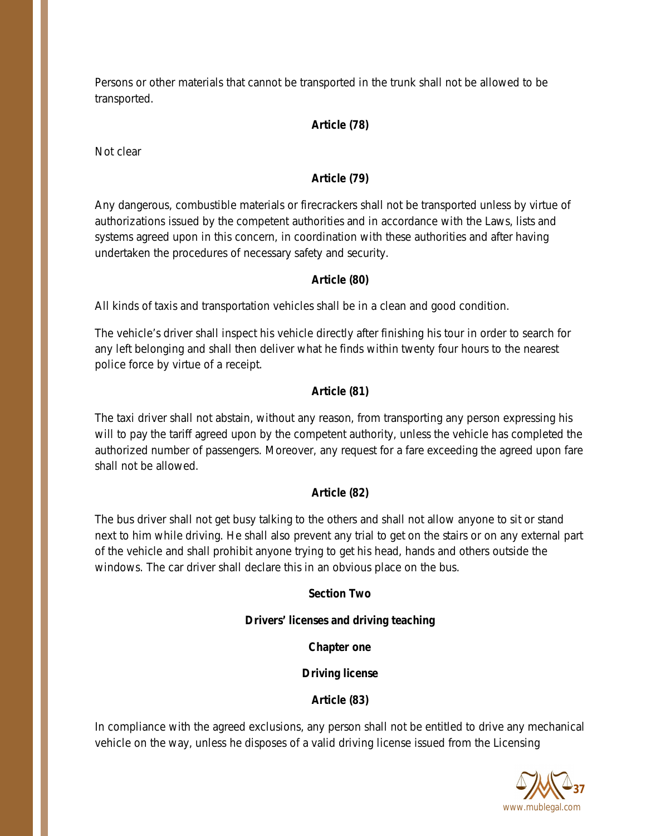Persons or other materials that cannot be transported in the trunk shall not be allowed to be transported.

# **Article (78)**

Not clear

## **Article (79)**

Any dangerous, combustible materials or firecrackers shall not be transported unless by virtue of authorizations issued by the competent authorities and in accordance with the Laws, lists and systems agreed upon in this concern, in coordination with these authorities and after having undertaken the procedures of necessary safety and security.

## **Article (80)**

All kinds of taxis and transportation vehicles shall be in a clean and good condition.

The vehicle's driver shall inspect his vehicle directly after finishing his tour in order to search for any left belonging and shall then deliver what he finds within twenty four hours to the nearest police force by virtue of a receipt.

## **Article (81)**

The taxi driver shall not abstain, without any reason, from transporting any person expressing his will to pay the tariff agreed upon by the competent authority, unless the vehicle has completed the authorized number of passengers. Moreover, any request for a fare exceeding the agreed upon fare shall not be allowed.

# **Article (82)**

The bus driver shall not get busy talking to the others and shall not allow anyone to sit or stand next to him while driving. He shall also prevent any trial to get on the stairs or on any external part of the vehicle and shall prohibit anyone trying to get his head, hands and others outside the windows. The car driver shall declare this in an obvious place on the bus.

## **Section Two**

**Drivers' licenses and driving teaching**

**Chapter one**

# **Driving license**

# **Article (83)**

In compliance with the agreed exclusions, any person shall not be entitled to drive any mechanical vehicle on the way, unless he disposes of a valid driving license issued from the Licensing

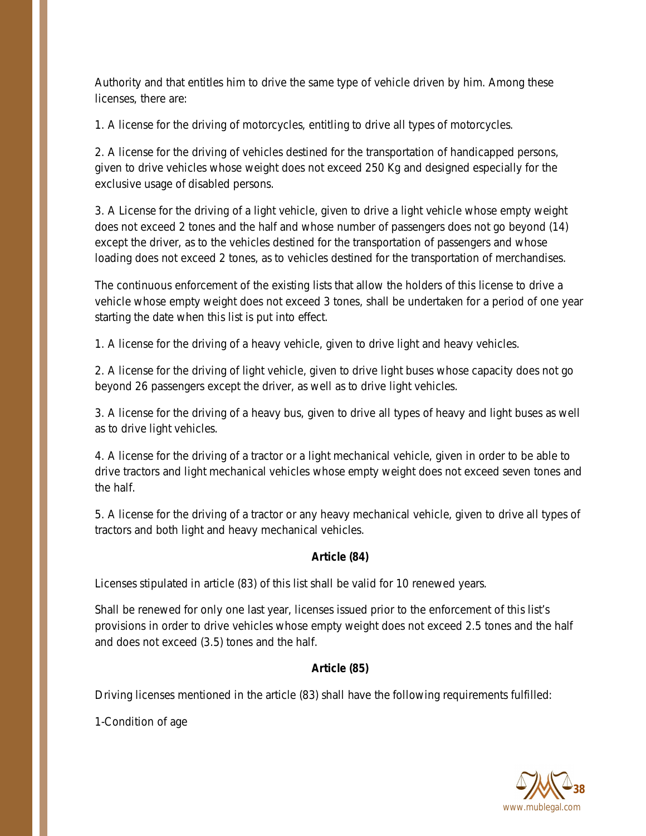Authority and that entitles him to drive the same type of vehicle driven by him. Among these licenses, there are:

1. A license for the driving of motorcycles, entitling to drive all types of motorcycles.

2. A license for the driving of vehicles destined for the transportation of handicapped persons, given to drive vehicles whose weight does not exceed 250 Kg and designed especially for the exclusive usage of disabled persons.

3. A License for the driving of a light vehicle, given to drive a light vehicle whose empty weight does not exceed 2 tones and the half and whose number of passengers does not go beyond (14) except the driver, as to the vehicles destined for the transportation of passengers and whose loading does not exceed 2 tones, as to vehicles destined for the transportation of merchandises.

The continuous enforcement of the existing lists that allow the holders of this license to drive a vehicle whose empty weight does not exceed 3 tones, shall be undertaken for a period of one year starting the date when this list is put into effect.

1. A license for the driving of a heavy vehicle, given to drive light and heavy vehicles.

2. A license for the driving of light vehicle, given to drive light buses whose capacity does not go beyond 26 passengers except the driver, as well as to drive light vehicles.

3. A license for the driving of a heavy bus, given to drive all types of heavy and light buses as well as to drive light vehicles.

4. A license for the driving of a tractor or a light mechanical vehicle, given in order to be able to drive tractors and light mechanical vehicles whose empty weight does not exceed seven tones and the half.

5. A license for the driving of a tractor or any heavy mechanical vehicle, given to drive all types of tractors and both light and heavy mechanical vehicles.

# **Article (84)**

Licenses stipulated in article (83) of this list shall be valid for 10 renewed years.

Shall be renewed for only one last year, licenses issued prior to the enforcement of this list's provisions in order to drive vehicles whose empty weight does not exceed 2.5 tones and the half and does not exceed (3.5) tones and the half.

# **Article (85)**

Driving licenses mentioned in the article (83) shall have the following requirements fulfilled:

1-Condition of age

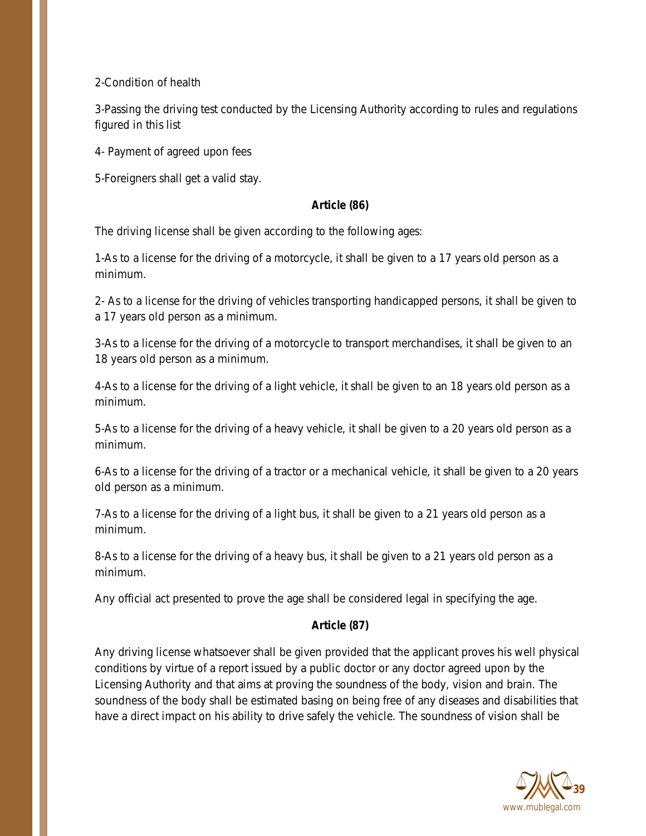2-Condition of health

3-Passing the driving test conducted by the Licensing Authority according to rules and regulations figured in this list

4- Payment of agreed upon fees

5-Foreigners shall get a valid stay.

### **Article (86)**

The driving license shall be given according to the following ages:

1-As to a license for the driving of a motorcycle, it shall be given to a 17 years old person as a minimum.

2- As to a license for the driving of vehicles transporting handicapped persons, it shall be given to a 17 years old person as a minimum.

3-As to a license for the driving of a motorcycle to transport merchandises, it shall be given to an 18 years old person as a minimum.

4-As to a license for the driving of a light vehicle, it shall be given to an 18 years old person as a minimum.

5-As to a license for the driving of a heavy vehicle, it shall be given to a 20 years old person as a minimum.

6-As to a license for the driving of a tractor or a mechanical vehicle, it shall be given to a 20 years old person as a minimum.

7-As to a license for the driving of a light bus, it shall be given to a 21 years old person as a minimum.

8-As to a license for the driving of a heavy bus, it shall be given to a 21 years old person as a minimum.

Any official act presented to prove the age shall be considered legal in specifying the age.

## **Article (87)**

Any driving license whatsoever shall be given provided that the applicant proves his well physical conditions by virtue of a report issued by a public doctor or any doctor agreed upon by the Licensing Authority and that aims at proving the soundness of the body, vision and brain. The soundness of the body shall be estimated basing on being free of any diseases and disabilities that have a direct impact on his ability to drive safely the vehicle. The soundness of vision shall be

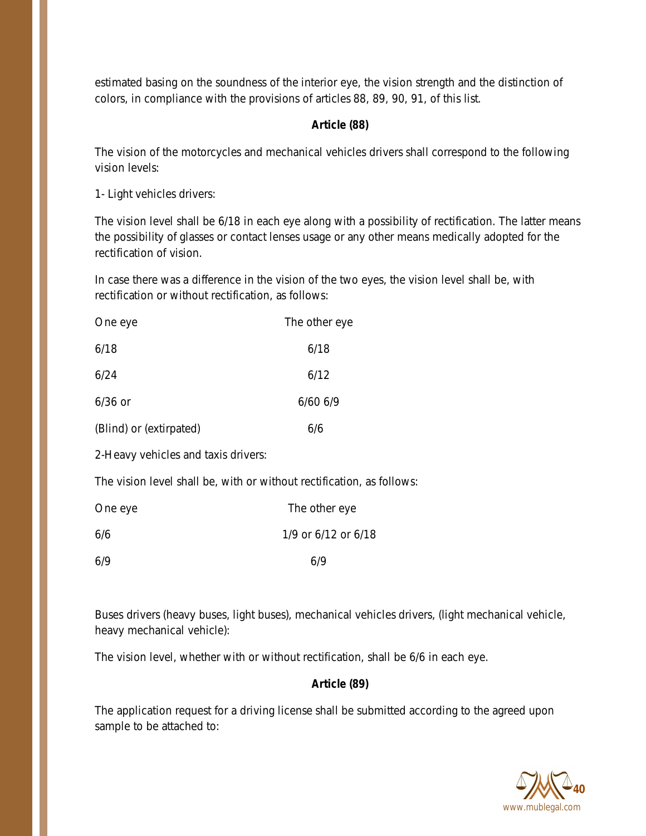estimated basing on the soundness of the interior eye, the vision strength and the distinction of colors, in compliance with the provisions of articles 88, 89, 90, 91, of this list.

## **Article (88)**

The vision of the motorcycles and mechanical vehicles drivers shall correspond to the following vision levels:

1- Light vehicles drivers:

The vision level shall be 6/18 in each eye along with a possibility of rectification. The latter means the possibility of glasses or contact lenses usage or any other means medically adopted for the rectification of vision.

In case there was a difference in the vision of the two eyes, the vision level shall be, with rectification or without rectification, as follows:

| One eye                                                               | The other eye |  |
|-----------------------------------------------------------------------|---------------|--|
| 6/18                                                                  | 6/18          |  |
| 6/24                                                                  | 6/12          |  |
| $6/36$ or                                                             | 6/606/9       |  |
| (Blind) or (extirpated)                                               | 6/6           |  |
| 2-Heavy vehicles and taxis drivers:                                   |               |  |
| The vision level shall be, with or without rectification, as follows: |               |  |

| One eye | The other eye       |
|---------|---------------------|
| 6/6     | 1/9 or 6/12 or 6/18 |
| 6/9     | 6/9                 |

Buses drivers (heavy buses, light buses), mechanical vehicles drivers, (light mechanical vehicle, heavy mechanical vehicle):

The vision level, whether with or without rectification, shall be 6/6 in each eye.

# **Article (89)**

The application request for a driving license shall be submitted according to the agreed upon sample to be attached to:

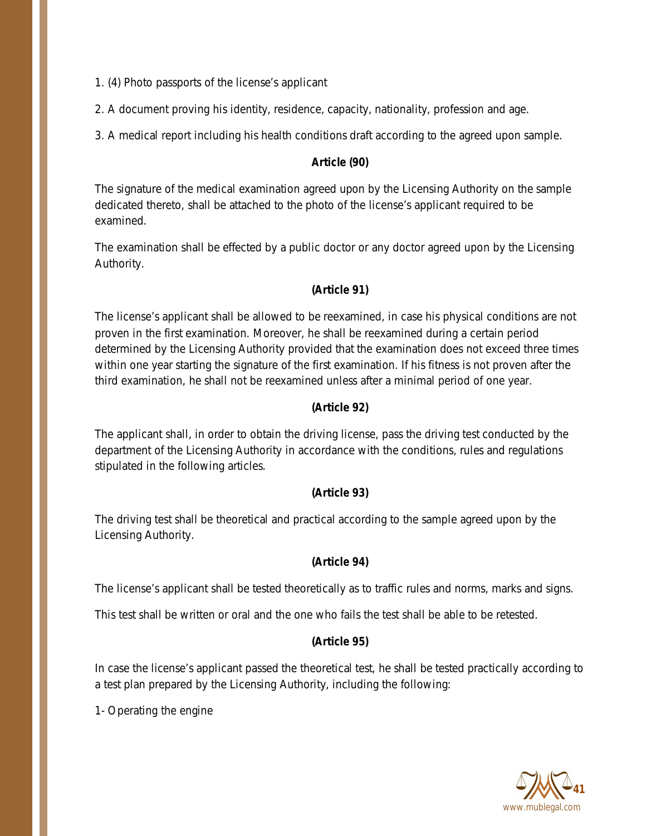- 1. (4) Photo passports of the license's applicant
- 2. A document proving his identity, residence, capacity, nationality, profession and age.

3. A medical report including his health conditions draft according to the agreed upon sample.

#### **Article (90)**

The signature of the medical examination agreed upon by the Licensing Authority on the sample dedicated thereto, shall be attached to the photo of the license's applicant required to be examined.

The examination shall be effected by a public doctor or any doctor agreed upon by the Licensing Authority.

## **(Article 91)**

The license's applicant shall be allowed to be reexamined, in case his physical conditions are not proven in the first examination. Moreover, he shall be reexamined during a certain period determined by the Licensing Authority provided that the examination does not exceed three times within one year starting the signature of the first examination. If his fitness is not proven after the third examination, he shall not be reexamined unless after a minimal period of one year.

## **(Article 92)**

The applicant shall, in order to obtain the driving license, pass the driving test conducted by the department of the Licensing Authority in accordance with the conditions, rules and regulations stipulated in the following articles.

## **(Article 93)**

The driving test shall be theoretical and practical according to the sample agreed upon by the Licensing Authority.

## **(Article 94)**

The license's applicant shall be tested theoretically as to traffic rules and norms, marks and signs.

This test shall be written or oral and the one who fails the test shall be able to be retested.

## **(Article 95)**

In case the license's applicant passed the theoretical test, he shall be tested practically according to a test plan prepared by the Licensing Authority, including the following:

1- Operating the engine

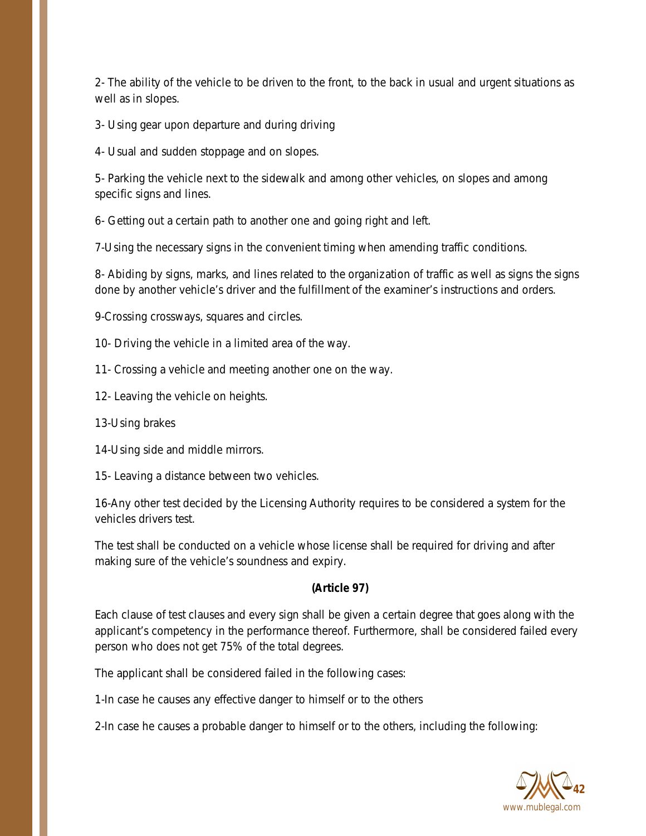2- The ability of the vehicle to be driven to the front, to the back in usual and urgent situations as well as in slopes.

3- Using gear upon departure and during driving

4- Usual and sudden stoppage and on slopes.

5- Parking the vehicle next to the sidewalk and among other vehicles, on slopes and among specific signs and lines.

6- Getting out a certain path to another one and going right and left.

7-Using the necessary signs in the convenient timing when amending traffic conditions.

8- Abiding by signs, marks, and lines related to the organization of traffic as well as signs the signs done by another vehicle's driver and the fulfillment of the examiner's instructions and orders.

9-Crossing crossways, squares and circles.

10- Driving the vehicle in a limited area of the way.

11- Crossing a vehicle and meeting another one on the way.

12- Leaving the vehicle on heights.

13-Using brakes

14-Using side and middle mirrors.

15- Leaving a distance between two vehicles.

16-Any other test decided by the Licensing Authority requires to be considered a system for the vehicles drivers test.

The test shall be conducted on a vehicle whose license shall be required for driving and after making sure of the vehicle's soundness and expiry.

# **(Article 97)**

Each clause of test clauses and every sign shall be given a certain degree that goes along with the applicant's competency in the performance thereof. Furthermore, shall be considered failed every person who does not get 75% of the total degrees.

The applicant shall be considered failed in the following cases:

1-In case he causes any effective danger to himself or to the others

2-In case he causes a probable danger to himself or to the others, including the following:

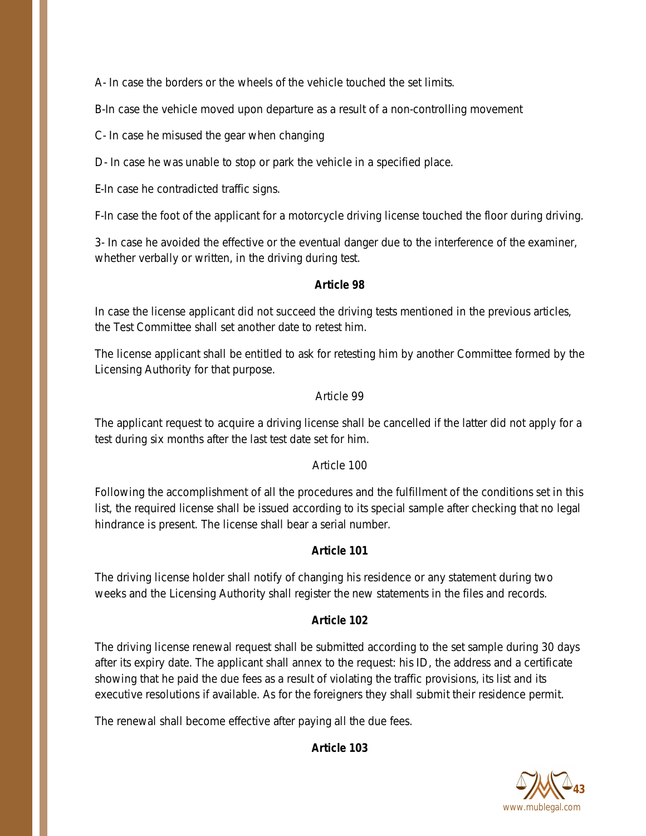A- In case the borders or the wheels of the vehicle touched the set limits.

B-In case the vehicle moved upon departure as a result of a non-controlling movement

C- In case he misused the gear when changing

D- In case he was unable to stop or park the vehicle in a specified place.

E-In case he contradicted traffic signs.

F-In case the foot of the applicant for a motorcycle driving license touched the floor during driving.

3- In case he avoided the effective or the eventual danger due to the interference of the examiner, whether verbally or written, in the driving during test.

## **Article 98**

In case the license applicant did not succeed the driving tests mentioned in the previous articles, the Test Committee shall set another date to retest him.

The license applicant shall be entitled to ask for retesting him by another Committee formed by the Licensing Authority for that purpose.

## Article 99

The applicant request to acquire a driving license shall be cancelled if the latter did not apply for a test during six months after the last test date set for him.

# Article 100

Following the accomplishment of all the procedures and the fulfillment of the conditions set in this list, the required license shall be issued according to its special sample after checking that no legal hindrance is present. The license shall bear a serial number.

# **Article 101**

The driving license holder shall notify of changing his residence or any statement during two weeks and the Licensing Authority shall register the new statements in the files and records.

# **Article 102**

The driving license renewal request shall be submitted according to the set sample during 30 days after its expiry date. The applicant shall annex to the request: his ID, the address and a certificate showing that he paid the due fees as a result of violating the traffic provisions, its list and its executive resolutions if available. As for the foreigners they shall submit their residence permit.

The renewal shall become effective after paying all the due fees.

**Article 103**

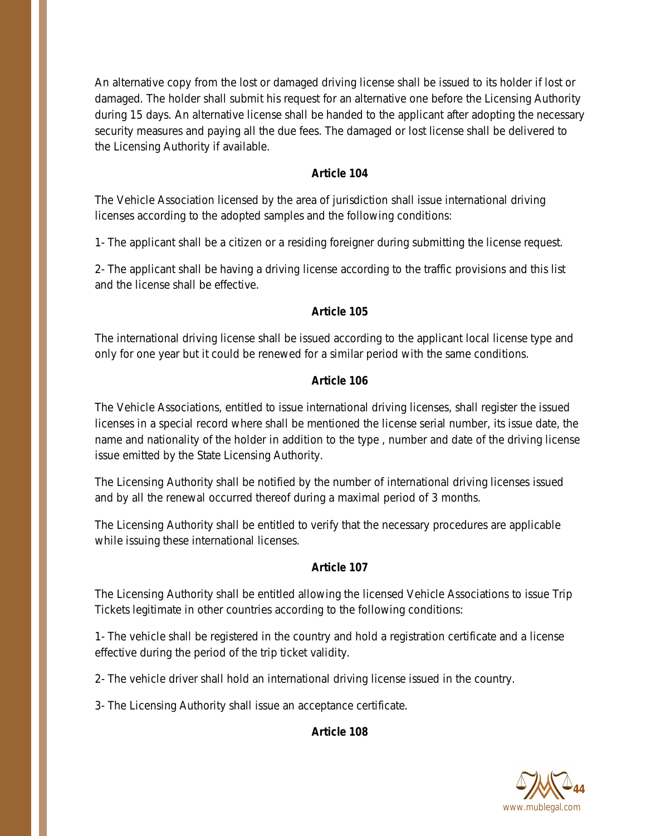An alternative copy from the lost or damaged driving license shall be issued to its holder if lost or damaged. The holder shall submit his request for an alternative one before the Licensing Authority during 15 days. An alternative license shall be handed to the applicant after adopting the necessary security measures and paying all the due fees. The damaged or lost license shall be delivered to the Licensing Authority if available.

## **Article 104**

The Vehicle Association licensed by the area of jurisdiction shall issue international driving licenses according to the adopted samples and the following conditions:

1- The applicant shall be a citizen or a residing foreigner during submitting the license request.

2- The applicant shall be having a driving license according to the traffic provisions and this list and the license shall be effective.

#### **Article 105**

The international driving license shall be issued according to the applicant local license type and only for one year but it could be renewed for a similar period with the same conditions.

#### **Article 106**

The Vehicle Associations, entitled to issue international driving licenses, shall register the issued licenses in a special record where shall be mentioned the license serial number, its issue date, the name and nationality of the holder in addition to the type , number and date of the driving license issue emitted by the State Licensing Authority.

The Licensing Authority shall be notified by the number of international driving licenses issued and by all the renewal occurred thereof during a maximal period of 3 months.

The Licensing Authority shall be entitled to verify that the necessary procedures are applicable while issuing these international licenses.

#### **Article 107**

The Licensing Authority shall be entitled allowing the licensed Vehicle Associations to issue Trip Tickets legitimate in other countries according to the following conditions:

1- The vehicle shall be registered in the country and hold a registration certificate and a license effective during the period of the trip ticket validity.

2- The vehicle driver shall hold an international driving license issued in the country.

3- The Licensing Authority shall issue an acceptance certificate.

## **Article 108**

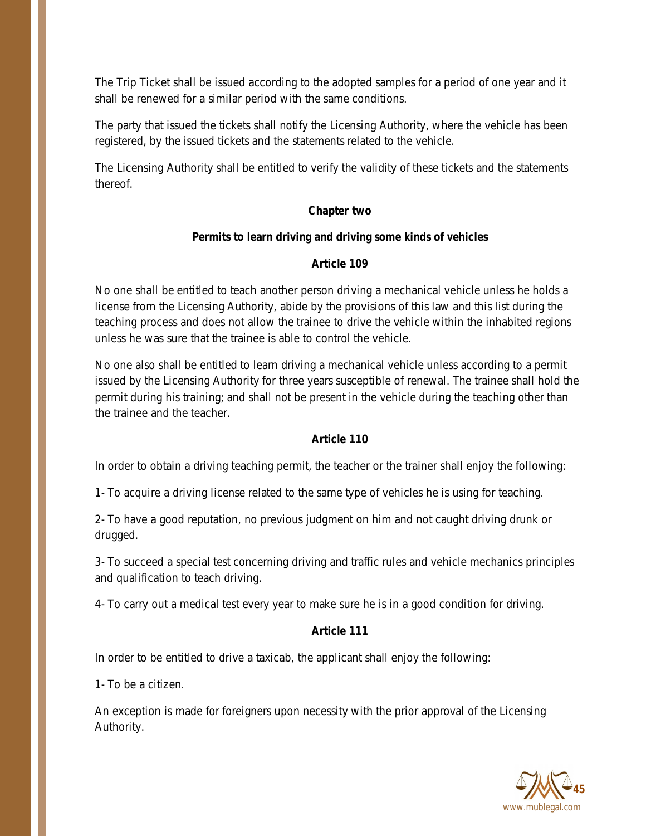The Trip Ticket shall be issued according to the adopted samples for a period of one year and it shall be renewed for a similar period with the same conditions.

The party that issued the tickets shall notify the Licensing Authority, where the vehicle has been registered, by the issued tickets and the statements related to the vehicle.

The Licensing Authority shall be entitled to verify the validity of these tickets and the statements thereof.

#### **Chapter two**

#### **Permits to learn driving and driving some kinds of vehicles**

#### **Article 109**

No one shall be entitled to teach another person driving a mechanical vehicle unless he holds a license from the Licensing Authority, abide by the provisions of this law and this list during the teaching process and does not allow the trainee to drive the vehicle within the inhabited regions unless he was sure that the trainee is able to control the vehicle.

No one also shall be entitled to learn driving a mechanical vehicle unless according to a permit issued by the Licensing Authority for three years susceptible of renewal. The trainee shall hold the permit during his training; and shall not be present in the vehicle during the teaching other than the trainee and the teacher.

## **Article 110**

In order to obtain a driving teaching permit, the teacher or the trainer shall enjoy the following:

1- To acquire a driving license related to the same type of vehicles he is using for teaching.

2- To have a good reputation, no previous judgment on him and not caught driving drunk or drugged.

3- To succeed a special test concerning driving and traffic rules and vehicle mechanics principles and qualification to teach driving.

4- To carry out a medical test every year to make sure he is in a good condition for driving.

## **Article 111**

In order to be entitled to drive a taxicab, the applicant shall enjoy the following:

1- To be a citizen.

An exception is made for foreigners upon necessity with the prior approval of the Licensing Authority.

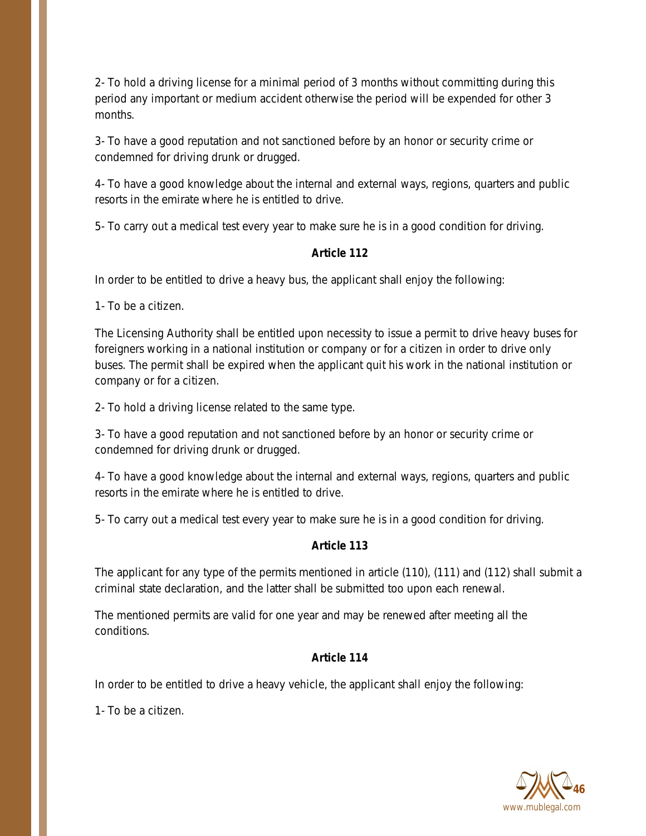2- To hold a driving license for a minimal period of 3 months without committing during this period any important or medium accident otherwise the period will be expended for other 3 months.

3- To have a good reputation and not sanctioned before by an honor or security crime or condemned for driving drunk or drugged.

4- To have a good knowledge about the internal and external ways, regions, quarters and public resorts in the emirate where he is entitled to drive.

5- To carry out a medical test every year to make sure he is in a good condition for driving.

## **Article 112**

In order to be entitled to drive a heavy bus, the applicant shall enjoy the following:

1- To be a citizen.

The Licensing Authority shall be entitled upon necessity to issue a permit to drive heavy buses for foreigners working in a national institution or company or for a citizen in order to drive only buses. The permit shall be expired when the applicant quit his work in the national institution or company or for a citizen.

2- To hold a driving license related to the same type.

3- To have a good reputation and not sanctioned before by an honor or security crime or condemned for driving drunk or drugged.

4- To have a good knowledge about the internal and external ways, regions, quarters and public resorts in the emirate where he is entitled to drive.

5- To carry out a medical test every year to make sure he is in a good condition for driving.

# **Article 113**

The applicant for any type of the permits mentioned in article (110), (111) and (112) shall submit a criminal state declaration, and the latter shall be submitted too upon each renewal.

The mentioned permits are valid for one year and may be renewed after meeting all the conditions.

# **Article 114**

In order to be entitled to drive a heavy vehicle, the applicant shall enjoy the following:

1- To be a citizen.

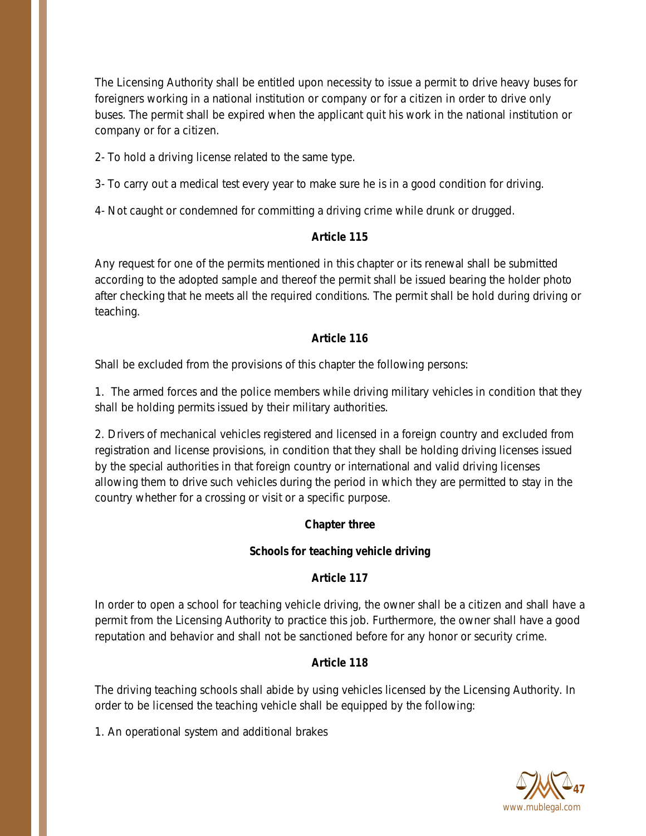The Licensing Authority shall be entitled upon necessity to issue a permit to drive heavy buses for foreigners working in a national institution or company or for a citizen in order to drive only buses. The permit shall be expired when the applicant quit his work in the national institution or company or for a citizen.

2- To hold a driving license related to the same type.

3- To carry out a medical test every year to make sure he is in a good condition for driving.

4- Not caught or condemned for committing a driving crime while drunk or drugged.

#### **Article 115**

Any request for one of the permits mentioned in this chapter or its renewal shall be submitted according to the adopted sample and thereof the permit shall be issued bearing the holder photo after checking that he meets all the required conditions. The permit shall be hold during driving or teaching.

#### **Article 116**

Shall be excluded from the provisions of this chapter the following persons:

1. The armed forces and the police members while driving military vehicles in condition that they shall be holding permits issued by their military authorities.

2. Drivers of mechanical vehicles registered and licensed in a foreign country and excluded from registration and license provisions, in condition that they shall be holding driving licenses issued by the special authorities in that foreign country or international and valid driving licenses allowing them to drive such vehicles during the period in which they are permitted to stay in the country whether for a crossing or visit or a specific purpose.

## **Chapter three**

## **Schools for teaching vehicle driving**

## **Article 117**

In order to open a school for teaching vehicle driving, the owner shall be a citizen and shall have a permit from the Licensing Authority to practice this job. Furthermore, the owner shall have a good reputation and behavior and shall not be sanctioned before for any honor or security crime.

## **Article 118**

The driving teaching schools shall abide by using vehicles licensed by the Licensing Authority. In order to be licensed the teaching vehicle shall be equipped by the following:

1. An operational system and additional brakes

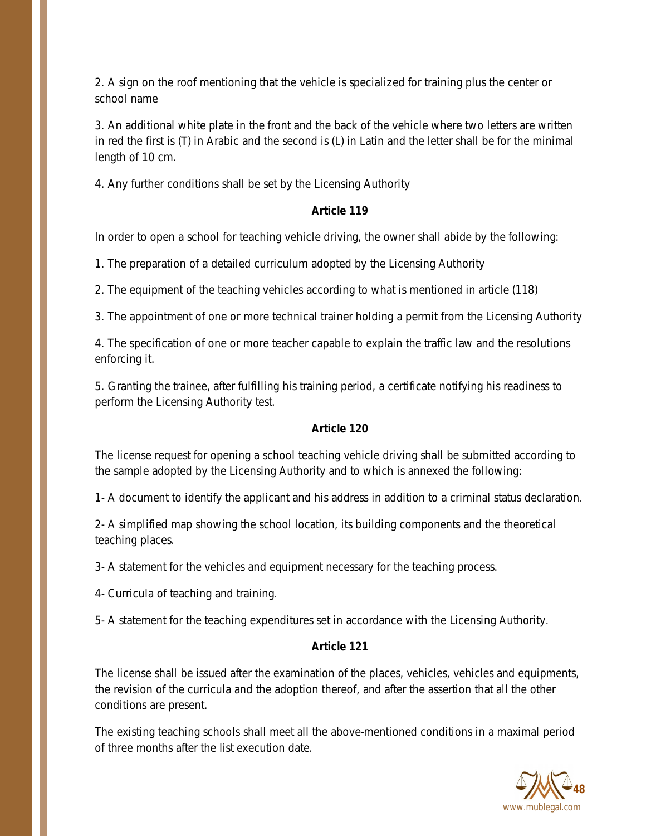2. A sign on the roof mentioning that the vehicle is specialized for training plus the center or school name

3. An additional white plate in the front and the back of the vehicle where two letters are written in red the first is (T) in Arabic and the second is (L) in Latin and the letter shall be for the minimal length of 10 cm.

4. Any further conditions shall be set by the Licensing Authority

## **Article 119**

In order to open a school for teaching vehicle driving, the owner shall abide by the following:

1. The preparation of a detailed curriculum adopted by the Licensing Authority

2. The equipment of the teaching vehicles according to what is mentioned in article (118)

3. The appointment of one or more technical trainer holding a permit from the Licensing Authority

4. The specification of one or more teacher capable to explain the traffic law and the resolutions enforcing it.

5. Granting the trainee, after fulfilling his training period, a certificate notifying his readiness to perform the Licensing Authority test.

# **Article 120**

The license request for opening a school teaching vehicle driving shall be submitted according to the sample adopted by the Licensing Authority and to which is annexed the following:

1- A document to identify the applicant and his address in addition to a criminal status declaration.

2- A simplified map showing the school location, its building components and the theoretical teaching places.

3- A statement for the vehicles and equipment necessary for the teaching process.

4- Curricula of teaching and training.

5- A statement for the teaching expenditures set in accordance with the Licensing Authority.

# **Article 121**

The license shall be issued after the examination of the places, vehicles, vehicles and equipments, the revision of the curricula and the adoption thereof, and after the assertion that all the other conditions are present.

The existing teaching schools shall meet all the above-mentioned conditions in a maximal period of three months after the list execution date.

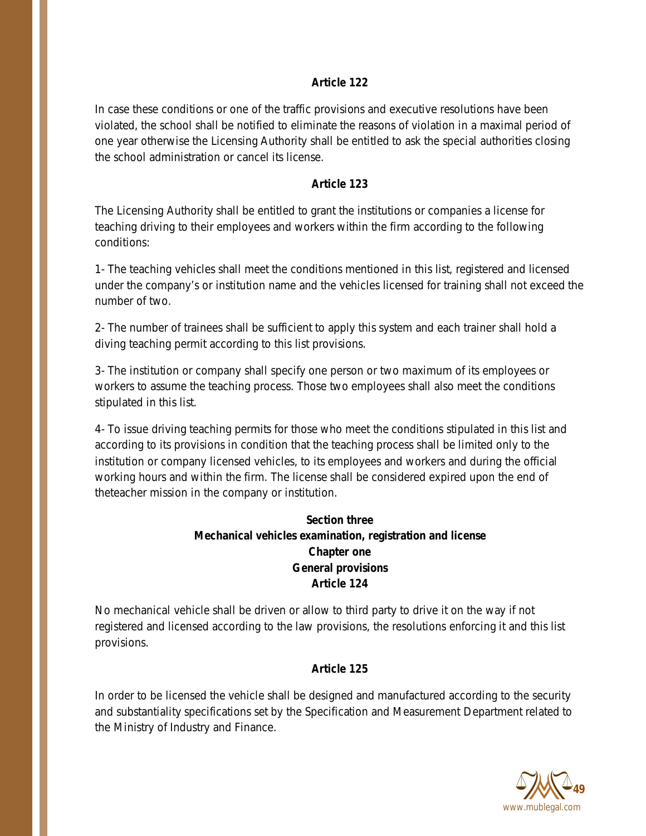In case these conditions or one of the traffic provisions and executive resolutions have been violated, the school shall be notified to eliminate the reasons of violation in a maximal period of one year otherwise the Licensing Authority shall be entitled to ask the special authorities closing the school administration or cancel its license.

### **Article 123**

The Licensing Authority shall be entitled to grant the institutions or companies a license for teaching driving to their employees and workers within the firm according to the following conditions:

1- The teaching vehicles shall meet the conditions mentioned in this list, registered and licensed under the company's or institution name and the vehicles licensed for training shall not exceed the number of two.

2- The number of trainees shall be sufficient to apply this system and each trainer shall hold a diving teaching permit according to this list provisions.

3- The institution or company shall specify one person or two maximum of its employees or workers to assume the teaching process. Those two employees shall also meet the conditions stipulated in this list.

4- To issue driving teaching permits for those who meet the conditions stipulated in this list and according to its provisions in condition that the teaching process shall be limited only to the institution or company licensed vehicles, to its employees and workers and during the official working hours and within the firm. The license shall be considered expired upon the end of theteacher mission in the company or institution.

# **Section three Mechanical vehicles examination, registration and license Chapter one General provisions Article 124**

No mechanical vehicle shall be driven or allow to third party to drive it on the way if not registered and licensed according to the law provisions, the resolutions enforcing it and this list provisions.

#### **Article 125**

In order to be licensed the vehicle shall be designed and manufactured according to the security and substantiality specifications set by the Specification and Measurement Department related to the Ministry of Industry and Finance.

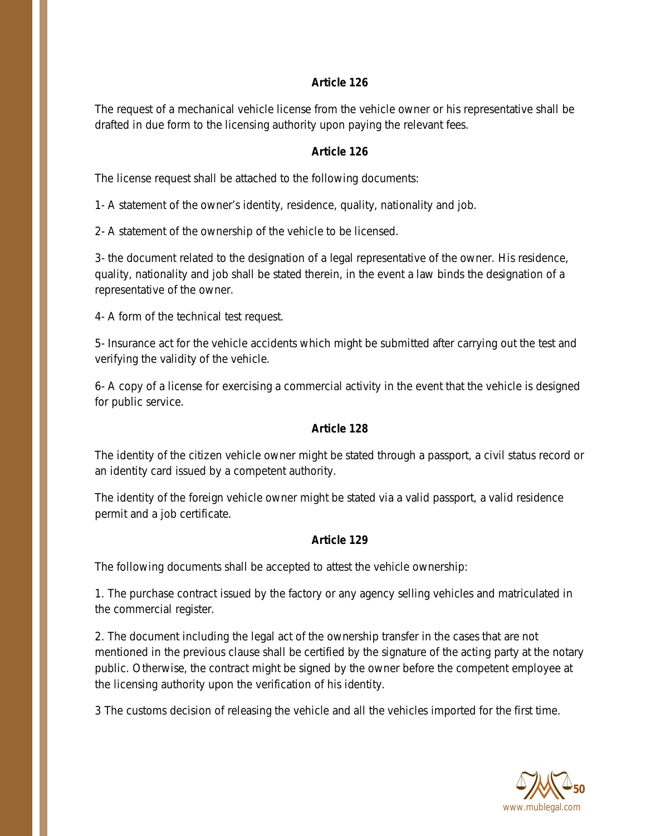The request of a mechanical vehicle license from the vehicle owner or his representative shall be drafted in due form to the licensing authority upon paying the relevant fees.

### **Article 126**

The license request shall be attached to the following documents:

1- A statement of the owner's identity, residence, quality, nationality and job.

2- A statement of the ownership of the vehicle to be licensed.

3- the document related to the designation of a legal representative of the owner. His residence, quality, nationality and job shall be stated therein, in the event a law binds the designation of a representative of the owner.

4- A form of the technical test request.

5- Insurance act for the vehicle accidents which might be submitted after carrying out the test and verifying the validity of the vehicle.

6- A copy of a license for exercising a commercial activity in the event that the vehicle is designed for public service.

## **Article 128**

The identity of the citizen vehicle owner might be stated through a passport, a civil status record or an identity card issued by a competent authority.

The identity of the foreign vehicle owner might be stated via a valid passport, a valid residence permit and a job certificate.

## **Article 129**

The following documents shall be accepted to attest the vehicle ownership:

1. The purchase contract issued by the factory or any agency selling vehicles and matriculated in the commercial register.

2. The document including the legal act of the ownership transfer in the cases that are not mentioned in the previous clause shall be certified by the signature of the acting party at the notary public. Otherwise, the contract might be signed by the owner before the competent employee at the licensing authority upon the verification of his identity.

3 The customs decision of releasing the vehicle and all the vehicles imported for the first time.

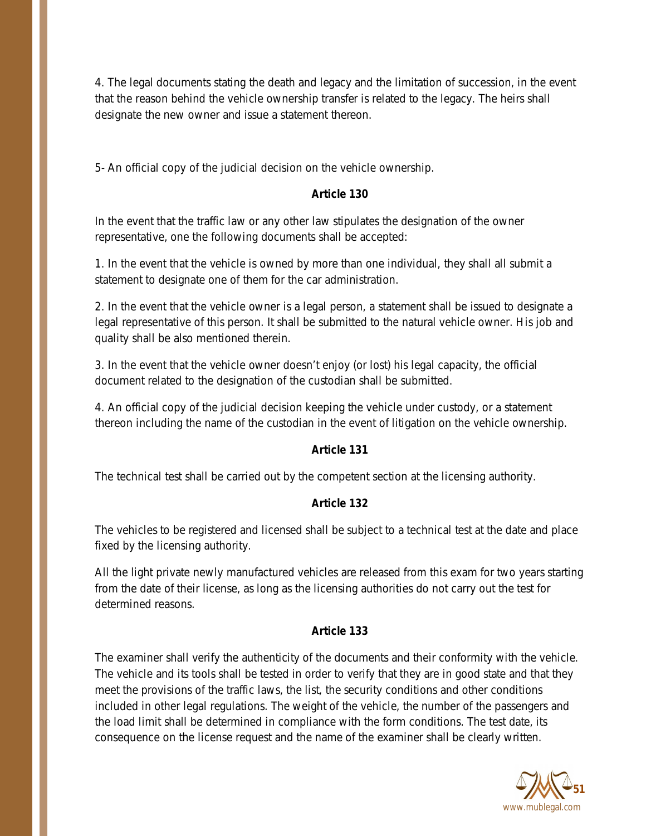4. The legal documents stating the death and legacy and the limitation of succession, in the event that the reason behind the vehicle ownership transfer is related to the legacy. The heirs shall designate the new owner and issue a statement thereon.

5- An official copy of the judicial decision on the vehicle ownership.

## **Article 130**

In the event that the traffic law or any other law stipulates the designation of the owner representative, one the following documents shall be accepted:

1. In the event that the vehicle is owned by more than one individual, they shall all submit a statement to designate one of them for the car administration.

2. In the event that the vehicle owner is a legal person, a statement shall be issued to designate a legal representative of this person. It shall be submitted to the natural vehicle owner. His job and quality shall be also mentioned therein.

3. In the event that the vehicle owner doesn't enjoy (or lost) his legal capacity, the official document related to the designation of the custodian shall be submitted.

4. An official copy of the judicial decision keeping the vehicle under custody, or a statement thereon including the name of the custodian in the event of litigation on the vehicle ownership.

# **Article 131**

The technical test shall be carried out by the competent section at the licensing authority.

## **Article 132**

The vehicles to be registered and licensed shall be subject to a technical test at the date and place fixed by the licensing authority.

All the light private newly manufactured vehicles are released from this exam for two years starting from the date of their license, as long as the licensing authorities do not carry out the test for determined reasons.

## **Article 133**

The examiner shall verify the authenticity of the documents and their conformity with the vehicle. The vehicle and its tools shall be tested in order to verify that they are in good state and that they meet the provisions of the traffic laws, the list, the security conditions and other conditions included in other legal regulations. The weight of the vehicle, the number of the passengers and the load limit shall be determined in compliance with the form conditions. The test date, its consequence on the license request and the name of the examiner shall be clearly written.

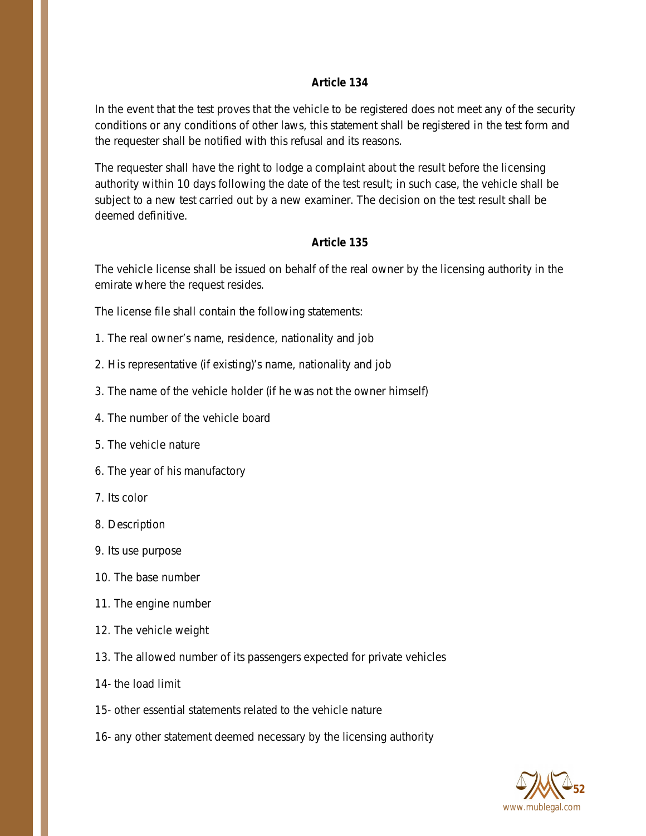In the event that the test proves that the vehicle to be registered does not meet any of the security conditions or any conditions of other laws, this statement shall be registered in the test form and the requester shall be notified with this refusal and its reasons.

The requester shall have the right to lodge a complaint about the result before the licensing authority within 10 days following the date of the test result; in such case, the vehicle shall be subject to a new test carried out by a new examiner. The decision on the test result shall be deemed definitive.

#### **Article 135**

The vehicle license shall be issued on behalf of the real owner by the licensing authority in the emirate where the request resides.

The license file shall contain the following statements:

- 1. The real owner's name, residence, nationality and job
- 2. His representative (if existing)'s name, nationality and job
- 3. The name of the vehicle holder (if he was not the owner himself)
- 4. The number of the vehicle board
- 5. The vehicle nature
- 6. The year of his manufactory
- 7. Its color
- 8. Description
- 9. Its use purpose
- 10. The base number
- 11. The engine number
- 12. The vehicle weight
- 13. The allowed number of its passengers expected for private vehicles
- 14- the load limit
- 15- other essential statements related to the vehicle nature
- 16- any other statement deemed necessary by the licensing authority

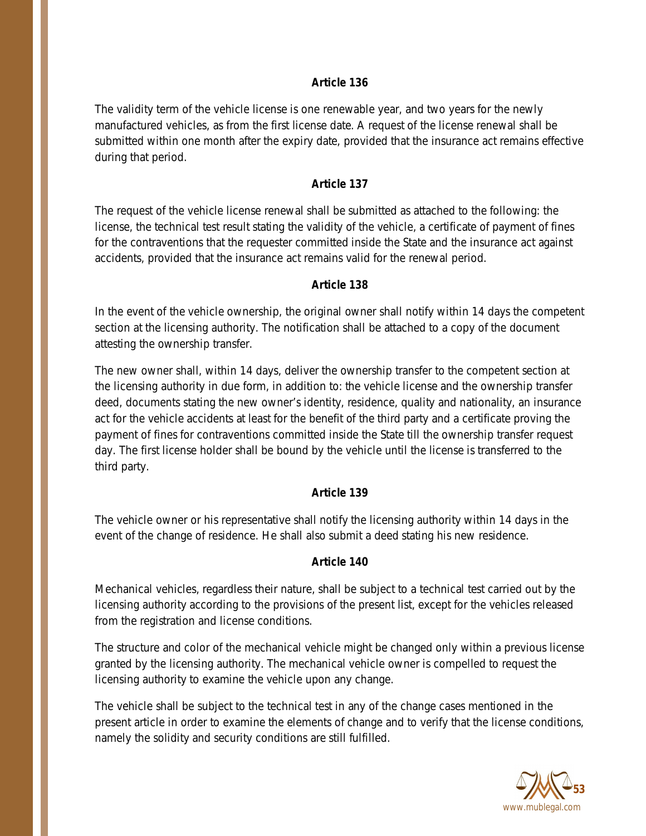The validity term of the vehicle license is one renewable year, and two years for the newly manufactured vehicles, as from the first license date. A request of the license renewal shall be submitted within one month after the expiry date, provided that the insurance act remains effective during that period.

### **Article 137**

The request of the vehicle license renewal shall be submitted as attached to the following: the license, the technical test result stating the validity of the vehicle, a certificate of payment of fines for the contraventions that the requester committed inside the State and the insurance act against accidents, provided that the insurance act remains valid for the renewal period.

#### **Article 138**

In the event of the vehicle ownership, the original owner shall notify within 14 days the competent section at the licensing authority. The notification shall be attached to a copy of the document attesting the ownership transfer.

The new owner shall, within 14 days, deliver the ownership transfer to the competent section at the licensing authority in due form, in addition to: the vehicle license and the ownership transfer deed, documents stating the new owner's identity, residence, quality and nationality, an insurance act for the vehicle accidents at least for the benefit of the third party and a certificate proving the payment of fines for contraventions committed inside the State till the ownership transfer request day. The first license holder shall be bound by the vehicle until the license is transferred to the third party.

## **Article 139**

The vehicle owner or his representative shall notify the licensing authority within 14 days in the event of the change of residence. He shall also submit a deed stating his new residence.

## **Article 140**

Mechanical vehicles, regardless their nature, shall be subject to a technical test carried out by the licensing authority according to the provisions of the present list, except for the vehicles released from the registration and license conditions.

The structure and color of the mechanical vehicle might be changed only within a previous license granted by the licensing authority. The mechanical vehicle owner is compelled to request the licensing authority to examine the vehicle upon any change.

The vehicle shall be subject to the technical test in any of the change cases mentioned in the present article in order to examine the elements of change and to verify that the license conditions, namely the solidity and security conditions are still fulfilled.

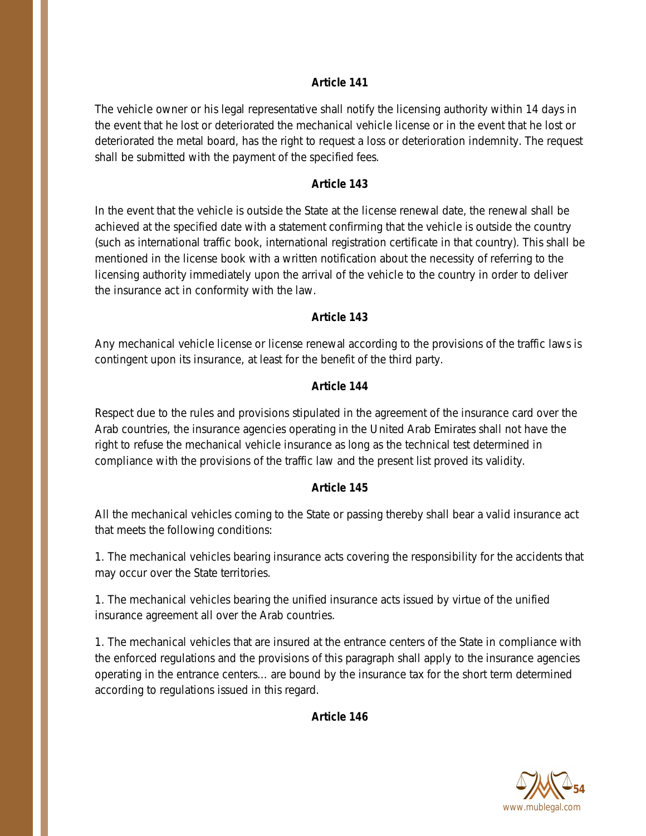The vehicle owner or his legal representative shall notify the licensing authority within 14 days in the event that he lost or deteriorated the mechanical vehicle license or in the event that he lost or deteriorated the metal board, has the right to request a loss or deterioration indemnity. The request shall be submitted with the payment of the specified fees.

## **Article 143**

In the event that the vehicle is outside the State at the license renewal date, the renewal shall be achieved at the specified date with a statement confirming that the vehicle is outside the country (such as international traffic book, international registration certificate in that country). This shall be mentioned in the license book with a written notification about the necessity of referring to the licensing authority immediately upon the arrival of the vehicle to the country in order to deliver the insurance act in conformity with the law.

#### **Article 143**

Any mechanical vehicle license or license renewal according to the provisions of the traffic laws is contingent upon its insurance, at least for the benefit of the third party.

#### **Article 144**

Respect due to the rules and provisions stipulated in the agreement of the insurance card over the Arab countries, the insurance agencies operating in the United Arab Emirates shall not have the right to refuse the mechanical vehicle insurance as long as the technical test determined in compliance with the provisions of the traffic law and the present list proved its validity.

## **Article 145**

All the mechanical vehicles coming to the State or passing thereby shall bear a valid insurance act that meets the following conditions:

1. The mechanical vehicles bearing insurance acts covering the responsibility for the accidents that may occur over the State territories.

1. The mechanical vehicles bearing the unified insurance acts issued by virtue of the unified insurance agreement all over the Arab countries.

1. The mechanical vehicles that are insured at the entrance centers of the State in compliance with the enforced regulations and the provisions of this paragraph shall apply to the insurance agencies operating in the entrance centers… are bound by the insurance tax for the short term determined according to regulations issued in this regard.

## **Article 146**

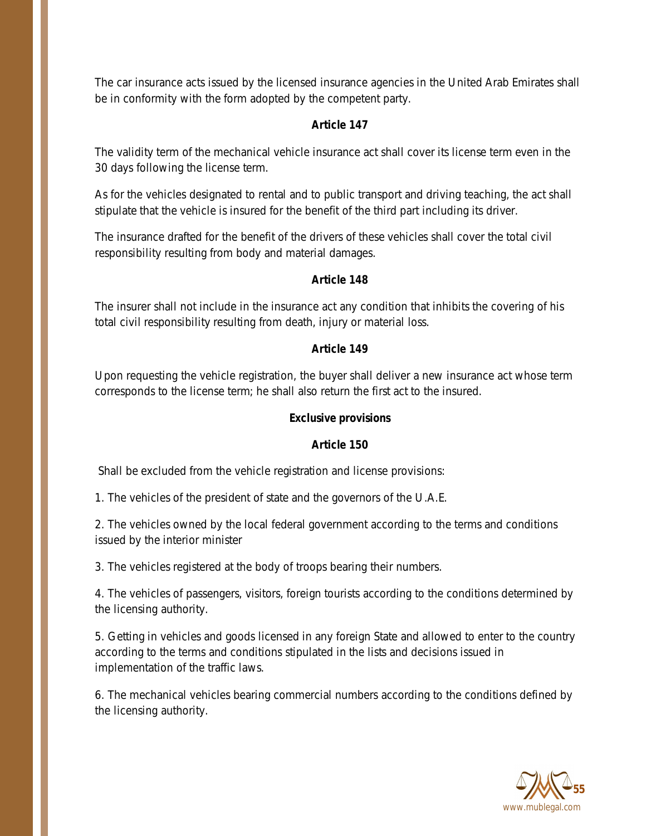The car insurance acts issued by the licensed insurance agencies in the United Arab Emirates shall be in conformity with the form adopted by the competent party.

## **Article 147**

The validity term of the mechanical vehicle insurance act shall cover its license term even in the 30 days following the license term.

As for the vehicles designated to rental and to public transport and driving teaching, the act shall stipulate that the vehicle is insured for the benefit of the third part including its driver.

The insurance drafted for the benefit of the drivers of these vehicles shall cover the total civil responsibility resulting from body and material damages.

## **Article 148**

The insurer shall not include in the insurance act any condition that inhibits the covering of his total civil responsibility resulting from death, injury or material loss.

## **Article 149**

Upon requesting the vehicle registration, the buyer shall deliver a new insurance act whose term corresponds to the license term; he shall also return the first act to the insured.

### **Exclusive provisions**

## **Article 150**

Shall be excluded from the vehicle registration and license provisions:

1. The vehicles of the president of state and the governors of the U.A.E.

2. The vehicles owned by the local federal government according to the terms and conditions issued by the interior minister

3. The vehicles registered at the body of troops bearing their numbers.

4. The vehicles of passengers, visitors, foreign tourists according to the conditions determined by the licensing authority.

5. Getting in vehicles and goods licensed in any foreign State and allowed to enter to the country according to the terms and conditions stipulated in the lists and decisions issued in implementation of the traffic laws.

6. The mechanical vehicles bearing commercial numbers according to the conditions defined by the licensing authority.

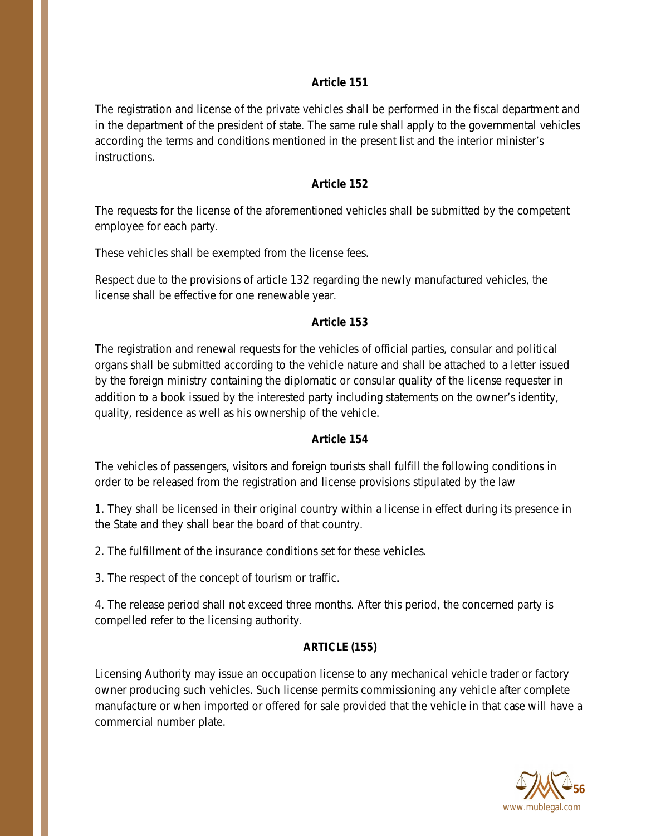The registration and license of the private vehicles shall be performed in the fiscal department and in the department of the president of state. The same rule shall apply to the governmental vehicles according the terms and conditions mentioned in the present list and the interior minister's instructions.

### **Article 152**

The requests for the license of the aforementioned vehicles shall be submitted by the competent employee for each party.

These vehicles shall be exempted from the license fees.

Respect due to the provisions of article 132 regarding the newly manufactured vehicles, the license shall be effective for one renewable year.

#### **Article 153**

The registration and renewal requests for the vehicles of official parties, consular and political organs shall be submitted according to the vehicle nature and shall be attached to a letter issued by the foreign ministry containing the diplomatic or consular quality of the license requester in addition to a book issued by the interested party including statements on the owner's identity, quality, residence as well as his ownership of the vehicle.

## **Article 154**

The vehicles of passengers, visitors and foreign tourists shall fulfill the following conditions in order to be released from the registration and license provisions stipulated by the law

1. They shall be licensed in their original country within a license in effect during its presence in the State and they shall bear the board of that country.

2. The fulfillment of the insurance conditions set for these vehicles.

3. The respect of the concept of tourism or traffic.

4. The release period shall not exceed three months. After this period, the concerned party is compelled refer to the licensing authority.

## **ARTICLE (155)**

Licensing Authority may issue an occupation license to any mechanical vehicle trader or factory owner producing such vehicles. Such license permits commissioning any vehicle after complete manufacture or when imported or offered for sale provided that the vehicle in that case will have a commercial number plate.

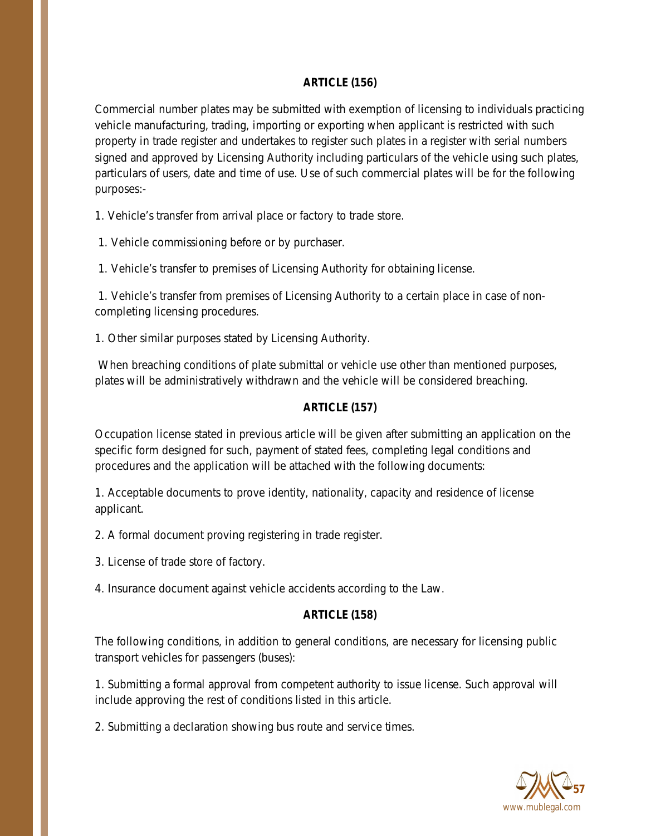### **ARTICLE (156)**

Commercial number plates may be submitted with exemption of licensing to individuals practicing vehicle manufacturing, trading, importing or exporting when applicant is restricted with such property in trade register and undertakes to register such plates in a register with serial numbers signed and approved by Licensing Authority including particulars of the vehicle using such plates, particulars of users, date and time of use. Use of such commercial plates will be for the following purposes:-

1. Vehicle's transfer from arrival place or factory to trade store.

1. Vehicle commissioning before or by purchaser.

1. Vehicle's transfer to premises of Licensing Authority for obtaining license.

1. Vehicle's transfer from premises of Licensing Authority to a certain place in case of noncompleting licensing procedures.

1. Other similar purposes stated by Licensing Authority.

When breaching conditions of plate submittal or vehicle use other than mentioned purposes, plates will be administratively withdrawn and the vehicle will be considered breaching.

## **ARTICLE (157)**

Occupation license stated in previous article will be given after submitting an application on the specific form designed for such, payment of stated fees, completing legal conditions and procedures and the application will be attached with the following documents:

1. Acceptable documents to prove identity, nationality, capacity and residence of license applicant.

2. A formal document proving registering in trade register.

3. License of trade store of factory.

4. Insurance document against vehicle accidents according to the Law.

## **ARTICLE (158)**

The following conditions, in addition to general conditions, are necessary for licensing public transport vehicles for passengers (buses):

1. Submitting a formal approval from competent authority to issue license. Such approval will include approving the rest of conditions listed in this article.

2. Submitting a declaration showing bus route and service times.

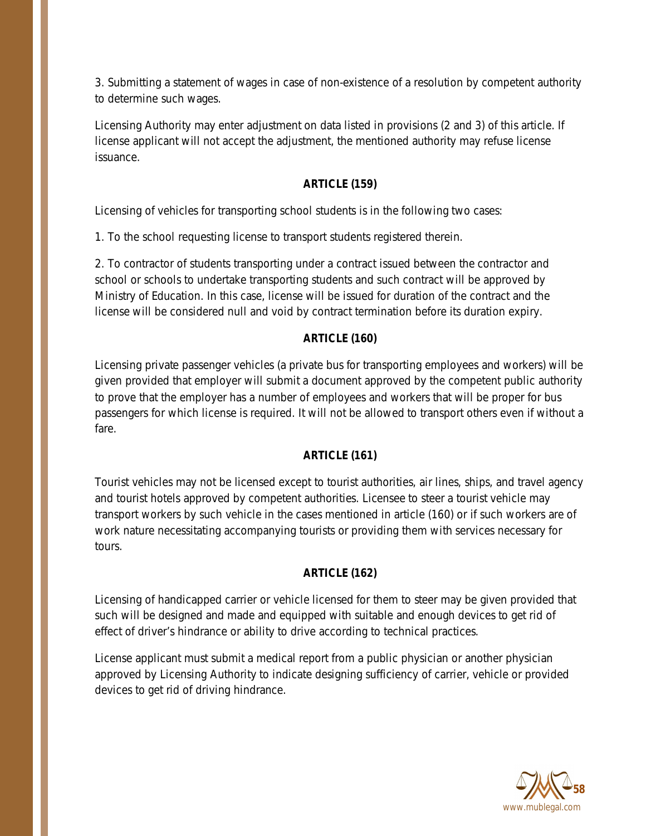3. Submitting a statement of wages in case of non-existence of a resolution by competent authority to determine such wages.

Licensing Authority may enter adjustment on data listed in provisions (2 and 3) of this article. If license applicant will not accept the adjustment, the mentioned authority may refuse license issuance.

## **ARTICLE (159)**

Licensing of vehicles for transporting school students is in the following two cases:

1. To the school requesting license to transport students registered therein.

2. To contractor of students transporting under a contract issued between the contractor and school or schools to undertake transporting students and such contract will be approved by Ministry of Education. In this case, license will be issued for duration of the contract and the license will be considered null and void by contract termination before its duration expiry.

## **ARTICLE (160)**

Licensing private passenger vehicles (a private bus for transporting employees and workers) will be given provided that employer will submit a document approved by the competent public authority to prove that the employer has a number of employees and workers that will be proper for bus passengers for which license is required. It will not be allowed to transport others even if without a fare.

# **ARTICLE (161)**

Tourist vehicles may not be licensed except to tourist authorities, air lines, ships, and travel agency and tourist hotels approved by competent authorities. Licensee to steer a tourist vehicle may transport workers by such vehicle in the cases mentioned in article (160) or if such workers are of work nature necessitating accompanying tourists or providing them with services necessary for tours.

# **ARTICLE (162)**

Licensing of handicapped carrier or vehicle licensed for them to steer may be given provided that such will be designed and made and equipped with suitable and enough devices to get rid of effect of driver's hindrance or ability to drive according to technical practices.

License applicant must submit a medical report from a public physician or another physician approved by Licensing Authority to indicate designing sufficiency of carrier, vehicle or provided devices to get rid of driving hindrance.

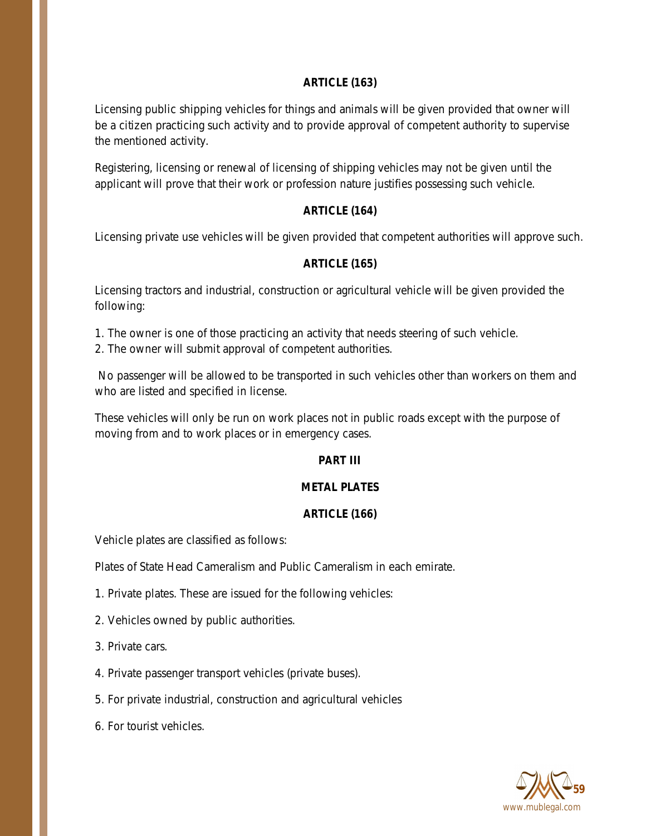#### **ARTICLE (163)**

Licensing public shipping vehicles for things and animals will be given provided that owner will be a citizen practicing such activity and to provide approval of competent authority to supervise the mentioned activity.

Registering, licensing or renewal of licensing of shipping vehicles may not be given until the applicant will prove that their work or profession nature justifies possessing such vehicle.

## **ARTICLE (164)**

Licensing private use vehicles will be given provided that competent authorities will approve such.

## **ARTICLE (165)**

Licensing tractors and industrial, construction or agricultural vehicle will be given provided the following:

1. The owner is one of those practicing an activity that needs steering of such vehicle.

2. The owner will submit approval of competent authorities.

No passenger will be allowed to be transported in such vehicles other than workers on them and who are listed and specified in license.

These vehicles will only be run on work places not in public roads except with the purpose of moving from and to work places or in emergency cases.

## **PART III**

## **METAL PLATES**

## **ARTICLE (166)**

Vehicle plates are classified as follows:

Plates of State Head Cameralism and Public Cameralism in each emirate.

- 1. Private plates. These are issued for the following vehicles:
- 2. Vehicles owned by public authorities.

3. Private cars.

- 4. Private passenger transport vehicles (private buses).
- 5. For private industrial, construction and agricultural vehicles
- 6. For tourist vehicles.

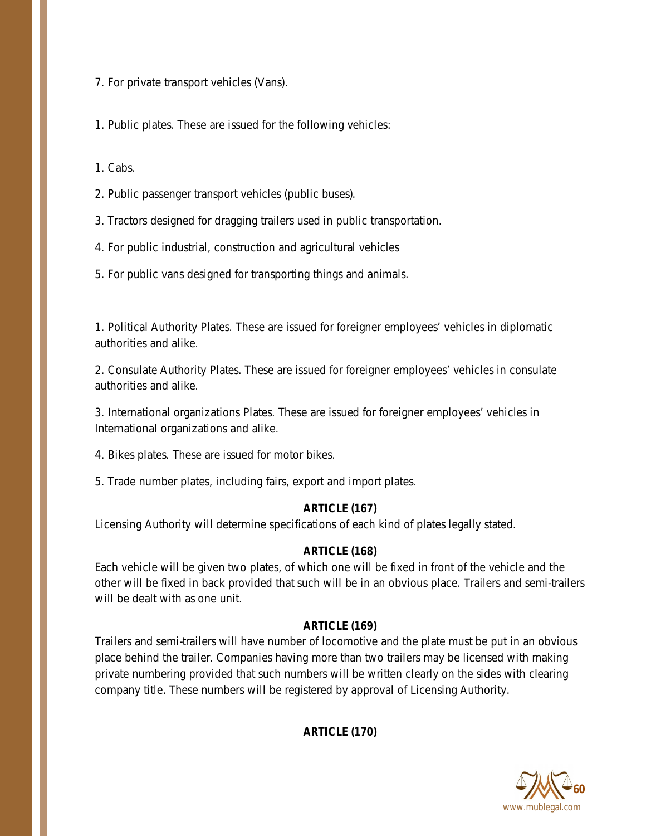7. For private transport vehicles (Vans).

1. Public plates. These are issued for the following vehicles:

1. Cabs.

2. Public passenger transport vehicles (public buses).

3. Tractors designed for dragging trailers used in public transportation.

4. For public industrial, construction and agricultural vehicles

5. For public vans designed for transporting things and animals.

1. Political Authority Plates. These are issued for foreigner employees' vehicles in diplomatic authorities and alike.

2. Consulate Authority Plates. These are issued for foreigner employees' vehicles in consulate authorities and alike.

3. International organizations Plates. These are issued for foreigner employees' vehicles in International organizations and alike.

4. Bikes plates. These are issued for motor bikes.

5. Trade number plates, including fairs, export and import plates.

## **ARTICLE (167)**

Licensing Authority will determine specifications of each kind of plates legally stated.

## **ARTICLE (168)**

Each vehicle will be given two plates, of which one will be fixed in front of the vehicle and the other will be fixed in back provided that such will be in an obvious place. Trailers and semi-trailers will be dealt with as one unit.

## **ARTICLE (169)**

Trailers and semi-trailers will have number of locomotive and the plate must be put in an obvious place behind the trailer. Companies having more than two trailers may be licensed with making private numbering provided that such numbers will be written clearly on the sides with clearing company title. These numbers will be registered by approval of Licensing Authority.

**ARTICLE (170)**

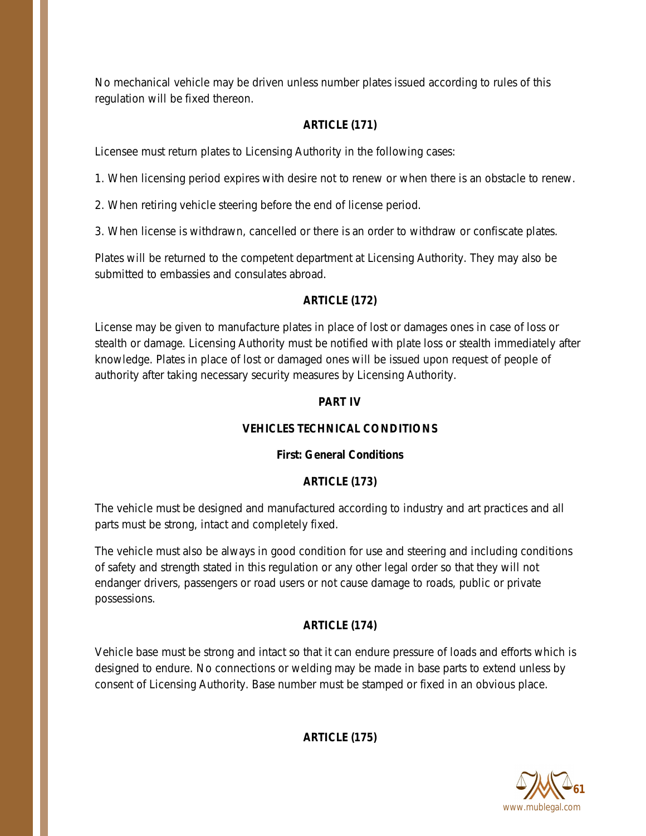No mechanical vehicle may be driven unless number plates issued according to rules of this regulation will be fixed thereon.

## **ARTICLE (171)**

Licensee must return plates to Licensing Authority in the following cases:

1. When licensing period expires with desire not to renew or when there is an obstacle to renew.

2. When retiring vehicle steering before the end of license period.

3. When license is withdrawn, cancelled or there is an order to withdraw or confiscate plates.

Plates will be returned to the competent department at Licensing Authority. They may also be submitted to embassies and consulates abroad.

# **ARTICLE (172)**

License may be given to manufacture plates in place of lost or damages ones in case of loss or stealth or damage. Licensing Authority must be notified with plate loss or stealth immediately after knowledge. Plates in place of lost or damaged ones will be issued upon request of people of authority after taking necessary security measures by Licensing Authority.

## **PART IV**

# **VEHICLES TECHNICAL CONDITIONS**

# **First: General Conditions**

# **ARTICLE (173)**

The vehicle must be designed and manufactured according to industry and art practices and all parts must be strong, intact and completely fixed.

The vehicle must also be always in good condition for use and steering and including conditions of safety and strength stated in this regulation or any other legal order so that they will not endanger drivers, passengers or road users or not cause damage to roads, public or private possessions.

# **ARTICLE (174)**

Vehicle base must be strong and intact so that it can endure pressure of loads and efforts which is designed to endure. No connections or welding may be made in base parts to extend unless by consent of Licensing Authority. Base number must be stamped or fixed in an obvious place.

**ARTICLE (175)**

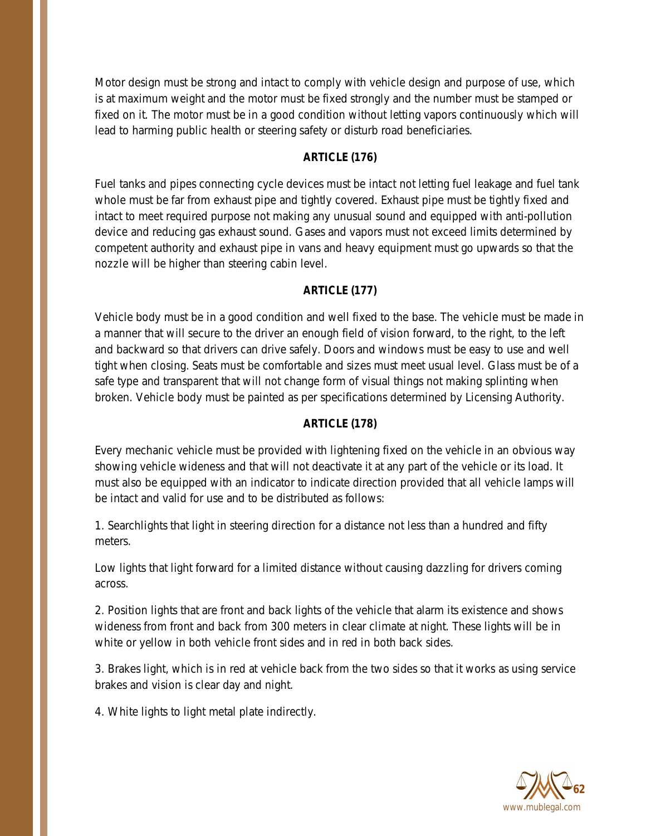Motor design must be strong and intact to comply with vehicle design and purpose of use, which is at maximum weight and the motor must be fixed strongly and the number must be stamped or fixed on it. The motor must be in a good condition without letting vapors continuously which will lead to harming public health or steering safety or disturb road beneficiaries.

## **ARTICLE (176)**

Fuel tanks and pipes connecting cycle devices must be intact not letting fuel leakage and fuel tank whole must be far from exhaust pipe and tightly covered. Exhaust pipe must be tightly fixed and intact to meet required purpose not making any unusual sound and equipped with anti-pollution device and reducing gas exhaust sound. Gases and vapors must not exceed limits determined by competent authority and exhaust pipe in vans and heavy equipment must go upwards so that the nozzle will be higher than steering cabin level.

# **ARTICLE (177)**

Vehicle body must be in a good condition and well fixed to the base. The vehicle must be made in a manner that will secure to the driver an enough field of vision forward, to the right, to the left and backward so that drivers can drive safely. Doors and windows must be easy to use and well tight when closing. Seats must be comfortable and sizes must meet usual level. Glass must be of a safe type and transparent that will not change form of visual things not making splinting when broken. Vehicle body must be painted as per specifications determined by Licensing Authority.

## **ARTICLE (178)**

Every mechanic vehicle must be provided with lightening fixed on the vehicle in an obvious way showing vehicle wideness and that will not deactivate it at any part of the vehicle or its load. It must also be equipped with an indicator to indicate direction provided that all vehicle lamps will be intact and valid for use and to be distributed as follows:

1. Searchlights that light in steering direction for a distance not less than a hundred and fifty meters.

Low lights that light forward for a limited distance without causing dazzling for drivers coming across.

2. Position lights that are front and back lights of the vehicle that alarm its existence and shows wideness from front and back from 300 meters in clear climate at night. These lights will be in white or yellow in both vehicle front sides and in red in both back sides.

3. Brakes light, which is in red at vehicle back from the two sides so that it works as using service brakes and vision is clear day and night.

4. White lights to light metal plate indirectly.

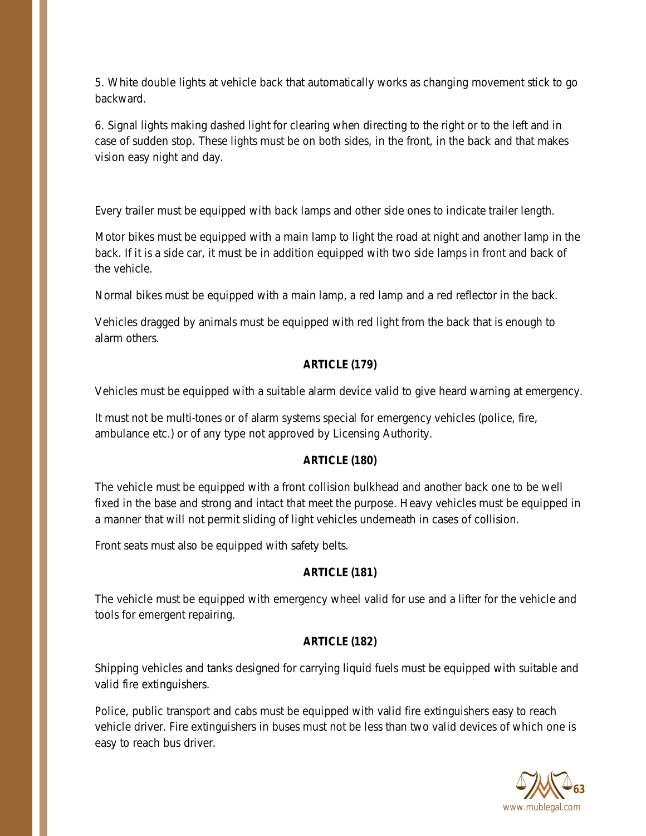5. White double lights at vehicle back that automatically works as changing movement stick to go backward.

6. Signal lights making dashed light for clearing when directing to the right or to the left and in case of sudden stop. These lights must be on both sides, in the front, in the back and that makes vision easy night and day.

Every trailer must be equipped with back lamps and other side ones to indicate trailer length.

Motor bikes must be equipped with a main lamp to light the road at night and another lamp in the back. If it is a side car, it must be in addition equipped with two side lamps in front and back of the vehicle.

Normal bikes must be equipped with a main lamp, a red lamp and a red reflector in the back.

Vehicles dragged by animals must be equipped with red light from the back that is enough to alarm others.

## **ARTICLE (179)**

Vehicles must be equipped with a suitable alarm device valid to give heard warning at emergency.

It must not be multi-tones or of alarm systems special for emergency vehicles (police, fire, ambulance etc.) or of any type not approved by Licensing Authority.

# **ARTICLE (180)**

The vehicle must be equipped with a front collision bulkhead and another back one to be well fixed in the base and strong and intact that meet the purpose. Heavy vehicles must be equipped in a manner that will not permit sliding of light vehicles underneath in cases of collision.

Front seats must also be equipped with safety belts.

# **ARTICLE (181)**

The vehicle must be equipped with emergency wheel valid for use and a lifter for the vehicle and tools for emergent repairing.

# **ARTICLE (182)**

Shipping vehicles and tanks designed for carrying liquid fuels must be equipped with suitable and valid fire extinguishers.

Police, public transport and cabs must be equipped with valid fire extinguishers easy to reach vehicle driver. Fire extinguishers in buses must not be less than two valid devices of which one is easy to reach bus driver.

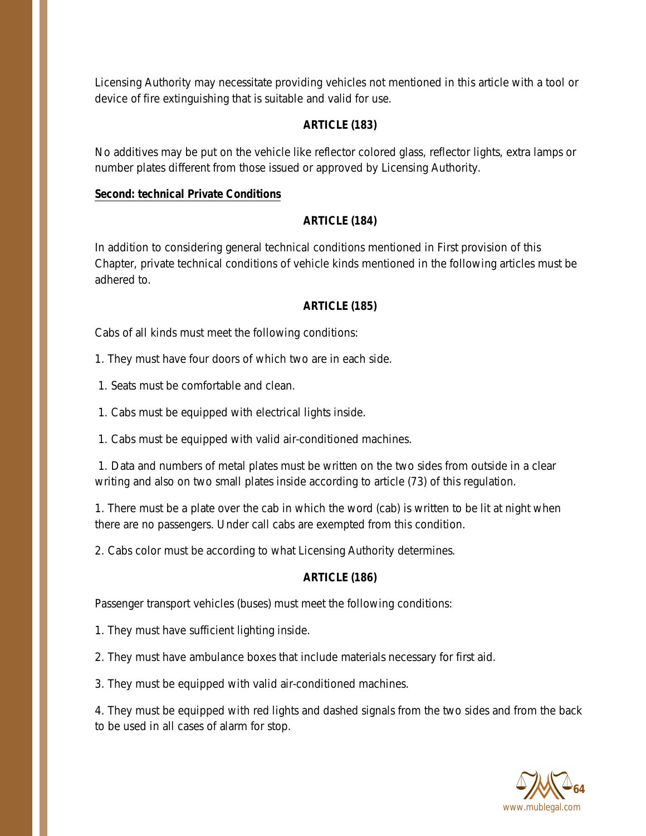Licensing Authority may necessitate providing vehicles not mentioned in this article with a tool or device of fire extinguishing that is suitable and valid for use.

## **ARTICLE (183)**

No additives may be put on the vehicle like reflector colored glass, reflector lights, extra lamps or number plates different from those issued or approved by Licensing Authority.

## **Second: technical Private Conditions**

# **ARTICLE (184)**

In addition to considering general technical conditions mentioned in First provision of this Chapter, private technical conditions of vehicle kinds mentioned in the following articles must be adhered to.

## **ARTICLE (185)**

Cabs of all kinds must meet the following conditions:

- 1. They must have four doors of which two are in each side.
- 1. Seats must be comfortable and clean.
- 1. Cabs must be equipped with electrical lights inside.
- 1. Cabs must be equipped with valid air-conditioned machines.

1. Data and numbers of metal plates must be written on the two sides from outside in a clear writing and also on two small plates inside according to article (73) of this regulation.

1. There must be a plate over the cab in which the word (cab) is written to be lit at night when there are no passengers. Under call cabs are exempted from this condition.

2. Cabs color must be according to what Licensing Authority determines.

# **ARTICLE (186)**

Passenger transport vehicles (buses) must meet the following conditions:

- 1. They must have sufficient lighting inside.
- 2. They must have ambulance boxes that include materials necessary for first aid.
- 3. They must be equipped with valid air-conditioned machines.

4. They must be equipped with red lights and dashed signals from the two sides and from the back to be used in all cases of alarm for stop.

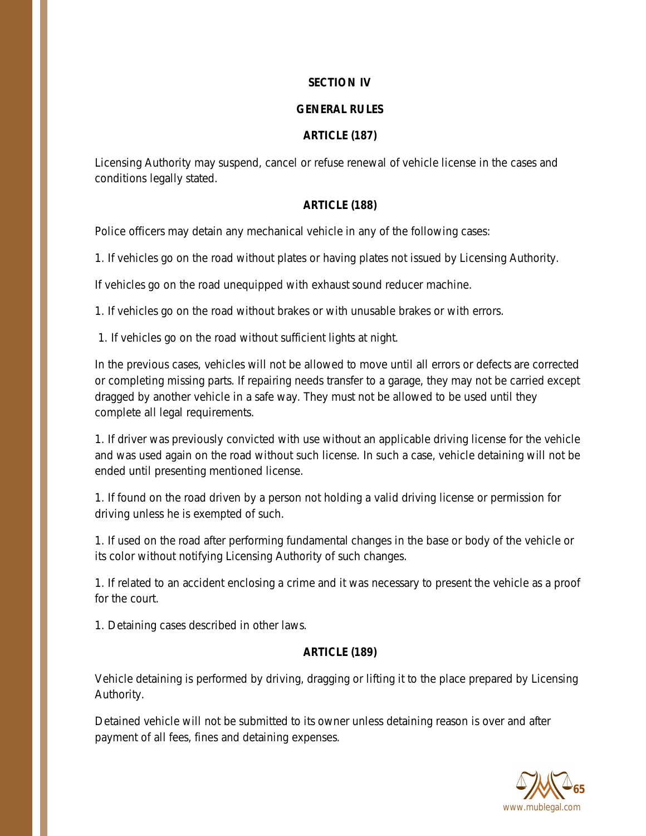#### **SECTION IV**

#### **GENERAL RULES**

### **ARTICLE (187)**

Licensing Authority may suspend, cancel or refuse renewal of vehicle license in the cases and conditions legally stated.

### **ARTICLE (188)**

Police officers may detain any mechanical vehicle in any of the following cases:

1. If vehicles go on the road without plates or having plates not issued by Licensing Authority.

If vehicles go on the road unequipped with exhaust sound reducer machine.

1. If vehicles go on the road without brakes or with unusable brakes or with errors.

1. If vehicles go on the road without sufficient lights at night.

In the previous cases, vehicles will not be allowed to move until all errors or defects are corrected or completing missing parts. If repairing needs transfer to a garage, they may not be carried except dragged by another vehicle in a safe way. They must not be allowed to be used until they complete all legal requirements.

1. If driver was previously convicted with use without an applicable driving license for the vehicle and was used again on the road without such license. In such a case, vehicle detaining will not be ended until presenting mentioned license.

1. If found on the road driven by a person not holding a valid driving license or permission for driving unless he is exempted of such.

1. If used on the road after performing fundamental changes in the base or body of the vehicle or its color without notifying Licensing Authority of such changes.

1. If related to an accident enclosing a crime and it was necessary to present the vehicle as a proof for the court.

1. Detaining cases described in other laws.

## **ARTICLE (189)**

Vehicle detaining is performed by driving, dragging or lifting it to the place prepared by Licensing Authority.

Detained vehicle will not be submitted to its owner unless detaining reason is over and after payment of all fees, fines and detaining expenses.

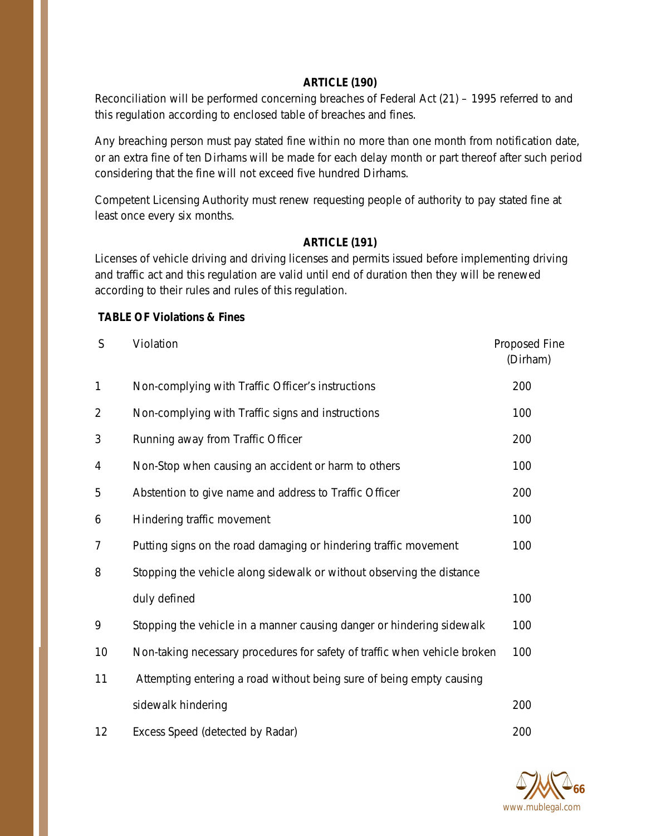#### **ARTICLE (190)**

Reconciliation will be performed concerning breaches of Federal Act (21) – 1995 referred to and this regulation according to enclosed table of breaches and fines.

Any breaching person must pay stated fine within no more than one month from notification date, or an extra fine of ten Dirhams will be made for each delay month or part thereof after such period considering that the fine will not exceed five hundred Dirhams.

Competent Licensing Authority must renew requesting people of authority to pay stated fine at least once every six months.

#### **ARTICLE (191)**

Licenses of vehicle driving and driving licenses and permits issued before implementing driving and traffic act and this regulation are valid until end of duration then they will be renewed according to their rules and rules of this regulation.

#### **TABLE OF Violations & Fines**

| S              | Violation                                                                 | <b>Proposed Fine</b><br>(Dirham) |
|----------------|---------------------------------------------------------------------------|----------------------------------|
| $\mathbf{1}$   | Non-complying with Traffic Officer's instructions                         | 200                              |
| $\overline{2}$ | Non-complying with Traffic signs and instructions                         | 100                              |
| 3              | Running away from Traffic Officer                                         | 200                              |
| 4              | Non-Stop when causing an accident or harm to others                       | 100                              |
| 5              | Abstention to give name and address to Traffic Officer                    | 200                              |
| 6              | Hindering traffic movement                                                | 100                              |
| 7              | Putting signs on the road damaging or hindering traffic movement          | 100                              |
| 8              | Stopping the vehicle along sidewalk or without observing the distance     |                                  |
|                | duly defined                                                              | 100                              |
| 9              | Stopping the vehicle in a manner causing danger or hindering sidewalk     | 100                              |
| 10             | Non-taking necessary procedures for safety of traffic when vehicle broken | 100                              |
| 11             | Attempting entering a road without being sure of being empty causing      |                                  |
|                | sidewalk hindering                                                        | 200                              |
| 12             | Excess Speed (detected by Radar)                                          | 200                              |

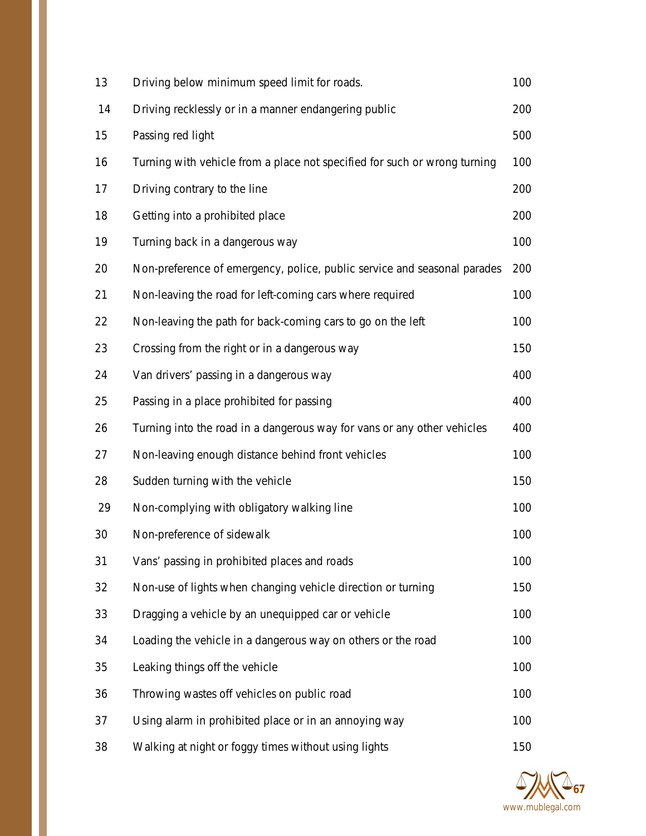| 13 | Driving below minimum speed limit for roads.                              | 100 |
|----|---------------------------------------------------------------------------|-----|
| 14 | Driving recklessly or in a manner endangering public                      | 200 |
| 15 | Passing red light                                                         | 500 |
| 16 | Turning with vehicle from a place not specified for such or wrong turning | 100 |
| 17 | Driving contrary to the line                                              | 200 |
| 18 | Getting into a prohibited place                                           | 200 |
| 19 | Turning back in a dangerous way                                           | 100 |
| 20 | Non-preference of emergency, police, public service and seasonal parades  | 200 |
| 21 | Non-leaving the road for left-coming cars where required                  | 100 |
| 22 | Non-leaving the path for back-coming cars to go on the left               | 100 |
| 23 | Crossing from the right or in a dangerous way                             | 150 |
| 24 | Van drivers' passing in a dangerous way                                   | 400 |
| 25 | Passing in a place prohibited for passing                                 | 400 |
| 26 | Turning into the road in a dangerous way for vans or any other vehicles   | 400 |
| 27 | Non-leaving enough distance behind front vehicles                         | 100 |
| 28 | Sudden turning with the vehicle                                           | 150 |
| 29 | Non-complying with obligatory walking line                                | 100 |
| 30 | Non-preference of sidewalk                                                | 100 |
| 31 | Vans' passing in prohibited places and roads                              | 100 |
| 32 | Non-use of lights when changing vehicle direction or turning              | 150 |
| 33 | Dragging a vehicle by an unequipped car or vehicle                        | 100 |
| 34 | Loading the vehicle in a dangerous way on others or the road              | 100 |
| 35 | Leaking things off the vehicle                                            | 100 |
| 36 | Throwing wastes off vehicles on public road                               | 100 |
| 37 | Using alarm in prohibited place or in an annoying way                     | 100 |
| 38 | Walking at night or foggy times without using lights                      | 150 |

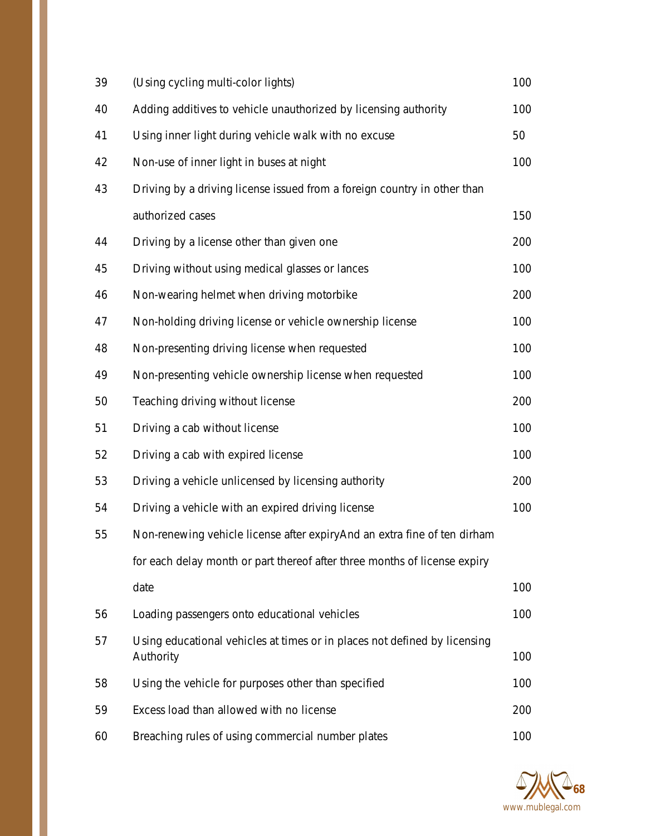| 39 | (Using cycling multi-color lights)                                                     | 100 |
|----|----------------------------------------------------------------------------------------|-----|
| 40 | Adding additives to vehicle unauthorized by licensing authority                        | 100 |
| 41 | Using inner light during vehicle walk with no excuse                                   | 50  |
| 42 | Non-use of inner light in buses at night                                               | 100 |
| 43 | Driving by a driving license issued from a foreign country in other than               |     |
|    | authorized cases                                                                       | 150 |
| 44 | Driving by a license other than given one                                              | 200 |
| 45 | Driving without using medical glasses or lances                                        | 100 |
| 46 | Non-wearing helmet when driving motorbike                                              | 200 |
| 47 | Non-holding driving license or vehicle ownership license                               | 100 |
| 48 | Non-presenting driving license when requested                                          | 100 |
| 49 | Non-presenting vehicle ownership license when requested                                | 100 |
| 50 | Teaching driving without license                                                       | 200 |
| 51 | Driving a cab without license                                                          | 100 |
| 52 | Driving a cab with expired license                                                     | 100 |
| 53 | Driving a vehicle unlicensed by licensing authority                                    | 200 |
| 54 | Driving a vehicle with an expired driving license                                      | 100 |
| 55 | Non-renewing vehicle license after expiryAnd an extra fine of ten dirham               |     |
|    | for each delay month or part thereof after three months of license expiry              |     |
|    | date                                                                                   | 100 |
| 56 | Loading passengers onto educational vehicles                                           | 100 |
| 57 | Using educational vehicles at times or in places not defined by licensing<br>Authority | 100 |
| 58 | Using the vehicle for purposes other than specified                                    | 100 |
| 59 | Excess load than allowed with no license                                               | 200 |
| 60 | Breaching rules of using commercial number plates                                      | 100 |

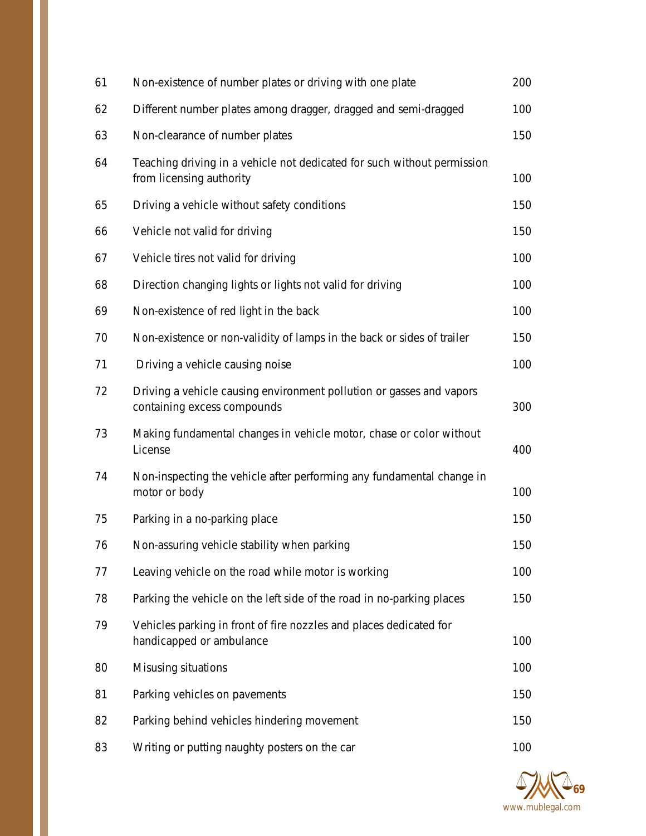| 61 | Non-existence of number plates or driving with one plate                                            | 200 |
|----|-----------------------------------------------------------------------------------------------------|-----|
| 62 | Different number plates among dragger, dragged and semi-dragged                                     | 100 |
| 63 | Non-clearance of number plates                                                                      | 150 |
| 64 | Teaching driving in a vehicle not dedicated for such without permission<br>from licensing authority | 100 |
| 65 | Driving a vehicle without safety conditions                                                         | 150 |
| 66 | Vehicle not valid for driving                                                                       | 150 |
| 67 | Vehicle tires not valid for driving                                                                 | 100 |
| 68 | Direction changing lights or lights not valid for driving                                           | 100 |
| 69 | Non-existence of red light in the back                                                              | 100 |
| 70 | Non-existence or non-validity of lamps in the back or sides of trailer                              | 150 |
| 71 | Driving a vehicle causing noise                                                                     | 100 |
| 72 | Driving a vehicle causing environment pollution or gasses and vapors<br>containing excess compounds | 300 |
| 73 | Making fundamental changes in vehicle motor, chase or color without<br>License                      | 400 |
| 74 | Non-inspecting the vehicle after performing any fundamental change in<br>motor or body              | 100 |
| 75 | Parking in a no-parking place                                                                       | 150 |
| 76 | Non-assuring vehicle stability when parking                                                         | 150 |
| 77 | Leaving vehicle on the road while motor is working                                                  | 100 |
| 78 | Parking the vehicle on the left side of the road in no-parking places                               | 150 |
| 79 | Vehicles parking in front of fire nozzles and places dedicated for<br>handicapped or ambulance      | 100 |
| 80 | Misusing situations                                                                                 | 100 |
| 81 | Parking vehicles on pavements                                                                       | 150 |
| 82 | Parking behind vehicles hindering movement                                                          | 150 |
| 83 | Writing or putting naughty posters on the car                                                       | 100 |

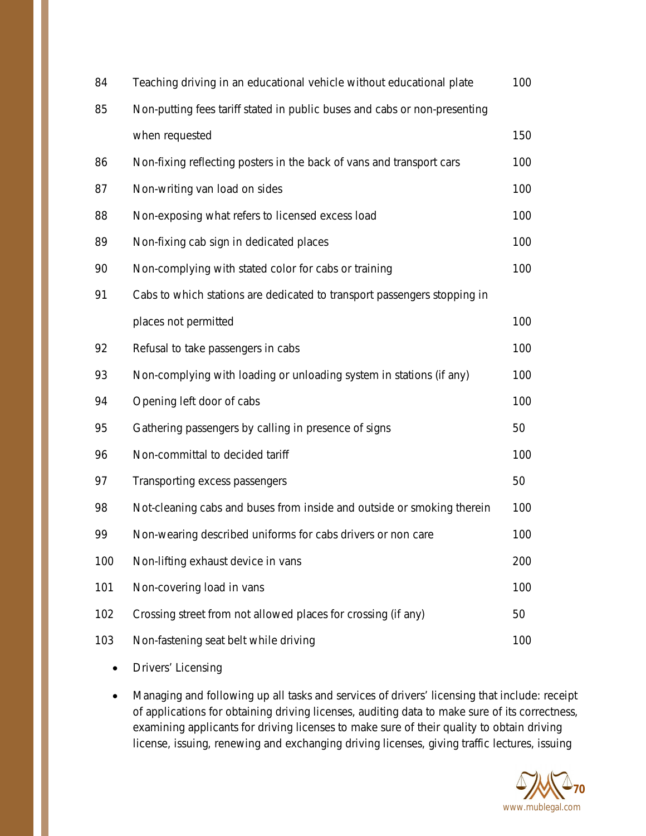| Non-putting fees tariff stated in public buses and cabs or non-presenting |     |
|---------------------------------------------------------------------------|-----|
| when requested                                                            | 150 |
| Non-fixing reflecting posters in the back of vans and transport cars      | 100 |
| Non-writing van load on sides                                             | 100 |
| Non-exposing what refers to licensed excess load                          | 100 |
| Non-fixing cab sign in dedicated places                                   | 100 |
| Non-complying with stated color for cabs or training                      | 100 |
| Cabs to which stations are dedicated to transport passengers stopping in  |     |
| places not permitted                                                      | 100 |
| Refusal to take passengers in cabs                                        | 100 |
| Non-complying with loading or unloading system in stations (if any)       | 100 |
| Opening left door of cabs                                                 | 100 |
| Gathering passengers by calling in presence of signs                      | 50  |
| Non-committal to decided tariff                                           | 100 |
| Transporting excess passengers                                            | 50  |
| Not-cleaning cabs and buses from inside and outside or smoking therein    | 100 |
| Non-wearing described uniforms for cabs drivers or non care               | 100 |
| Non-lifting exhaust device in vans                                        | 200 |
| Non-covering load in vans                                                 | 100 |
| Crossing street from not allowed places for crossing (if any)             | 50  |
| Non-fastening seat belt while driving                                     | 100 |
|                                                                           |     |

- Drivers' Licensing
- Managing and following up all tasks and services of drivers' licensing that include: receipt of applications for obtaining driving licenses, auditing data to make sure of its correctness, examining applicants for driving licenses to make sure of their quality to obtain driving license, issuing, renewing and exchanging driving licenses, giving traffic lectures, issuing

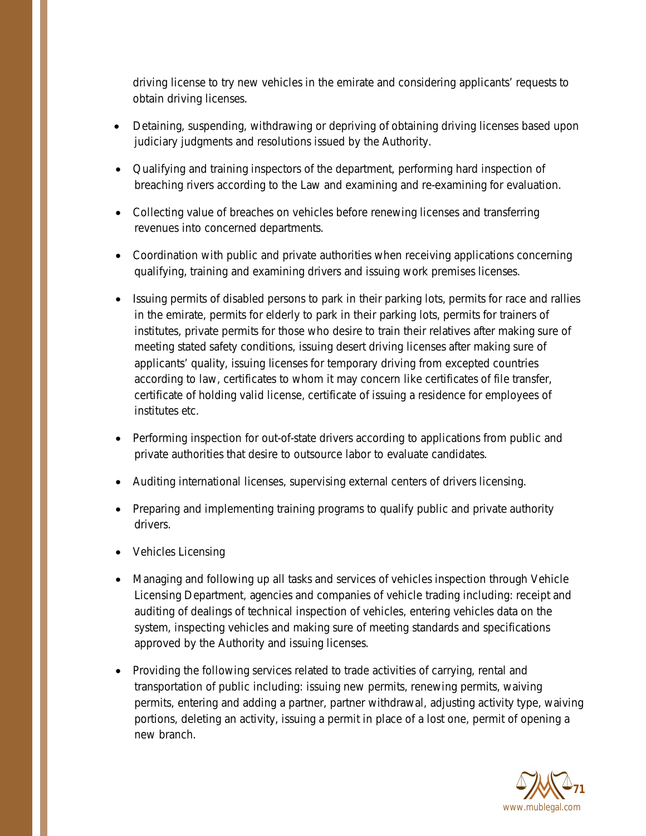driving license to try new vehicles in the emirate and considering applicants' requests to obtain driving licenses.

- Detaining, suspending, withdrawing or depriving of obtaining driving licenses based upon judiciary judgments and resolutions issued by the Authority.
- Qualifying and training inspectors of the department, performing hard inspection of breaching rivers according to the Law and examining and re-examining for evaluation.
- Collecting value of breaches on vehicles before renewing licenses and transferring revenues into concerned departments.
- Coordination with public and private authorities when receiving applications concerning qualifying, training and examining drivers and issuing work premises licenses.
- Issuing permits of disabled persons to park in their parking lots, permits for race and rallies in the emirate, permits for elderly to park in their parking lots, permits for trainers of institutes, private permits for those who desire to train their relatives after making sure of meeting stated safety conditions, issuing desert driving licenses after making sure of applicants' quality, issuing licenses for temporary driving from excepted countries according to law, certificates to whom it may concern like certificates of file transfer, certificate of holding valid license, certificate of issuing a residence for employees of institutes etc.
- Performing inspection for out-of-state drivers according to applications from public and private authorities that desire to outsource labor to evaluate candidates.
- Auditing international licenses, supervising external centers of drivers licensing.
- Preparing and implementing training programs to qualify public and private authority drivers.
- Vehicles Licensing
- Managing and following up all tasks and services of vehicles inspection through Vehicle Licensing Department, agencies and companies of vehicle trading including: receipt and auditing of dealings of technical inspection of vehicles, entering vehicles data on the system, inspecting vehicles and making sure of meeting standards and specifications approved by the Authority and issuing licenses.
- Providing the following services related to trade activities of carrying, rental and transportation of public including: issuing new permits, renewing permits, waiving permits, entering and adding a partner, partner withdrawal, adjusting activity type, waiving portions, deleting an activity, issuing a permit in place of a lost one, permit of opening a new branch.